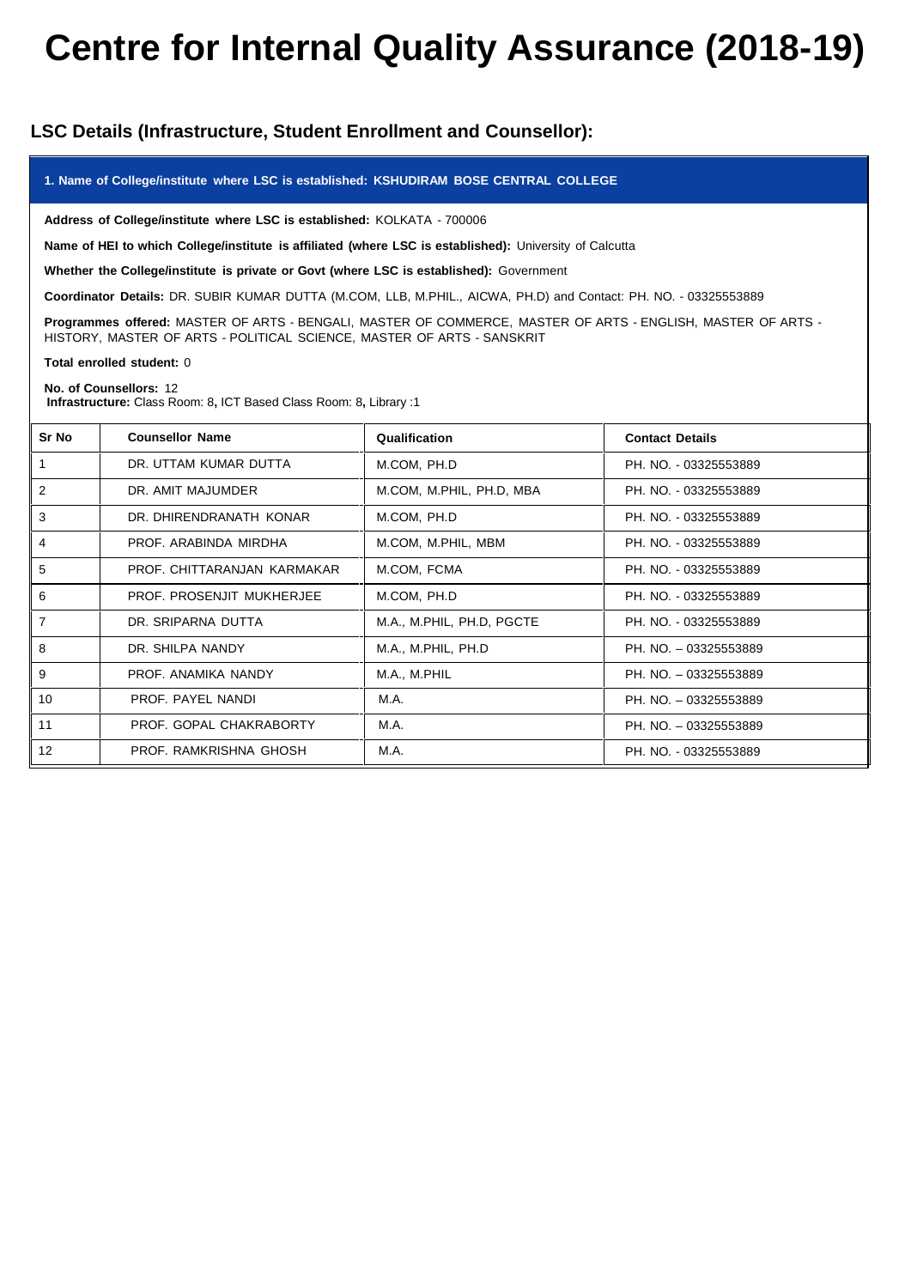# **Centre for Internal Quality Assurance (2018-19)**

# **LSC Details (Infrastructure, Student Enrollment and Counsellor):**

## **1. Name of College/institute where LSC isestablished: KSHUDIRAM BOSE CENTRAL COLLEGE**

**Address of College/institute where LSC is established:** KOLKATA - 700006

**Name of HEI to which College/institute is affiliated (where LSC isestablished):** University of Calcutta

**Whether the College/institute is private or Govt (where LSC isestablished):** Government

**Coordinator Details:** DR. SUBIR KUMAR DUTTA (M.COM, LLB, M.PHIL., AICWA, PH.D) and Contact: PH. NO. - 03325553889

**Programmes offered:** MASTER OF ARTS - BENGALI, MASTER OF COMMERCE, MASTER OF ARTS - ENGLISH, MASTER OF ARTS - HISTORY, MASTER OF ARTS - POLITICAL SCIENCE, MASTER OF ARTS - SANSKRIT

#### **Total enrolled student:** 0

## **No. of Counsellors:** 12

**Infrastructure:** Class Room: 8**,** ICT Based Class Room: 8**,** Library :1

| Sr No          | <b>Counsellor Name</b>      | Qualification             | <b>Contact Details</b> |
|----------------|-----------------------------|---------------------------|------------------------|
|                | DR. UTTAM KUMAR DUTTA       | M.COM, PH.D               | PH. NO. - 03325553889  |
| $\overline{2}$ | DR. AMIT MAJUMDER           | M.COM, M.PHIL, PH.D, MBA  | PH. NO. - 03325553889  |
| 3              | DR. DHIRENDRANATH KONAR     | M.COM, PH.D               | PH. NO. - 03325553889  |
| $\overline{4}$ | PROF. ARABINDA MIRDHA       | M.COM, M.PHIL, MBM        | PH. NO. - 03325553889  |
| 5              | PROF. CHITTARANJAN KARMAKAR | M.COM, FCMA               | PH. NO. - 03325553889  |
| 6              | PROF. PROSENJIT MUKHERJEE   | M.COM, PH.D               | PH. NO. - 03325553889  |
| $\overline{7}$ | DR. SRIPARNA DUTTA          | M.A., M.PHIL, PH.D, PGCTE | PH. NO. - 03325553889  |
| 8              | DR. SHILPA NANDY            | M.A., M.PHIL, PH.D        | PH. NO. - 03325553889  |
| 9              | PROF. ANAMIKA NANDY         | M.A., M.PHIL              | PH. NO. - 03325553889  |
| 10             | PROF. PAYEL NANDI           | M.A.                      | PH. NO. - 03325553889  |
| 11             | PROF. GOPAL CHAKRABORTY     | M.A.                      | PH. NO. - 03325553889  |
| 12             | PROF. RAMKRISHNA GHOSH      | M.A.                      | PH. NO. - 03325553889  |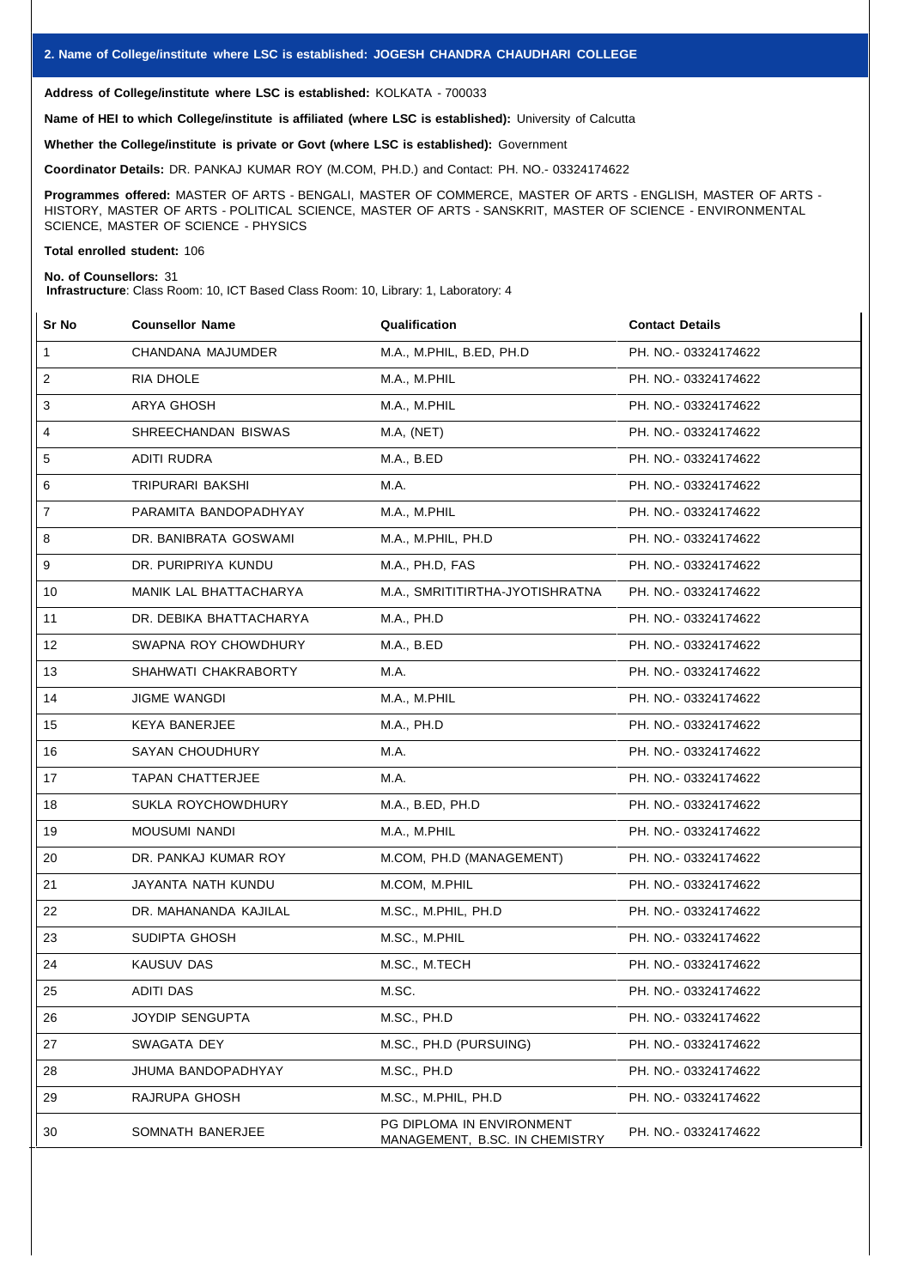**Address of College/institute where LSC is established:** KOLKATA - 700033

**Name of HEI to which College/institute is affiliated (where LSC isestablished):** University of Calcutta

**Whether the College/institute is private or Govt (where LSC isestablished):** Government

**Coordinator Details:** DR. PANKAJ KUMAR ROY (M.COM, PH.D.) and Contact: PH. NO.- 03324174622

**Programmes offered:** MASTER OF ARTS - BENGALI, MASTER OF COMMERCE, MASTER OF ARTS - ENGLISH, MASTER OF ARTS - HISTORY, MASTER OF ARTS - POLITICAL SCIENCE, MASTER OF ARTS - SANSKRIT, MASTER OF SCIENCE - ENVIRONMENTAL SCIENCE, MASTER OF SCIENCE - PHYSICS

## **Total enrolled student:** 106

## **No. of Counsellors:** 31

**Infrastructure**: Class Room: 10, ICT Based Class Room: 10, Library: 1, Laboratory: 4

| Sr No        | <b>Counsellor Name</b>  | Qualification                                               | <b>Contact Details</b> |
|--------------|-------------------------|-------------------------------------------------------------|------------------------|
| $\mathbf{1}$ | CHANDANA MAJUMDER       | M.A., M.PHIL, B.ED, PH.D                                    | PH. NO.- 03324174622   |
| 2            | RIA DHOLE               | M.A., M.PHIL                                                | PH. NO.- 03324174622   |
| 3            | ARYA GHOSH              | M.A., M.PHIL                                                | PH. NO.- 03324174622   |
| 4            | SHREECHANDAN BISWAS     | M.A, (NET)                                                  | PH. NO.- 03324174622   |
| 5            | ADITI RUDRA             | M.A., B.ED                                                  | PH. NO. 03324174622    |
| 6            | TRIPURARI BAKSHI        | M.A.                                                        | PH. NO. - 03324174622  |
| 7            | PARAMITA BANDOPADHYAY   | M.A., M.PHIL                                                | PH. NO.- 03324174622   |
| 8            | DR. BANIBRATA GOSWAMI   | M.A., M.PHIL, PH.D                                          | PH. NO.- 03324174622   |
| 9            | DR. PURIPRIYA KUNDU     | M.A., PH.D, FAS                                             | PH. NO.- 03324174622   |
| 10           | MANIK LAL BHATTACHARYA  | M.A., SMRITITIRTHA-JYOTISHRATNA                             | PH. NO.- 03324174622   |
| 11           | DR. DEBIKA BHATTACHARYA | M.A., PH.D                                                  | PH. NO.- 03324174622   |
| 12           | SWAPNA ROY CHOWDHURY    | M.A., B.ED                                                  | PH. NO.- 03324174622   |
| 13           | SHAHWATI CHAKRABORTY    | M.A.                                                        | PH. NO. 03324174622    |
| 14           | <b>JIGME WANGDI</b>     | M.A., M.PHIL                                                | PH. NO. - 03324174622  |
| 15           | KEYA BANERJEE           | M.A., PH.D                                                  | PH. NO. 03324174622    |
| 16           | SAYAN CHOUDHURY         | M.A.                                                        | PH. NO.- 03324174622   |
| 17           | TAPAN CHATTERJEE        | M.A.                                                        | PH. NO.- 03324174622   |
| 18           | SUKLA ROYCHOWDHURY      | M.A., B.ED, PH.D                                            | PH. NO.- 03324174622   |
| 19           | <b>MOUSUMI NANDI</b>    | M.A., M.PHIL                                                | PH. NO.- 03324174622   |
| 20           | DR. PANKAJ KUMAR ROY    | M.COM, PH.D (MANAGEMENT)                                    | PH. NO.- 03324174622   |
| 21           | JAYANTA NATH KUNDU      | M.COM, M.PHIL                                               | PH. NO.- 03324174622   |
| 22           | DR. MAHANANDA KAJILAL   | M.SC., M.PHIL, PH.D                                         | PH. NO.- 03324174622   |
| 23           | SUDIPTA GHOSH           | M.SC., M.PHIL                                               | PH. NO.- 03324174622   |
| 24           | <b>KAUSUV DAS</b>       | M.SC., M.TECH                                               | PH. NO. - 03324174622  |
| 25           | <b>ADITI DAS</b>        | M.SC.                                                       | PH. NO.- 03324174622   |
| 26           | JOYDIP SENGUPTA         | M.SC., PH.D                                                 | PH. NO. 03324174622    |
| 27           | SWAGATA DEY             | M.SC., PH.D (PURSUING)                                      | PH. NO. 03324174622    |
| 28           | JHUMA BANDOPADHYAY      | M.SC., PH.D                                                 | PH. NO. 03324174622    |
| 29           | RAJRUPA GHOSH           | M.SC., M.PHIL, PH.D                                         | PH. NO.- 03324174622   |
| 30           | SOMNATH BANERJEE        | PG DIPLOMA IN ENVIRONMENT<br>MANAGEMENT, B.SC. IN CHEMISTRY | PH. NO. - 03324174622  |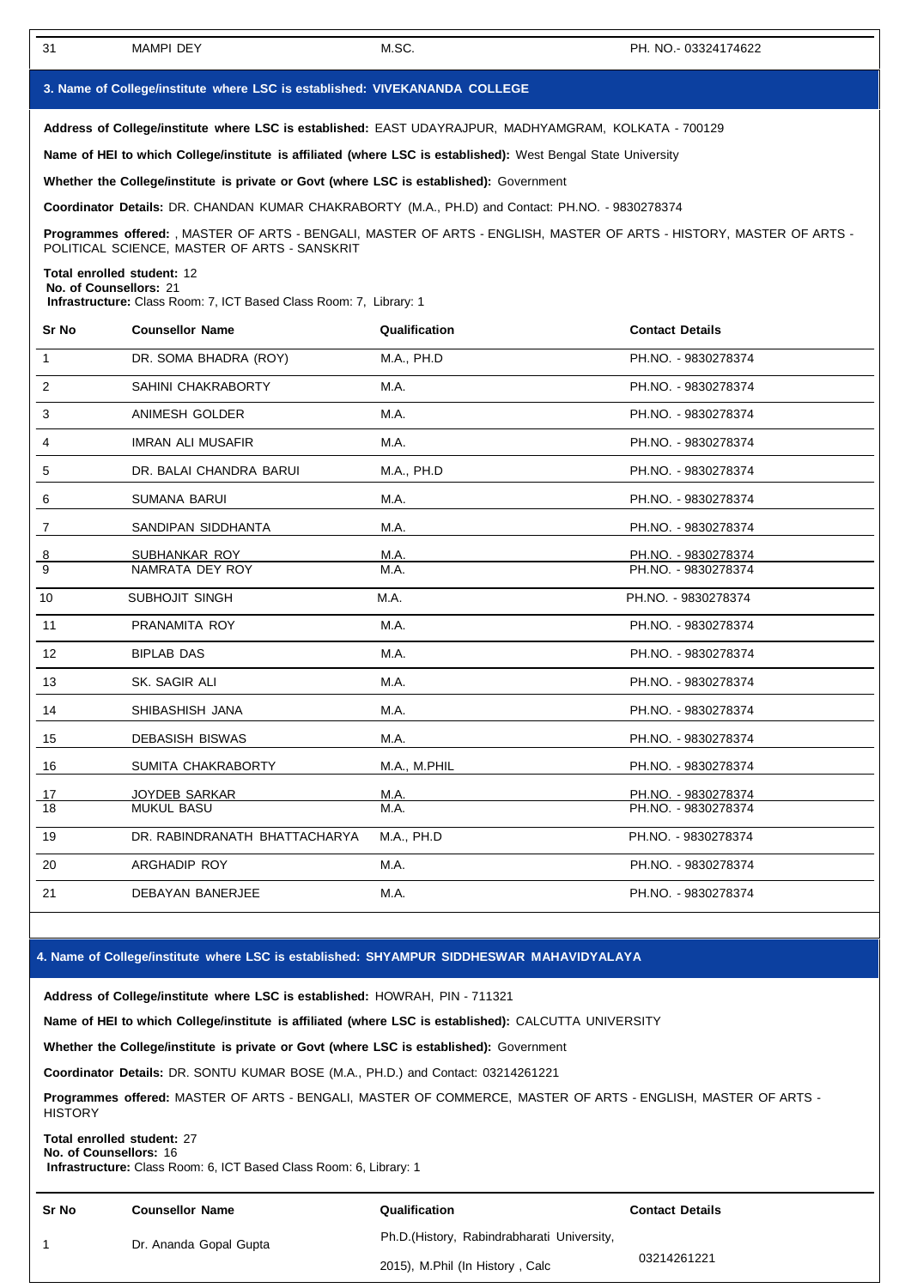# **3. Name of College/institute where LSC isestablished: VIVEKANANDA COLLEGE**

**Address of College/institute where LSC isestablished:** EAST UDAYRAJPUR, MADHYAMGRAM, KOLKATA - 700129

**Name of HEI to which College/institute is affiliated (where LSC is established):** West Bengal State University

**Whether the College/institute is private or Govt (where LSC is established):** Government

**Coordinator Details:** DR. CHANDAN KUMAR CHAKRABORTY (M.A., PH.D) and Contact: PH.NO. - 9830278374

**Programmes offered:** , MASTER OF ARTS - BENGALI, MASTER OF ARTS - ENGLISH, MASTER OF ARTS - HISTORY, MASTER OF ARTS - POLITICAL SCIENCE, MASTER OF ARTS - SANSKRIT

**Total enrolled student:** 12 **No. of Counsellors:** 21

**Infrastructure:** Class Room: 7, ICT Based Class Room: 7, Library: 1

| Sr No           | <b>Counsellor Name</b>        | Qualification | <b>Contact Details</b> |
|-----------------|-------------------------------|---------------|------------------------|
| $\mathbf{1}$    | DR. SOMA BHADRA (ROY)         | M.A., PH.D    | PH.NO. - 9830278374    |
| $\overline{2}$  | SAHINI CHAKRABORTY            | M.A.          | PH.NO. - 9830278374    |
| 3               | ANIMESH GOLDER                | M.A.          | PH.NO. - 9830278374    |
| 4               | <b>IMRAN ALI MUSAFIR</b>      | M.A.          | PH.NO. - 9830278374    |
| 5               | DR. BALAI CHANDRA BARUI       | M.A., PH.D    | PH.NO. - 9830278374    |
| 6               | <b>SUMANA BARUI</b>           | M.A.          | PH.NO. - 9830278374    |
| 7               | SANDIPAN SIDDHANTA            | M.A.          | PH.NO. - 9830278374    |
| $\overline{8}$  | SUBHANKAR ROY                 | M.A.          | PH.NO. - 9830278374    |
| $\overline{9}$  | NAMRATA DEY ROY               | M.A.          | PH.NO. - 9830278374    |
| 10              | SUBHOJIT SINGH                | M.A.          | PH.NO. - 9830278374    |
| 11              | PRANAMITA ROY                 | M.A.          | PH.NO. - 9830278374    |
| 12              | <b>BIPLAB DAS</b>             | M.A.          | PH.NO. - 9830278374    |
| 13              | SK. SAGIR ALI                 | M.A.          | PH.NO. - 9830278374    |
| 14              | SHIBASHISH JANA               | M.A.          | PH.NO. - 9830278374    |
| 15              | <b>DEBASISH BISWAS</b>        | M.A.          | PH.NO. - 9830278374    |
| 16              | SUMITA CHAKRABORTY            | M.A., M.PHIL  | PH.NO. - 9830278374    |
| 17              | JOYDEB SARKAR                 | M.A.          | PH.NO. - 9830278374    |
| $\overline{18}$ | <b>MUKUL BASU</b>             | M.A.          | PH.NO. - 9830278374    |
| 19              | DR. RABINDRANATH BHATTACHARYA | M.A., PH.D    | PH.NO. - 9830278374    |
| 20              | ARGHADIP ROY                  | M.A.          | PH.NO. - 9830278374    |
| 21              | <b>DEBAYAN BANERJEE</b>       | M.A.          | PH.NO. - 9830278374    |

#### **4. Name of College/institute where LSC isestablished: SHYAMPUR SIDDHESWAR MAHAVIDYALAYA**

**Address of College/institute where LSC isestablished:** HOWRAH, PIN - 711321

**Name of HEI to which College/institute is affiliated (where LSC is established):** CALCUTTA UNIVERSITY

**Whether the College/institute is private or Govt (where LSC is established):** Government

**Coordinator Details:** DR. SONTU KUMAR BOSE (M.A., PH.D.) and Contact: 03214261221

**Programmes offered:** MASTER OF ARTS - BENGALI, MASTER OF COMMERCE, MASTER OF ARTS - ENGLISH, MASTER OF ARTS - **HISTORY** 

#### **Total enrolled student:** 27 **No. of Counsellors:** 16

**Infrastructure:** Class Room: 6, ICT Based Class Room: 6, Library: 1

| <b>Sr No</b> | <b>Counsellor Name</b> | Qualification                               | <b>Contact Details</b> |
|--------------|------------------------|---------------------------------------------|------------------------|
|              | Dr. Ananda Gopal Gupta | Ph.D. (History, Rabindrabharati University, |                        |
|              |                        | 2015), M.Phil (In History, Calc             | 03214261221            |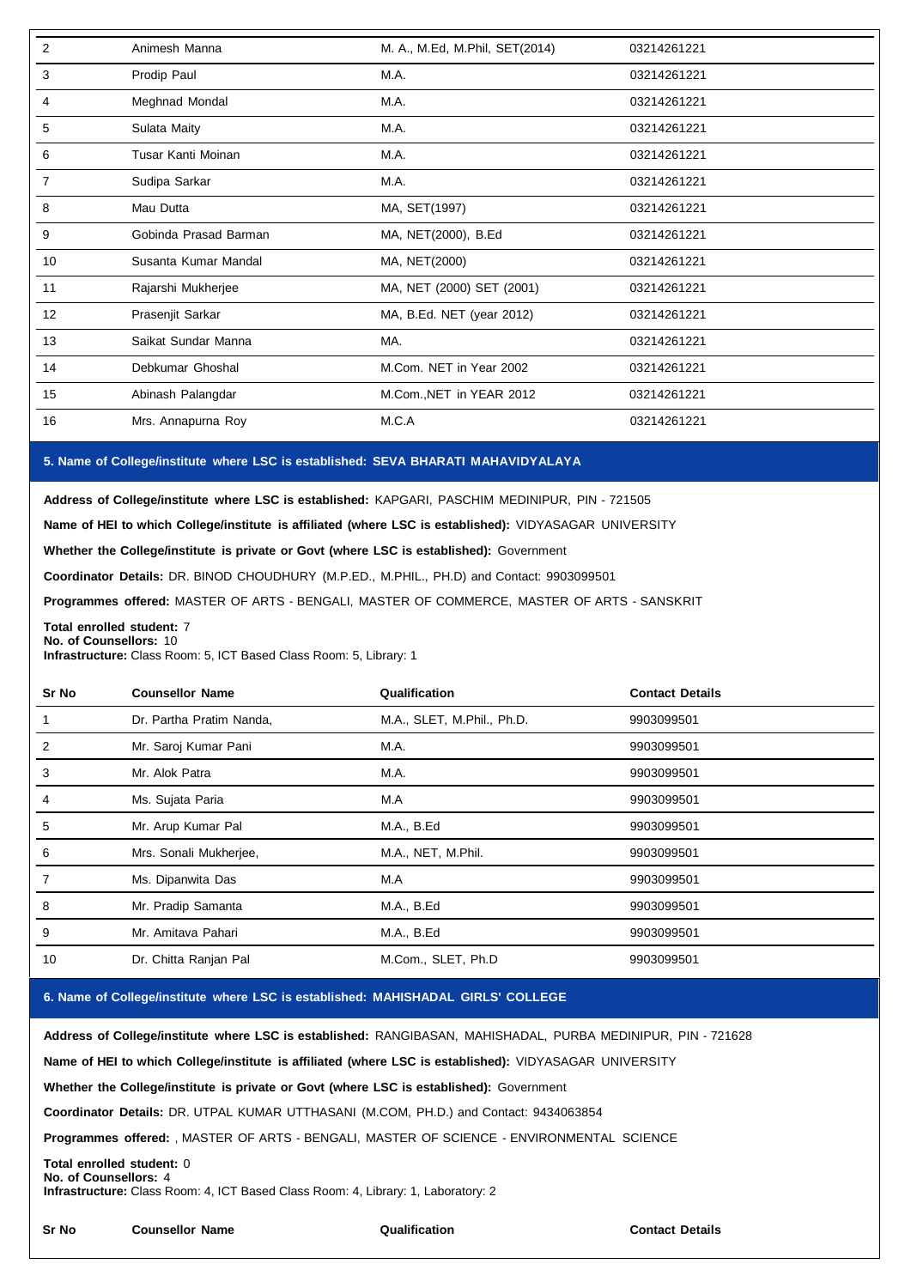| 2              | Animesh Manna         | M. A., M.Ed, M.Phil, SET(2014) | 03214261221 |
|----------------|-----------------------|--------------------------------|-------------|
| 3              | Prodip Paul           | M.A.                           | 03214261221 |
| 4              | Meghnad Mondal        | M.A.                           | 03214261221 |
| 5              | Sulata Maity          | M.A.                           | 03214261221 |
| 6              | Tusar Kanti Moinan    | M.A.                           | 03214261221 |
| $\overline{7}$ | Sudipa Sarkar         | M.A.                           | 03214261221 |
| 8              | Mau Dutta             | MA, SET(1997)                  | 03214261221 |
| 9              | Gobinda Prasad Barman | MA, NET(2000), B.Ed            | 03214261221 |
| 10             | Susanta Kumar Mandal  | MA, NET(2000)                  | 03214261221 |
| 11             | Rajarshi Mukherjee    | MA, NET (2000) SET (2001)      | 03214261221 |
| 12             | Prasenjit Sarkar      | MA, B.Ed. NET (year 2012)      | 03214261221 |
| 13             | Saikat Sundar Manna   | MA.                            | 03214261221 |
| 14             | Debkumar Ghoshal      | M.Com. NET in Year 2002        | 03214261221 |
| 15             | Abinash Palangdar     | M.Com., NET in YEAR 2012       | 03214261221 |
| 16             | Mrs. Annapurna Roy    | M.C.A                          | 03214261221 |
|                |                       |                                |             |

# **5. Name of College/institute where LSC isestablished: SEVA BHARATI MAHAVIDYALAYA**

**Address of College/institute where LSC isestablished:** KAPGARI, PASCHIM MEDINIPUR, PIN - 721505

**Name of HEI to which College/institute is affiliated (where LSC is established):** VIDYASAGAR UNIVERSITY

**Whether the College/institute is private or Govt (where LSC is established):** Government

**Coordinator Details:** DR. BINOD CHOUDHURY (M.P.ED., M.PHIL., PH.D) and Contact: 9903099501

**Programmes offered:** MASTER OF ARTS - BENGALI, MASTER OF COMMERCE, MASTER OF ARTS - SANSKRIT

**Total enrolled student:** 7 **No. of Counsellors:** 10

**Infrastructure:** Class Room: 5, ICT Based Class Room: 5, Library: 1

| Sr No | <b>Counsellor Name</b>   | Qualification              | <b>Contact Details</b> |
|-------|--------------------------|----------------------------|------------------------|
|       | Dr. Partha Pratim Nanda, | M.A., SLET, M.Phil., Ph.D. | 9903099501             |
| 2     | Mr. Saroj Kumar Pani     | M.A.                       | 9903099501             |
| 3     | Mr. Alok Patra           | M.A.                       | 9903099501             |
| 4     | Ms. Sujata Paria         | M.A                        | 9903099501             |
| 5     | Mr. Arup Kumar Pal       | M.A., B.Ed                 | 9903099501             |
| 6     | Mrs. Sonali Mukherjee,   | M.A., NET, M.Phil.         | 9903099501             |
|       | Ms. Dipanwita Das        | M.A                        | 9903099501             |
| 8     | Mr. Pradip Samanta       | M.A., B.Ed                 | 9903099501             |
| 9     | Mr. Amitava Pahari       | M.A., B.Ed                 | 9903099501             |
| 10    | Dr. Chitta Ranjan Pal    | M.Com., SLET, Ph.D         | 9903099501             |

# **6. Name of College/institute where LSC isestablished: MAHISHADAL GIRLS' COLLEGE**

**Address of College/institute where LSC isestablished:** RANGIBASAN, MAHISHADAL, PURBA MEDINIPUR, PIN - 721628

**Name of HEI to which College/institute is affiliated (where LSC is established):** VIDYASAGAR UNIVERSITY

**Whether the College/institute is private or Govt (where LSC is established):** Government

**Coordinator Details:** DR. UTPAL KUMAR UTTHASANI (M.COM, PH.D.) and Contact: 9434063854

**Programmes offered:** , MASTER OF ARTS - BENGALI, MASTER OF SCIENCE - ENVIRONMENTAL SCIENCE

**Total enrolled student:** 0 **No. of Counsellors:** 4

**Infrastructure:** Class Room: 4, ICT Based Class Room: 4, Library: 1, Laboratory: 2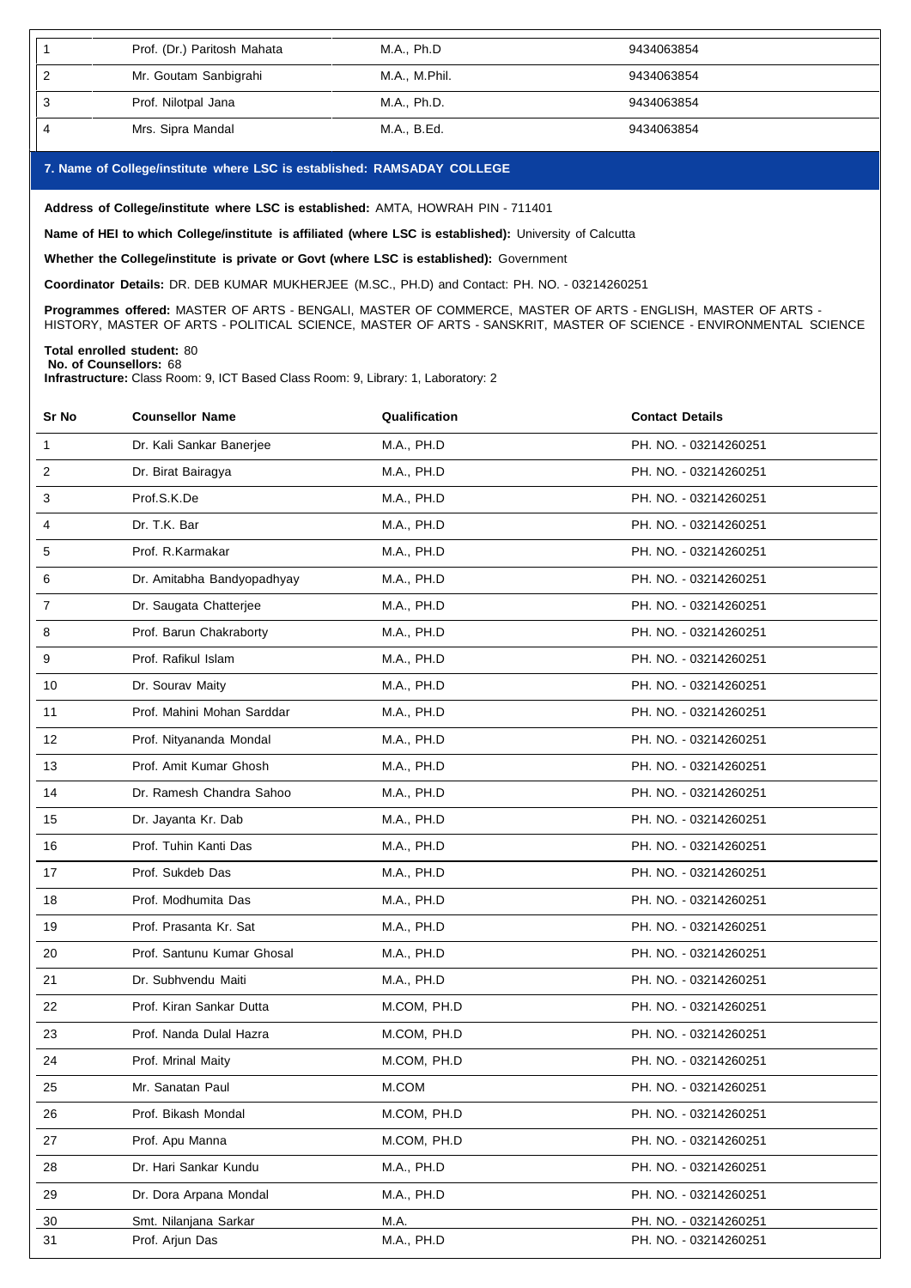| Prof. (Dr.) Paritosh Mahata | M.A., Ph.D    | 9434063854 |
|-----------------------------|---------------|------------|
| Mr. Goutam Sanbigrahi       | M.A., M.Phil. | 9434063854 |
| Prof. Nilotpal Jana         | M.A., Ph.D.   | 9434063854 |
| Mrs. Sipra Mandal           | M.A., B.Ed.   | 9434063854 |

## **7. Name of College/institute where LSC isestablished: RAMSADAY COLLEGE**

**Address of College/institute where LSC is established:** AMTA, HOWRAH PIN - 711401

**Name of HEI to which College/institute is affiliated (where LSC isestablished):** University of Calcutta

**Whether the College/institute is private or Govt (where LSC isestablished):** Government

**Coordinator Details:** DR. DEB KUMAR MUKHERJEE (M.SC., PH.D) and Contact: PH. NO. - 03214260251

**Programmes offered:** MASTER OF ARTS - BENGALI, MASTER OF COMMERCE, MASTER OF ARTS - ENGLISH, MASTER OF ARTS -

HISTORY, MASTER OF ARTS - POLITICAL SCIENCE, MASTER OF ARTS - SANSKRIT, MASTER OF SCIENCE - ENVIRONMENTAL SCIENCE

#### **Total enrolled student:** 80 **No. of Counsellors:** 68

**Infrastructure:** Class Room: 9, ICT Based Class Room: 9, Library: 1, Laboratory: 2

| Sr No        | <b>Counsellor Name</b>     | Qualification | <b>Contact Details</b> |
|--------------|----------------------------|---------------|------------------------|
| $\mathbf{1}$ | Dr. Kali Sankar Banerjee   | M.A., PH.D    | PH. NO. - 03214260251  |
| 2            | Dr. Birat Bairagya         | M.A., PH.D    | PH. NO. - 03214260251  |
| 3            | Prof.S.K.De                | M.A., PH.D    | PH. NO. - 03214260251  |
| 4            | Dr. T.K. Bar               | M.A., PH.D    | PH. NO. - 03214260251  |
| 5            | Prof. R. Karmakar          | M.A., PH.D    | PH. NO. - 03214260251  |
| 6            | Dr. Amitabha Bandyopadhyay | M.A., PH.D    | PH. NO. - 03214260251  |
| 7            | Dr. Saugata Chatterjee     | M.A., PH.D    | PH. NO. - 03214260251  |
| 8            | Prof. Barun Chakraborty    | M.A., PH.D    | PH. NO. - 03214260251  |
| 9            | Prof. Rafikul Islam        | M.A., PH.D    | PH. NO. - 03214260251  |
| 10           | Dr. Sourav Maity           | M.A., PH.D    | PH. NO. - 03214260251  |
| 11           | Prof. Mahini Mohan Sarddar | M.A., PH.D    | PH. NO. - 03214260251  |
| 12           | Prof. Nityananda Mondal    | M.A., PH.D    | PH. NO. - 03214260251  |
| 13           | Prof. Amit Kumar Ghosh     | M.A., PH.D    | PH. NO. - 03214260251  |
| 14           | Dr. Ramesh Chandra Sahoo   | M.A., PH.D    | PH. NO. - 03214260251  |
| 15           | Dr. Jayanta Kr. Dab        | M.A., PH.D    | PH. NO. - 03214260251  |
| 16           | Prof. Tuhin Kanti Das      | M.A., PH.D    | PH. NO. - 03214260251  |
| 17           | Prof. Sukdeb Das           | M.A., PH.D    | PH. NO. - 03214260251  |
| 18           | Prof. Modhumita Das        | M.A., PH.D    | PH. NO. - 03214260251  |
| 19           | Prof. Prasanta Kr. Sat     | M.A., PH.D    | PH. NO. - 03214260251  |
| 20           | Prof. Santunu Kumar Ghosal | M.A., PH.D    | PH. NO. - 03214260251  |
| 21           | Dr. Subhvendu Maiti        | M.A., PH.D    | PH. NO. - 03214260251  |
| 22           | Prof. Kiran Sankar Dutta   | M.COM, PH.D   | PH. NO. - 03214260251  |
| 23           | Prof. Nanda Dulal Hazra    | M.COM, PH.D   | PH. NO. - 03214260251  |
| 24           | Prof. Mrinal Maity         | M.COM, PH.D   | PH. NO. - 03214260251  |
| 25           | Mr. Sanatan Paul           | M.COM         | PH. NO. - 03214260251  |
| 26           | Prof. Bikash Mondal        | M.COM, PH.D   | PH. NO. - 03214260251  |
| 27           | Prof. Apu Manna            | M.COM, PH.D   | PH. NO. - 03214260251  |
| 28           | Dr. Hari Sankar Kundu      | M.A., PH.D    | PH. NO. - 03214260251  |
| 29           | Dr. Dora Arpana Mondal     | M.A., PH.D    | PH. NO. - 03214260251  |
| 30           | Smt. Nilanjana Sarkar      | M.A.          | PH. NO. - 03214260251  |
| 31           | Prof. Arjun Das            | M.A., PH.D    | PH. NO. - 03214260251  |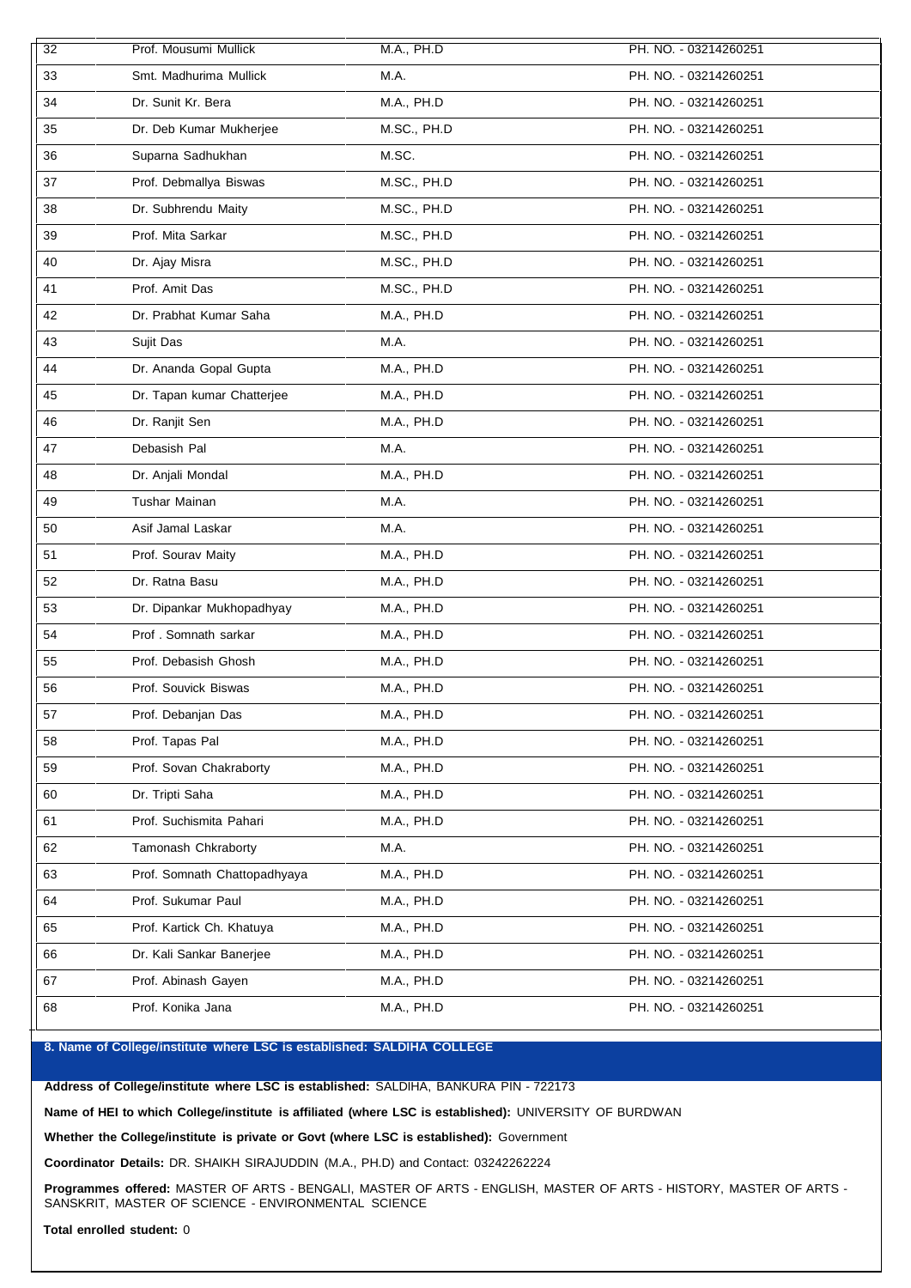| $\overline{32}$ | Prof. Mousumi Mullick        | M.A., PH.D  | PH. NO. - 03214260251 |
|-----------------|------------------------------|-------------|-----------------------|
| 33              | Smt. Madhurima Mullick       | M.A.        | PH. NO. - 03214260251 |
| 34              | Dr. Sunit Kr. Bera           | M.A., PH.D  | PH. NO. - 03214260251 |
| 35              | Dr. Deb Kumar Mukherjee      | M.SC., PH.D | PH. NO. - 03214260251 |
| 36              | Suparna Sadhukhan            | M.SC.       | PH. NO. - 03214260251 |
| 37              | Prof. Debmallya Biswas       | M.SC., PH.D | PH. NO. - 03214260251 |
| 38              | Dr. Subhrendu Maity          | M.SC., PH.D | PH. NO. - 03214260251 |
| 39              | Prof. Mita Sarkar            | M.SC., PH.D | PH. NO. - 03214260251 |
| 40              | Dr. Ajay Misra               | M.SC., PH.D | PH. NO. - 03214260251 |
| 41              | Prof. Amit Das               | M.SC., PH.D | PH. NO. - 03214260251 |
| 42              | Dr. Prabhat Kumar Saha       | M.A., PH.D  | PH. NO. - 03214260251 |
| 43              | Sujit Das                    | M.A.        | PH. NO. - 03214260251 |
| 44              | Dr. Ananda Gopal Gupta       | M.A., PH.D  | PH. NO. - 03214260251 |
| 45              | Dr. Tapan kumar Chatterjee   | M.A., PH.D  | PH. NO. - 03214260251 |
| 46              | Dr. Ranjit Sen               | M.A., PH.D  | PH. NO. - 03214260251 |
| 47              | Debasish Pal                 | M.A.        | PH. NO. - 03214260251 |
| 48              | Dr. Anjali Mondal            | M.A., PH.D  | PH. NO. - 03214260251 |
| 49              | Tushar Mainan                | M.A.        | PH. NO. - 03214260251 |
| 50              | Asif Jamal Laskar            | M.A.        | PH. NO. - 03214260251 |
| 51              | Prof. Sourav Maity           | M.A., PH.D  | PH. NO. - 03214260251 |
| 52              | Dr. Ratna Basu               | M.A., PH.D  | PH. NO. - 03214260251 |
| 53              | Dr. Dipankar Mukhopadhyay    | M.A., PH.D  | PH. NO. - 03214260251 |
| 54              | Prof. Somnath sarkar         | M.A., PH.D  | PH. NO. - 03214260251 |
| 55              | Prof. Debasish Ghosh         | M.A., PH.D  | PH. NO. - 03214260251 |
| 56              | Prof. Souvick Biswas         | M.A., PH.D  | PH. NO. - 03214260251 |
| 57              | Prof. Debanjan Das           | M.A., PH.D  | PH. NO. - 03214260251 |
| 58              | Prof. Tapas Pal              | M.A., PH.D  | PH. NO. - 03214260251 |
| 59              | Prof. Sovan Chakraborty      | M.A., PH.D  | PH. NO. - 03214260251 |
| 60              | Dr. Tripti Saha              | M.A., PH.D  | PH. NO. - 03214260251 |
| 61              | Prof. Suchismita Pahari      | M.A., PH.D  | PH. NO. - 03214260251 |
| 62              | Tamonash Chkraborty          | M.A.        | PH. NO. - 03214260251 |
| 63              | Prof. Somnath Chattopadhyaya | M.A., PH.D  | PH. NO. - 03214260251 |
| 64              | Prof. Sukumar Paul           | M.A., PH.D  | PH. NO. - 03214260251 |
| 65              | Prof. Kartick Ch. Khatuya    | M.A., PH.D  | PH. NO. - 03214260251 |
| 66              | Dr. Kali Sankar Banerjee     | M.A., PH.D  | PH. NO. - 03214260251 |
| 67              | Prof. Abinash Gayen          | M.A., PH.D  | PH. NO. - 03214260251 |
| 68              | Prof. Konika Jana            | M.A., PH.D  | PH. NO. - 03214260251 |

# **8. Name of College/institute where LSC isestablished: SALDIHA COLLEGE**

**Address of College/institute where LSC is established:** SALDIHA, BANKURA PIN - 722173

**Name of HEI to which College/institute is affiliated (where LSC isestablished):** UNIVERSITY OF BURDWAN

**Whether the College/institute is private or Govt (where LSC isestablished):** Government

**Coordinator Details:** DR. SHAIKH SIRAJUDDIN (M.A., PH.D) and Contact: 03242262224

**Programmes offered:** MASTER OF ARTS - BENGALI, MASTER OF ARTS - ENGLISH, MASTER OF ARTS - HISTORY, MASTER OF ARTS - SANSKRIT, MASTER OF SCIENCE - ENVIRONMENTAL SCIENCE

**Total enrolled student:** 0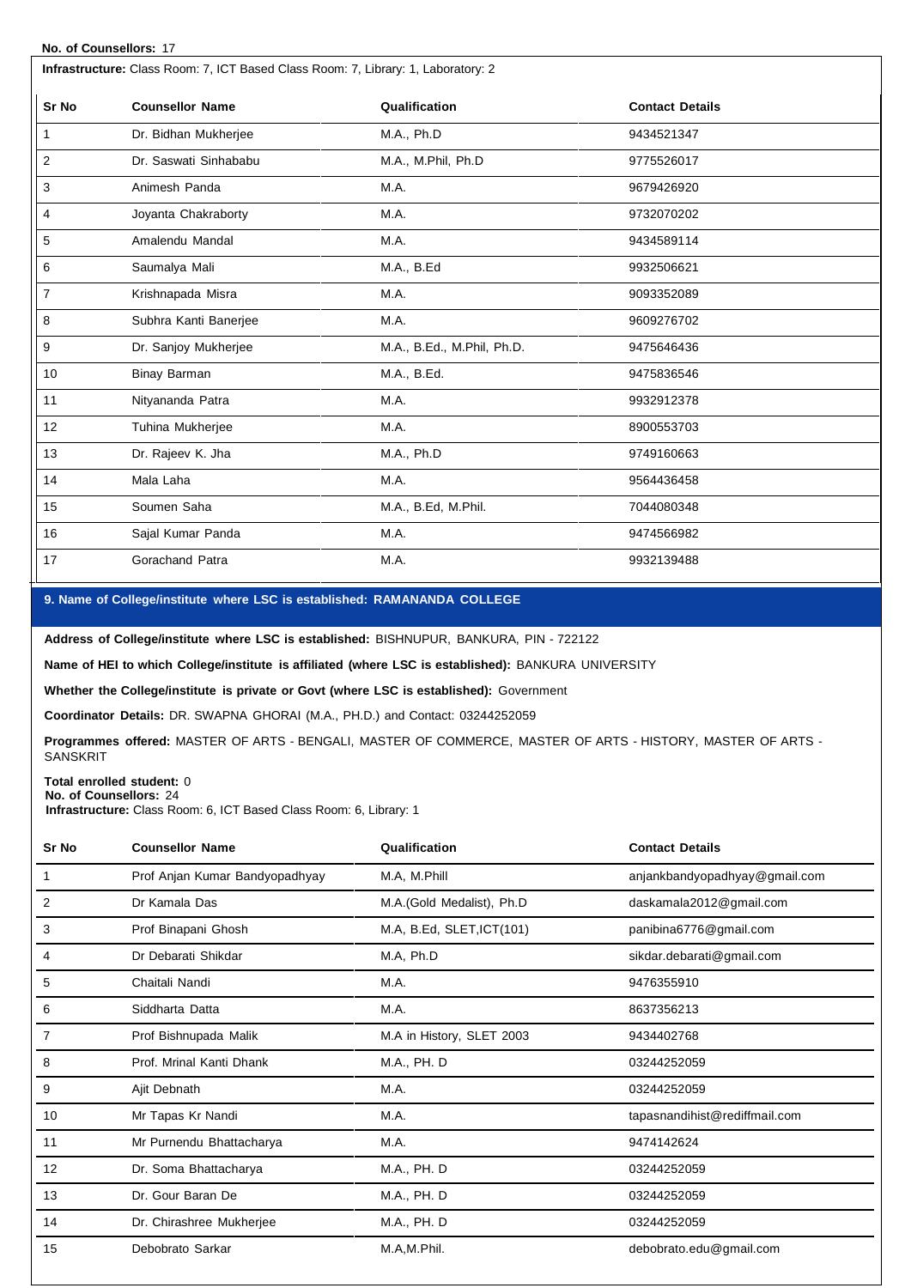## **No. of Counsellors:** 17

| Infrastructure: Class Room: 7, ICT Based Class Room: 7, Library: 1, Laboratory: 2 |                        |                            |                        |  |
|-----------------------------------------------------------------------------------|------------------------|----------------------------|------------------------|--|
| Sr No                                                                             | <b>Counsellor Name</b> | Qualification              | <b>Contact Details</b> |  |
| 1                                                                                 | Dr. Bidhan Mukherjee   | M.A., Ph.D                 | 9434521347             |  |
| $\overline{2}$                                                                    | Dr. Saswati Sinhababu  | M.A., M.Phil, Ph.D         | 9775526017             |  |
| 3                                                                                 | Animesh Panda          | M.A.                       | 9679426920             |  |
| 4                                                                                 | Joyanta Chakraborty    | M.A.                       | 9732070202             |  |
| 5                                                                                 | Amalendu Mandal        | M.A.                       | 9434589114             |  |
| 6                                                                                 | Saumalya Mali          | M.A., B.Ed                 | 9932506621             |  |
| 7                                                                                 | Krishnapada Misra      | M.A.                       | 9093352089             |  |
| 8                                                                                 | Subhra Kanti Banerjee  | M.A.                       | 9609276702             |  |
| 9                                                                                 | Dr. Sanjoy Mukherjee   | M.A., B.Ed., M.Phil, Ph.D. | 9475646436             |  |
| 10 <sup>1</sup>                                                                   | Binay Barman           | M.A., B.Ed.                | 9475836546             |  |
| 11                                                                                | Nityananda Patra       | M.A.                       | 9932912378             |  |
| 12                                                                                | Tuhina Mukherjee       | M.A.                       | 8900553703             |  |
| 13                                                                                | Dr. Rajeev K. Jha      | M.A., Ph.D                 | 9749160663             |  |
| 14                                                                                | Mala Laha              | M.A.                       | 9564436458             |  |
| 15                                                                                | Soumen Saha            | M.A., B.Ed, M.Phil.        | 7044080348             |  |
| 16                                                                                | Sajal Kumar Panda      | M.A.                       | 9474566982             |  |
| 17                                                                                | Gorachand Patra        | M.A.                       | 9932139488             |  |

# **9. Name of College/institute where LSC isestablished: RAMANANDA COLLEGE**

**Address of College/institute where LSC is established:** BISHNUPUR, BANKURA, PIN - 722122

**Name of HEI to which College/institute is affiliated (where LSC isestablished):** BANKURA UNIVERSITY

**Whether the College/institute is private or Govt (where LSC isestablished):** Government

**Coordinator Details:** DR. SWAPNA GHORAI (M.A., PH.D.) and Contact: 03244252059

**Programmes offered:** MASTER OF ARTS - BENGALI, MASTER OF COMMERCE, MASTER OF ARTS - HISTORY, MASTER OF ARTS - **SANSKRIT** 

# **Total enrolled student:** 0

**No. of Counsellors:** 24 **Infrastructure:** Class Room: 6, ICT Based Class Room: 6, Library: 1

| Sr No | <b>Counsellor Name</b>         | Qualification             | <b>Contact Details</b>        |
|-------|--------------------------------|---------------------------|-------------------------------|
|       | Prof Anjan Kumar Bandyopadhyay | M.A, M.Phill              | anjankbandyopadhyay@gmail.com |
| 2     | Dr Kamala Das                  | M.A.(Gold Medalist), Ph.D | daskamala2012@gmail.com       |
| 3     | Prof Binapani Ghosh            | M.A, B.Ed, SLET, ICT(101) | panibina6776@gmail.com        |
| 4     | Dr Debarati Shikdar            | M.A, Ph.D                 | sikdar.debarati@gmail.com     |
| 5     | Chaitali Nandi                 | M.A.                      | 9476355910                    |
| 6     | Siddharta Datta                | M.A.                      | 8637356213                    |
| 7     | Prof Bishnupada Malik          | M.A in History, SLET 2003 | 9434402768                    |
| 8     | Prof. Mrinal Kanti Dhank       | M.A., PH. D               | 03244252059                   |
| 9     | Ajit Debnath                   | M.A.                      | 03244252059                   |
| 10    | Mr Tapas Kr Nandi              | M.A.                      | tapasnandihist@rediffmail.com |
| 11    | Mr Purnendu Bhattacharya       | M.A.                      | 9474142624                    |
| 12    | Dr. Soma Bhattacharya          | M.A., PH. D               | 03244252059                   |
| 13    | Dr. Gour Baran De              | M.A., PH. D               | 03244252059                   |
| 14    | Dr. Chirashree Mukherjee       | M.A., PH. D               | 03244252059                   |
| 15    | Debobrato Sarkar               | M.A,M.Phil.               | debobrato.edu@gmail.com       |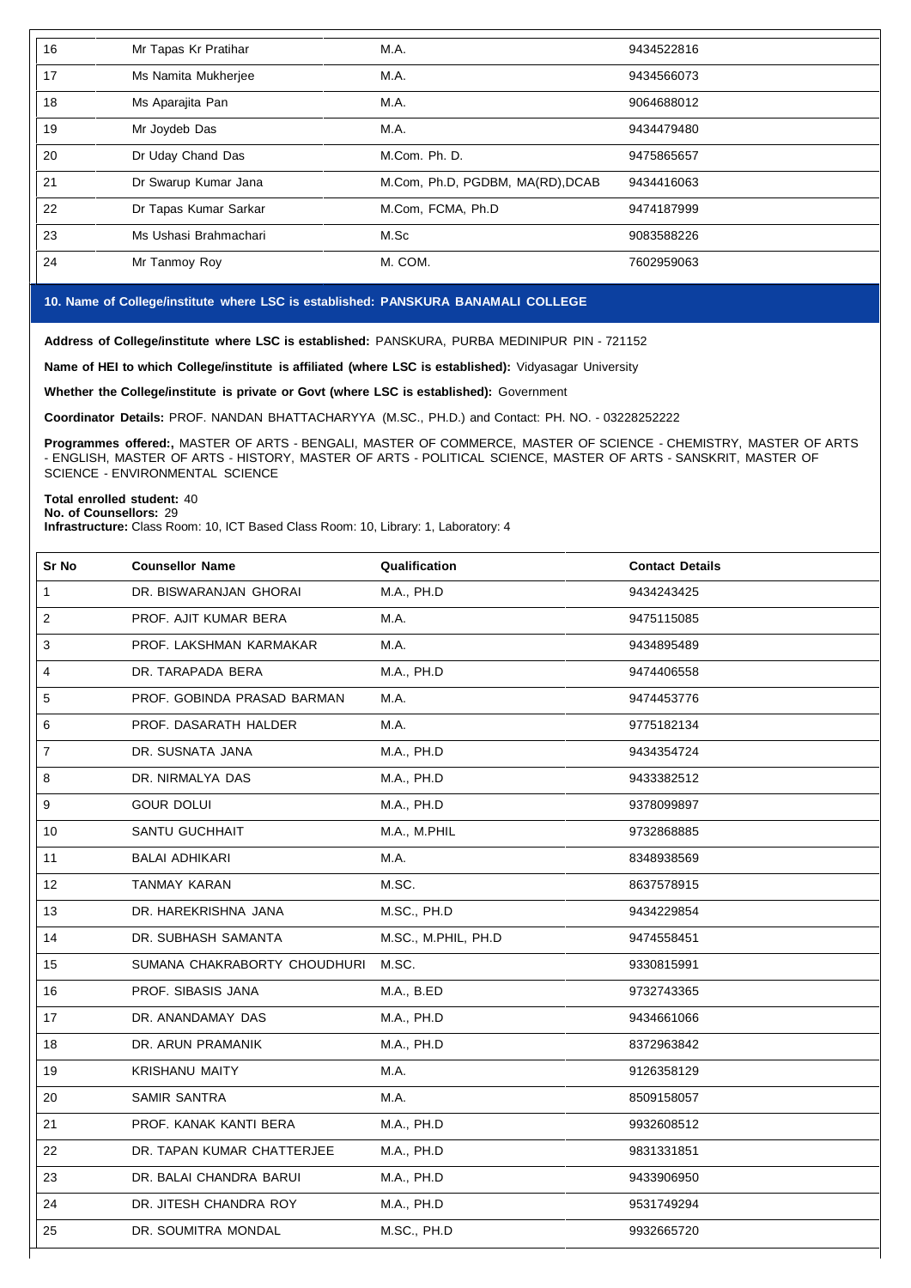| 16 | Mr Tapas Kr Pratihar  | M.A.                             | 9434522816 |
|----|-----------------------|----------------------------------|------------|
| 17 | Ms Namita Mukherjee   | M.A.                             | 9434566073 |
| 18 | Ms Aparajita Pan      | M.A.                             | 9064688012 |
| 19 | Mr Joydeb Das         | M.A.                             | 9434479480 |
| 20 | Dr Uday Chand Das     | M.Com. Ph. D.                    | 9475865657 |
| 21 | Dr Swarup Kumar Jana  | M.Com, Ph.D, PGDBM, MA(RD), DCAB | 9434416063 |
| 22 | Dr Tapas Kumar Sarkar | M.Com, FCMA, Ph.D                | 9474187999 |
| 23 | Ms Ushasi Brahmachari | M.Sc                             | 9083588226 |
| 24 | Mr Tanmoy Roy         | M. COM.                          | 7602959063 |
|    |                       |                                  |            |

#### **10. Name of College/institute where LSC isestablished: PANSKURA BANAMALI COLLEGE**

**Address of College/institute where LSC is established:** PANSKURA, PURBA MEDINIPUR PIN - 721152

**Name of HEI to which College/institute is affiliated (where LSC isestablished):** Vidyasagar University

**Whether the College/institute is private or Govt (where LSC isestablished):** Government

**Coordinator Details:** PROF. NANDAN BHATTACHARYYA (M.SC., PH.D.) and Contact: PH. NO. - 03228252222

**Programmes offered:,** MASTER OF ARTS - BENGALI, MASTER OF COMMERCE, MASTER OF SCIENCE - CHEMISTRY, MASTER OF ARTS - ENGLISH, MASTER OF ARTS - HISTORY, MASTER OF ARTS - POLITICAL SCIENCE, MASTER OF ARTS - SANSKRIT, MASTER OF SCIENCE - ENVIRONMENTAL SCIENCE

#### **Total enrolled student:** 40 **No. of Counsellors:** 29

**Infrastructure:** Class Room: 10, ICT Based Class Room: 10, Library: 1, Laboratory: 4

| Sr No                   | <b>Counsellor Name</b>       | Qualification       | <b>Contact Details</b> |
|-------------------------|------------------------------|---------------------|------------------------|
| $\mathbf{1}$            | DR. BISWARANJAN GHORAI       | M.A., PH.D          | 9434243425             |
| $\overline{\mathbf{c}}$ | PROF. AJIT KUMAR BERA        | M.A.                | 9475115085             |
| 3                       | PROF. LAKSHMAN KARMAKAR      | M.A.                | 9434895489             |
| 4                       | DR. TARAPADA BERA            | M.A., PH.D          | 9474406558             |
| 5                       | PROF. GOBINDA PRASAD BARMAN  | M.A.                | 9474453776             |
| 6                       | PROF. DASARATH HALDER        | M.A.                | 9775182134             |
| $\overline{7}$          | DR. SUSNATA JANA             | M.A., PH.D          | 9434354724             |
| 8                       | DR. NIRMALYA DAS             | M.A., PH.D          | 9433382512             |
| 9                       | <b>GOUR DOLUI</b>            | M.A., PH.D          | 9378099897             |
| 10                      | SANTU GUCHHAIT               | M.A., M.PHIL        | 9732868885             |
| 11                      | <b>BALAI ADHIKARI</b>        | M.A.                | 8348938569             |
| 12                      | <b>TANMAY KARAN</b>          | M.SC.               | 8637578915             |
| 13                      | DR. HAREKRISHNA JANA         | M.SC., PH.D         | 9434229854             |
| 14                      | DR. SUBHASH SAMANTA          | M.SC., M.PHIL, PH.D | 9474558451             |
| 15                      | SUMANA CHAKRABORTY CHOUDHURI | M.SC.               | 9330815991             |
| 16                      | PROF. SIBASIS JANA           | M.A., B.ED          | 9732743365             |
| 17                      | DR. ANANDAMAY DAS            | M.A., PH.D          | 9434661066             |
| 18                      | DR. ARUN PRAMANIK            | M.A., PH.D          | 8372963842             |
| 19                      | <b>KRISHANU MAITY</b>        | M.A.                | 9126358129             |
| 20                      | SAMIR SANTRA                 | M.A.                | 8509158057             |
| 21                      | PROF. KANAK KANTI BERA       | M.A., PH.D          | 9932608512             |
| 22                      | DR. TAPAN KUMAR CHATTERJEE   | M.A., PH.D          | 9831331851             |
| 23                      | DR. BALAI CHANDRA BARUI      | M.A., PH.D          | 9433906950             |
| 24                      | DR. JITESH CHANDRA ROY       | M.A., PH.D          | 9531749294             |
| 25                      | DR. SOUMITRA MONDAL          | M.SC., PH.D         | 9932665720             |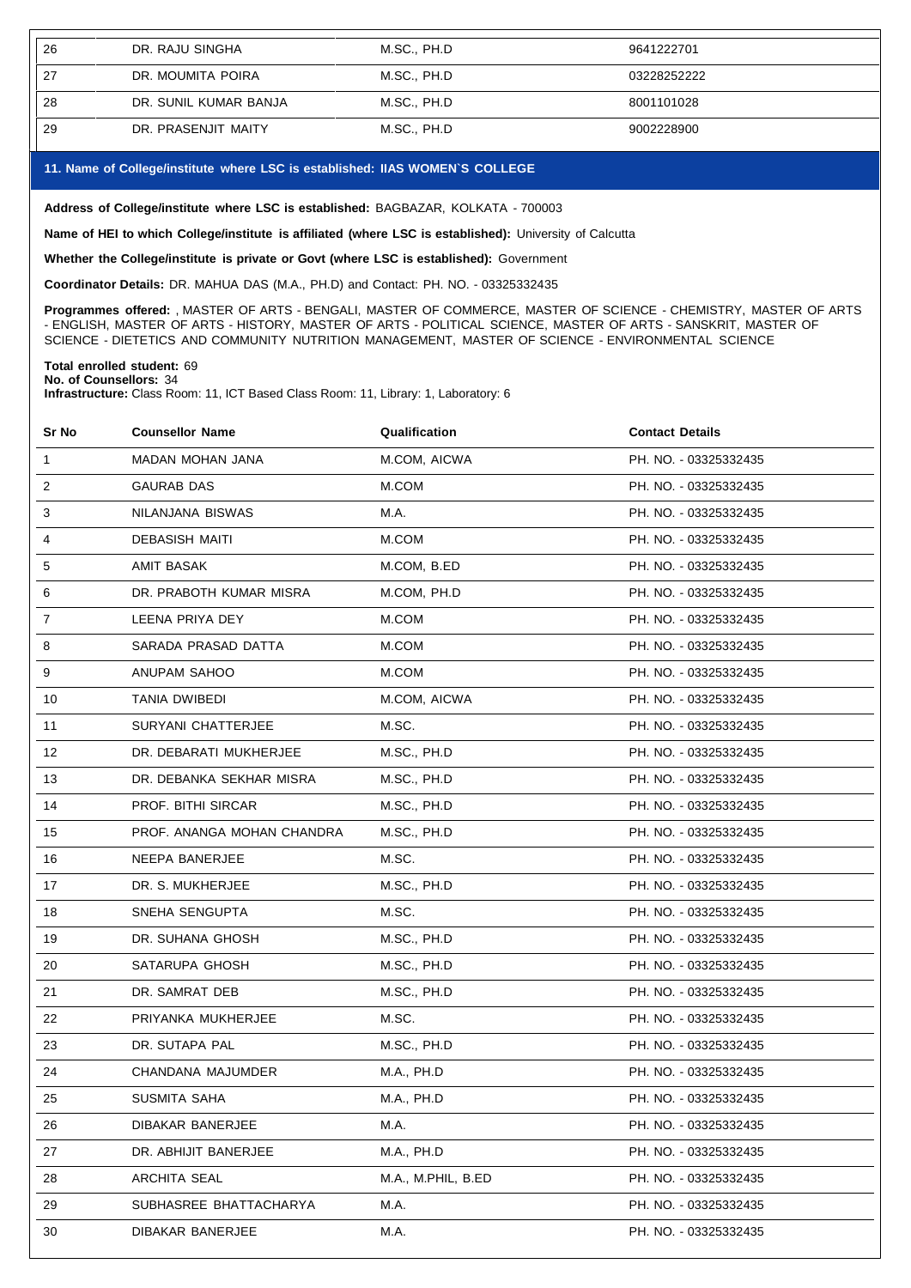| 26 | DR. RAJU SINGHA       | M.SC., PH.D | 9641222701  |
|----|-----------------------|-------------|-------------|
| 27 | DR. MOUMITA POIRA     | M.SC., PH.D | 03228252222 |
| 28 | DR. SUNIL KUMAR BANJA | M.SC., PH.D | 8001101028  |
| 29 | DR. PRASENJIT MAITY   | M.SC., PH.D | 9002228900  |

## **11. Name of College/institute where LSC isestablished: IIAS WOMEN`S COLLEGE**

**Address of College/institute where LSC is established:** BAGBAZAR, KOLKATA - 700003

**Name of HEI to which College/institute is affiliated (where LSC isestablished):** University of Calcutta

**Whether the College/institute is private or Govt (where LSC isestablished):** Government

**Coordinator Details:** DR. MAHUA DAS (M.A., PH.D) and Contact: PH. NO. - 03325332435

**Programmes offered:** , MASTER OF ARTS - BENGALI, MASTER OF COMMERCE, MASTER OF SCIENCE - CHEMISTRY, MASTER OF ARTS - ENGLISH, MASTER OF ARTS - HISTORY, MASTER OF ARTS - POLITICAL SCIENCE, MASTER OF ARTS - SANSKRIT, MASTER OF SCIENCE - DIETETICS AND COMMUNITY NUTRITION MANAGEMENT, MASTER OF SCIENCE - ENVIRONMENTAL SCIENCE

## **Total enrolled student:** 69

**No. of Counsellors:** 34

**Infrastructure:** Class Room: 11, ICT Based Class Room: 11, Library: 1, Laboratory: 6

| Sr No        | <b>Counsellor Name</b>     | Qualification      | <b>Contact Details</b> |
|--------------|----------------------------|--------------------|------------------------|
| $\mathbf{1}$ | MADAN MOHAN JANA           | M.COM, AICWA       | PH. NO. - 03325332435  |
| 2            | GAURAB DAS                 | M.COM              | PH. NO. - 03325332435  |
| 3            | NILANJANA BISWAS           | M.A.               | PH. NO. - 03325332435  |
| 4            | <b>DEBASISH MAITI</b>      | M.COM              | PH. NO. - 03325332435  |
| 5            | AMIT BASAK                 | M.COM, B.ED        | PH. NO. - 03325332435  |
| 6            | DR. PRABOTH KUMAR MISRA    | M.COM, PH.D        | PH. NO. - 03325332435  |
| 7            | LEENA PRIYA DEY            | M.COM              | PH. NO. - 03325332435  |
| 8            | SARADA PRASAD DATTA        | M.COM              | PH. NO. - 03325332435  |
| 9            | ANUPAM SAHOO               | M.COM              | PH. NO. - 03325332435  |
| 10           | TANIA DWIBEDI              | M.COM, AICWA       | PH. NO. - 03325332435  |
| 11           | SURYANI CHATTERJEE         | M.SC.              | PH. NO. - 03325332435  |
| 12           | DR. DEBARATI MUKHERJEE     | M.SC., PH.D        | PH. NO. - 03325332435  |
| 13           | DR. DEBANKA SEKHAR MISRA   | M.SC., PH.D        | PH. NO. - 03325332435  |
| 14           | PROF. BITHI SIRCAR         | M.SC., PH.D        | PH. NO. - 03325332435  |
| 15           | PROF. ANANGA MOHAN CHANDRA | M.SC., PH.D        | PH. NO. - 03325332435  |
| 16           | NEEPA BANERJEE             | M.SC.              | PH. NO. - 03325332435  |
| 17           | DR. S. MUKHERJEE           | M.SC., PH.D        | PH. NO. - 03325332435  |
| 18           | SNEHA SENGUPTA             | M.SC.              | PH. NO. - 03325332435  |
| 19           | DR. SUHANA GHOSH           | M.SC., PH.D        | PH. NO. - 03325332435  |
| 20           | SATARUPA GHOSH             | M.SC., PH.D        | PH. NO. - 03325332435  |
| 21           | DR. SAMRAT DEB             | M.SC., PH.D        | PH. NO. - 03325332435  |
| 22           | PRIYANKA MUKHERJEE         | M.SC.              | PH. NO. - 03325332435  |
| 23           | DR. SUTAPA PAL             | M.SC., PH.D        | PH. NO. - 03325332435  |
| 24           | CHANDANA MAJUMDER          | M.A., PH.D         | PH. NO. - 03325332435  |
| 25           | SUSMITA SAHA               | M.A., PH.D         | PH. NO. - 03325332435  |
| 26           | DIBAKAR BANERJEE           | M.A.               | PH. NO. - 03325332435  |
| 27           | DR. ABHIJIT BANERJEE       | M.A., PH.D         | PH. NO. - 03325332435  |
| 28           | <b>ARCHITA SEAL</b>        | M.A., M.PHIL, B.ED | PH. NO. - 03325332435  |
| 29           | SUBHASREE BHATTACHARYA     | M.A.               | PH. NO. - 03325332435  |
| 30           | DIBAKAR BANERJEE           | M.A.               | PH. NO. - 03325332435  |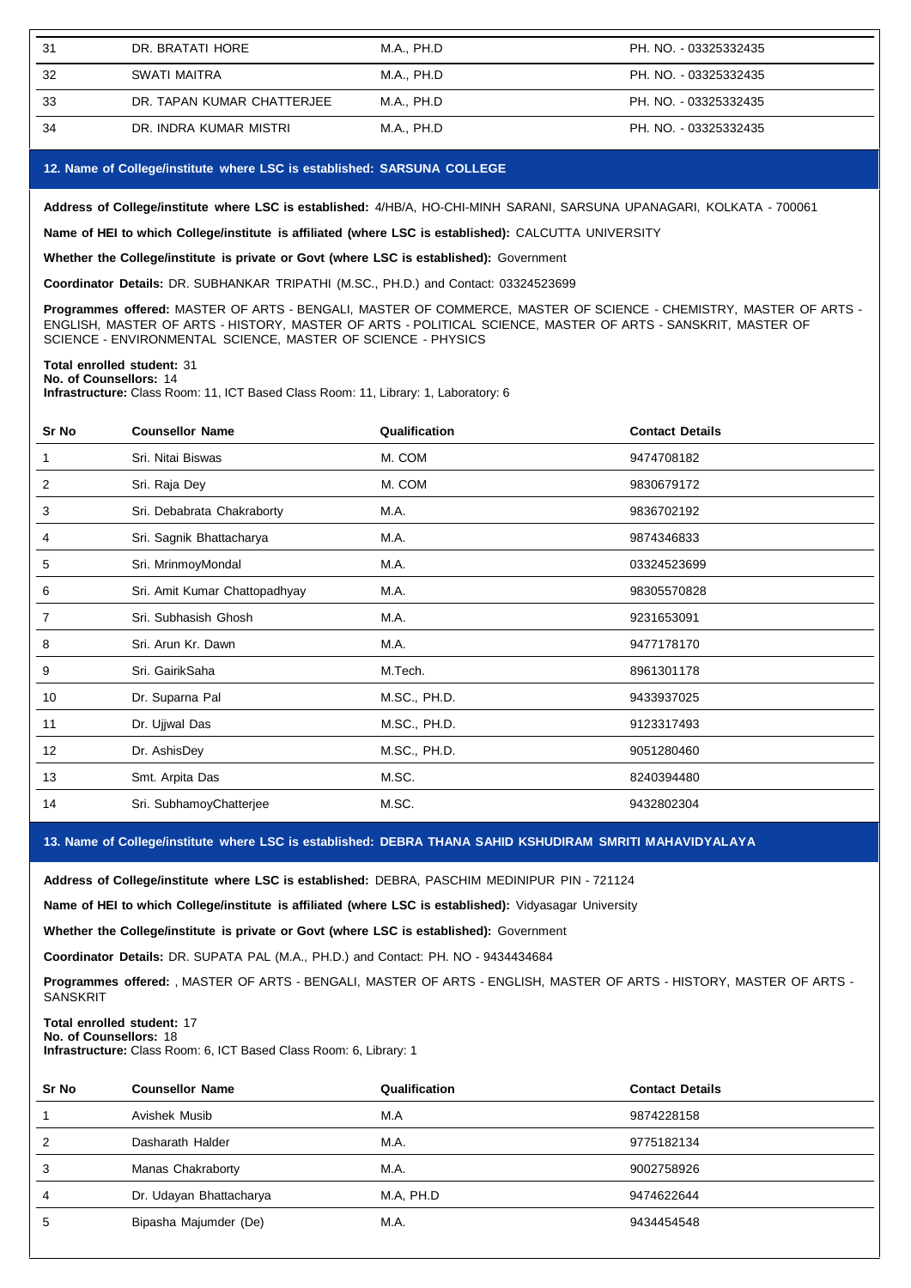| 31 | DR. BRATATI HORE           | M.A., PH.D | PH. NO. - 03325332435 |
|----|----------------------------|------------|-----------------------|
| 32 | SWATI MAITRA               | M.A., PH.D | PH. NO. - 03325332435 |
| 33 | DR. TAPAN KUMAR CHATTERJEE | M.A., PH.D | PH. NO. - 03325332435 |
| 34 | DR. INDRA KUMAR MISTRI     | M.A., PH.D | PH. NO. - 03325332435 |

#### **12. Name of College/institute where LSC isestablished: SARSUNA COLLEGE**

**Address of College/institute where LSC isestablished:** 4/HB/A, HO-CHI-MINH SARANI, SARSUNA UPANAGARI, KOLKATA - 700061

**Name of HEI to which College/institute is affiliated (where LSC is established):** CALCUTTA UNIVERSITY

**Whether the College/institute is private or Govt (where LSC is established):** Government

**Coordinator Details:** DR. SUBHANKAR TRIPATHI (M.SC., PH.D.) and Contact: 03324523699

**Programmes offered:** MASTER OF ARTS - BENGALI, MASTER OF COMMERCE, MASTER OF SCIENCE - CHEMISTRY, MASTER OF ARTS - ENGLISH, MASTER OF ARTS - HISTORY, MASTER OF ARTS - POLITICAL SCIENCE, MASTER OF ARTS - SANSKRIT, MASTER OF SCIENCE - ENVIRONMENTAL SCIENCE, MASTER OF SCIENCE - PHYSICS

## **Total enrolled student:** 31

**No. of Counsellors:** 14

**Infrastructure:** Class Room: 11, ICT Based Class Room: 11, Library: 1, Laboratory: 6

| Sr No | <b>Counsellor Name</b>        | Qualification | <b>Contact Details</b> |
|-------|-------------------------------|---------------|------------------------|
| 1     | Sri. Nitai Biswas             | M. COM        | 9474708182             |
| 2     | Sri. Raja Dey                 | M. COM        | 9830679172             |
| 3     | Sri. Debabrata Chakraborty    | M.A.          | 9836702192             |
| 4     | Sri. Sagnik Bhattacharya      | M.A.          | 9874346833             |
| 5     | Sri. MrinmoyMondal            | M.A.          | 03324523699            |
| 6     | Sri. Amit Kumar Chattopadhyay | M.A.          | 98305570828            |
| 7     | Sri. Subhasish Ghosh          | M.A.          | 9231653091             |
| 8     | Sri. Arun Kr. Dawn            | M.A.          | 9477178170             |
| 9     | Sri. GairikSaha               | M.Tech.       | 8961301178             |
| 10    | Dr. Suparna Pal               | M.SC., PH.D.  | 9433937025             |
| 11    | Dr. Ujjwal Das                | M.SC., PH.D.  | 9123317493             |
| 12    | Dr. AshisDey                  | M.SC., PH.D.  | 9051280460             |
| 13    | Smt. Arpita Das               | M.SC.         | 8240394480             |
| 14    | Sri. SubhamoyChatterjee       | M.SC.         | 9432802304             |

**13. Name of College/institute where LSC isestablished: DEBRA THANA SAHID KSHUDIRAM SMRITI MAHAVIDYALAYA**

**Address of College/institute where LSC isestablished:** DEBRA, PASCHIM MEDINIPUR PIN -721124

**Name of HEI to which College/institute is affiliated (where LSC is established):** Vidyasagar University

**Whether the College/institute is private or Govt (where LSC is established):** Government

**Coordinator Details:** DR. SUPATA PAL (M.A., PH.D.) and Contact: PH. NO - 9434434684

**Programmes offered:** , MASTER OF ARTS - BENGALI, MASTER OF ARTS - ENGLISH, MASTER OF ARTS - HISTORY, MASTER OF ARTS - **SANSKRIT** 

#### **Total enrolled student:** 17

**No. of Counsellors:** 18

**Infrastructure:** Class Room: 6, ICT Based Class Room: 6, Library: 1

| Sr No | <b>Counsellor Name</b>  | Qualification | <b>Contact Details</b> |
|-------|-------------------------|---------------|------------------------|
|       | Avishek Musib           | M.A           | 9874228158             |
| 2     | Dasharath Halder        | M.A.          | 9775182134             |
| 3     | Manas Chakraborty       | M.A.          | 9002758926             |
| 4     | Dr. Udayan Bhattacharya | M.A. PH.D     | 9474622644             |
| 5     | Bipasha Majumder (De)   | M.A.          | 9434454548             |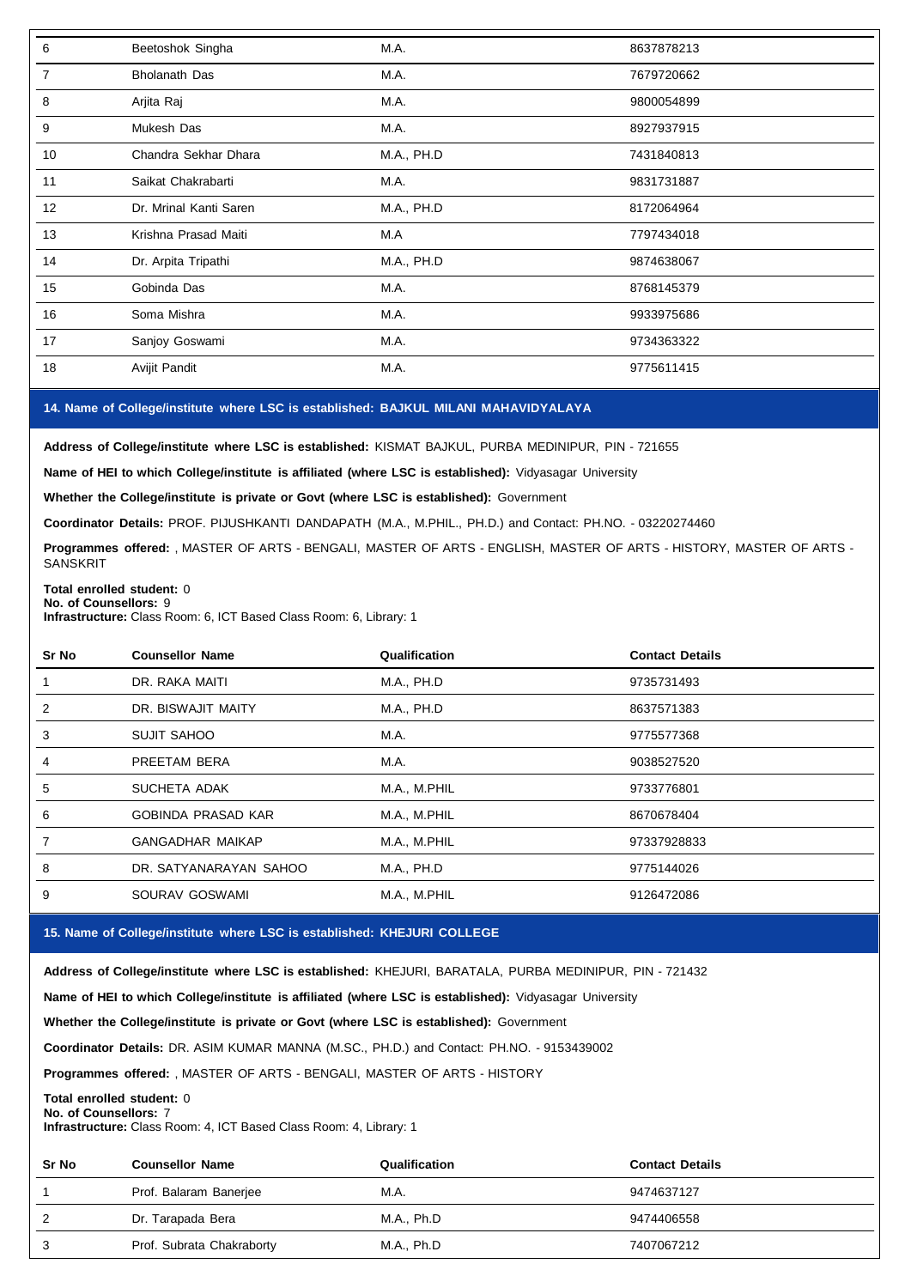| 6  | Beetoshok Singha       | M.A.       | 8637878213 |
|----|------------------------|------------|------------|
| 7  | <b>Bholanath Das</b>   | M.A.       | 7679720662 |
| 8  | Arjita Raj             | M.A.       | 9800054899 |
| 9  | Mukesh Das             | M.A.       | 8927937915 |
| 10 | Chandra Sekhar Dhara   | M.A., PH.D | 7431840813 |
| 11 | Saikat Chakrabarti     | M.A.       | 9831731887 |
| 12 | Dr. Mrinal Kanti Saren | M.A., PH.D | 8172064964 |
| 13 | Krishna Prasad Maiti   | M.A        | 7797434018 |
| 14 | Dr. Arpita Tripathi    | M.A., PH.D | 9874638067 |
| 15 | Gobinda Das            | M.A.       | 8768145379 |
| 16 | Soma Mishra            | M.A.       | 9933975686 |
| 17 | Sanjoy Goswami         | M.A.       | 9734363322 |
| 18 | Avijit Pandit          | M.A.       | 9775611415 |

## **14. Name of College/institute where LSC isestablished: BAJKUL MILANI MAHAVIDYALAYA**

**Address of College/institute where LSC isestablished:** KISMAT BAJKUL, PURBA MEDINIPUR, PIN - 721655

**Name of HEI to which College/institute is affiliated (where LSC is established):** Vidyasagar University

**Whether the College/institute is private or Govt (where LSC is established):** Government

**Coordinator Details:** PROF. PIJUSHKANTI DANDAPATH (M.A., M.PHIL., PH.D.) and Contact: PH.NO. - 03220274460

**Programmes offered:** , MASTER OF ARTS - BENGALI, MASTER OF ARTS - ENGLISH, MASTER OF ARTS - HISTORY, MASTER OF ARTS - **SANSKRIT** 

#### **Total enrolled student:** 0 **No. of Counsellors:** 9

**Infrastructure:** Class Room: 6, ICT Based Class Room: 6, Library: 1

| Sr No | <b>Counsellor Name</b>    | Qualification     | <b>Contact Details</b> |
|-------|---------------------------|-------------------|------------------------|
|       | DR. RAKA MAITI            | <b>M.A., PH.D</b> | 9735731493             |
| 2     | DR. BISWAJIT MAITY        | M.A., PH.D        | 8637571383             |
| 3     | <b>SUJIT SAHOO</b>        | M.A.              | 9775577368             |
| 4     | PREETAM BERA              | M.A.              | 9038527520             |
| 5     | SUCHETA ADAK              | M.A., M.PHIL      | 9733776801             |
| 6     | <b>GOBINDA PRASAD KAR</b> | M.A., M.PHIL      | 8670678404             |
|       | <b>GANGADHAR MAIKAP</b>   | M.A., M.PHIL      | 97337928833            |
| 8     | DR. SATYANARAYAN SAHOO    | M.A., PH.D        | 9775144026             |
| 9     | SOURAV GOSWAMI            | M.A., M.PHIL      | 9126472086             |

## **15. Name of College/institute where LSC isestablished: KHEJURI COLLEGE**

**Address of College/institute where LSC isestablished:** KHEJURI, BARATALA, PURBA MEDINIPUR, PIN - 721432

**Name of HEI to which College/institute is affiliated (where LSC is established):** Vidyasagar University

**Whether the College/institute is private or Govt (where LSC is established):** Government

**Coordinator Details:** DR. ASIM KUMAR MANNA (M.SC., PH.D.) and Contact: PH.NO. - 9153439002

**Programmes offered:** , MASTER OF ARTS - BENGALI, MASTER OF ARTS - HISTORY

## **Total enrolled student:** 0

**No. of Counsellors:** 7

**Infrastructure:** Class Room: 4, ICT Based Class Room: 4, Library: 1

| Sr No | <b>Counsellor Name</b>    | Qualification | <b>Contact Details</b> |
|-------|---------------------------|---------------|------------------------|
|       | Prof. Balaram Banerjee    | M.A.          | 9474637127             |
| 2     | Dr. Tarapada Bera         | M.A., Ph.D    | 9474406558             |
| 3     | Prof. Subrata Chakraborty | M.A., Ph.D    | 7407067212             |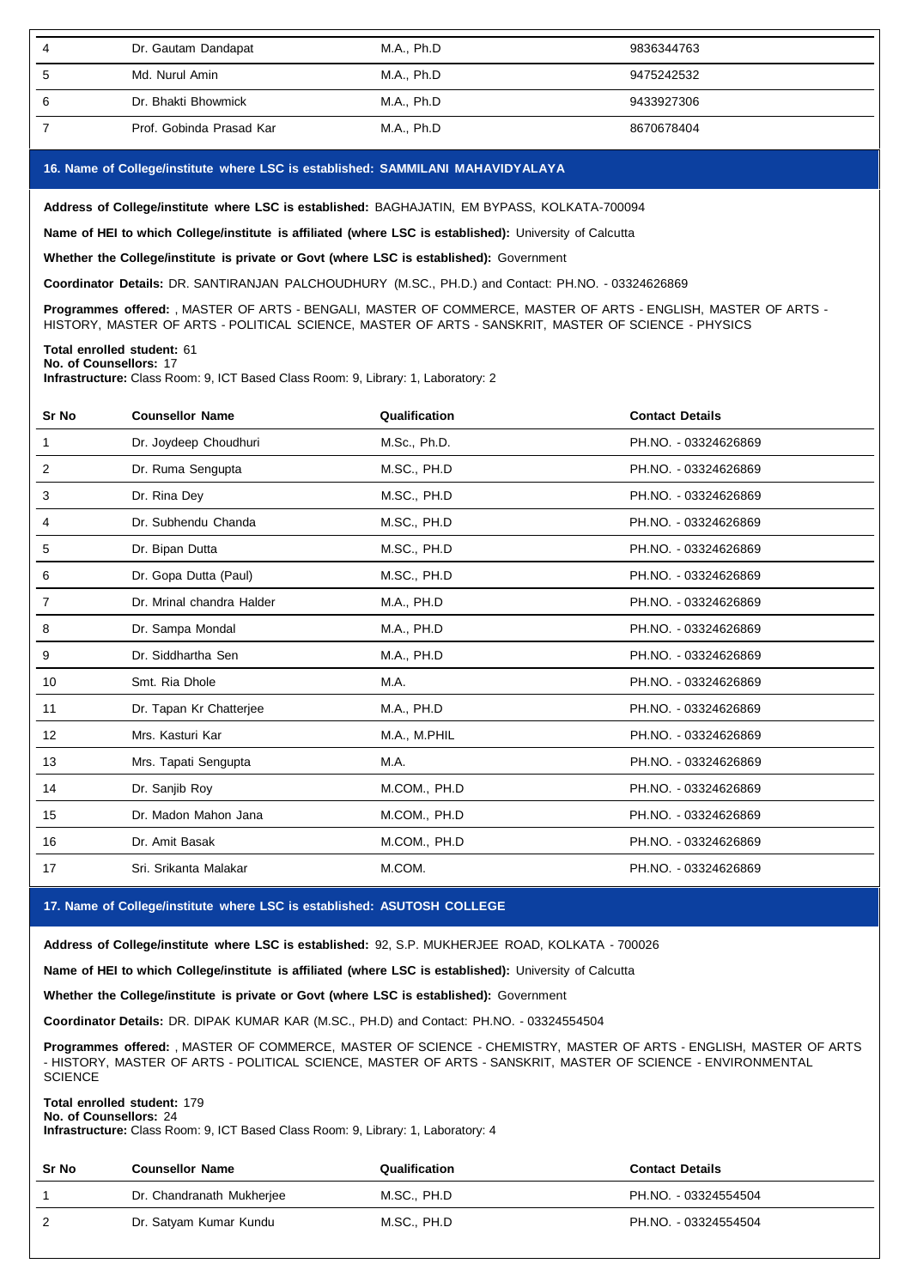| Dr. Gautam Dandapat      | M.A., Ph.D | 9836344763 |
|--------------------------|------------|------------|
| Md. Nurul Amin           | M.A., Ph.D | 9475242532 |
| Dr. Bhakti Bhowmick      | M.A., Ph.D | 9433927306 |
| Prof. Gobinda Prasad Kar | M.A., Ph.D | 8670678404 |

## **16. Name of College/institute where LSC isestablished: SAMMILANI MAHAVIDYALAYA**

**Address of College/institute where LSC isestablished:** BAGHAJATIN, EM BYPASS, KOLKATA-700094

**Name of HEI to which College/institute is affiliated (where LSC is established):** University of Calcutta

**Whether the College/institute is private or Govt (where LSC is established):** Government

**Coordinator Details:** DR. SANTIRANJAN PALCHOUDHURY (M.SC., PH.D.) and Contact: PH.NO. - 03324626869

**Programmes offered:** , MASTER OF ARTS - BENGALI, MASTER OF COMMERCE, MASTER OF ARTS - ENGLISH, MASTER OF ARTS - HISTORY, MASTER OF ARTS - POLITICAL SCIENCE, MASTER OF ARTS - SANSKRIT, MASTER OF SCIENCE - PHYSICS

**Total enrolled student:** 61 **No. of Counsellors:** 17

**Infrastructure:** Class Room: 9, ICT Based Class Room: 9, Library: 1, Laboratory: 2

| Sr No          | <b>Counsellor Name</b>    | Qualification | <b>Contact Details</b> |
|----------------|---------------------------|---------------|------------------------|
|                | Dr. Joydeep Choudhuri     | M.Sc., Ph.D.  | PH.NO. - 03324626869   |
| 2              | Dr. Ruma Sengupta         | M.SC., PH.D   | PH.NO. - 03324626869   |
| 3              | Dr. Rina Dey              | M.SC., PH.D   | PH.NO. - 03324626869   |
| 4              | Dr. Subhendu Chanda       | M.SC., PH.D   | PH.NO. - 03324626869   |
| 5              | Dr. Bipan Dutta           | M.SC., PH.D   | PH.NO. - 03324626869   |
| 6              | Dr. Gopa Dutta (Paul)     | M.SC., PH.D   | PH.NO. - 03324626869   |
| $\overline{7}$ | Dr. Mrinal chandra Halder | M.A., PH.D    | PH.NO. - 03324626869   |
| 8              | Dr. Sampa Mondal          | M.A., PH.D    | PH.NO. - 03324626869   |
| 9              | Dr. Siddhartha Sen        | M.A., PH.D    | PH.NO. - 03324626869   |
| 10             | Smt. Ria Dhole            | M.A.          | PH.NO. - 03324626869   |
| 11             | Dr. Tapan Kr Chatterjee   | M.A., PH.D    | PH.NO. - 03324626869   |
| 12             | Mrs. Kasturi Kar          | M.A., M.PHIL  | PH.NO. - 03324626869   |
| 13             | Mrs. Tapati Sengupta      | M.A.          | PH.NO. - 03324626869   |
| 14             | Dr. Sanjib Roy            | M.COM., PH.D  | PH.NO. - 03324626869   |
| 15             | Dr. Madon Mahon Jana      | M.COM., PH.D  | PH.NO. - 03324626869   |
| 16             | Dr. Amit Basak            | M.COM., PH.D  | PH.NO. - 03324626869   |
| 17             | Sri, Srikanta Malakar     | M.COM.        | PH.NO. - 03324626869   |

## **17. Name of College/institute where LSC isestablished: ASUTOSH COLLEGE**

**Address of College/institute where LSC isestablished:** 92, S.P. MUKHERJEE ROAD, KOLKATA - 700026

**Name of HEI to which College/institute is affiliated (where LSC is established):** University of Calcutta

**Whether the College/institute is private or Govt (where LSC is established):** Government

**Coordinator Details:** DR. DIPAK KUMAR KAR (M.SC., PH.D) and Contact: PH.NO. - 03324554504

**Programmes offered:** , MASTER OF COMMERCE, MASTER OF SCIENCE - CHEMISTRY, MASTER OF ARTS - ENGLISH, MASTER OF ARTS - HISTORY, MASTER OF ARTS - POLITICAL SCIENCE, MASTER OF ARTS - SANSKRIT, MASTER OF SCIENCE - ENVIRONMENTAL **SCIENCE** 

#### **Total enrolled student:** 179 **No. of Counsellors:** 24

**Infrastructure:** Class Room: 9, ICT Based Class Room: 9, Library: 1, Laboratory: 4

| <b>Sr No</b> | <b>Counsellor Name</b>    | Qualification | <b>Contact Details</b> |
|--------------|---------------------------|---------------|------------------------|
|              | Dr. Chandranath Mukherjee | M.SC., PH.D   | PH.NO. - 03324554504   |
| 2            | Dr. Satyam Kumar Kundu    | M.SC., PH.D   | PH.NO. - 03324554504   |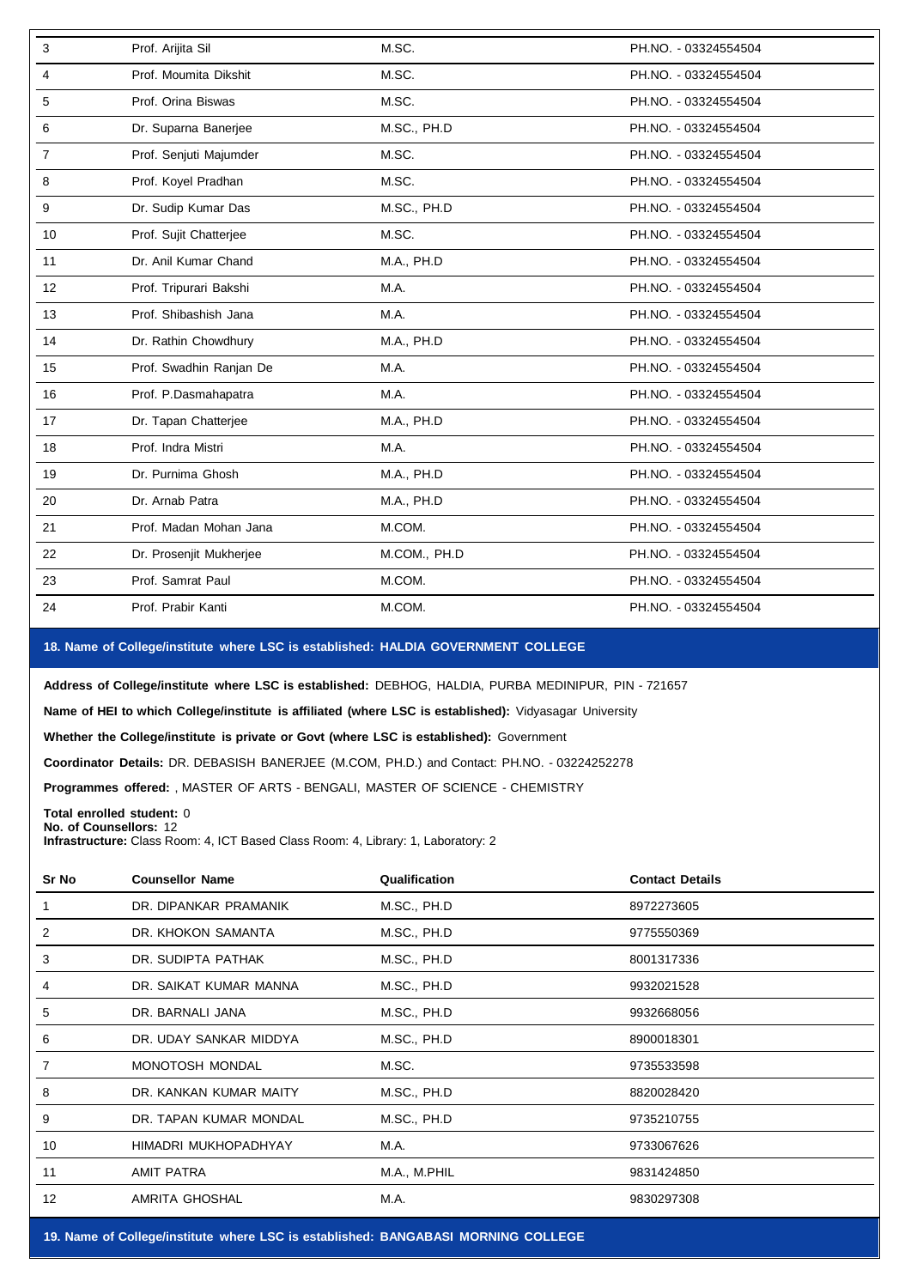| 3  | Prof. Arijita Sil       | M.SC.        | PH.NO. - 03324554504 |
|----|-------------------------|--------------|----------------------|
| 4  | Prof. Moumita Dikshit   | M.SC.        | PH.NO. - 03324554504 |
| 5  | Prof. Orina Biswas      | M.SC.        | PH.NO. - 03324554504 |
| 6  | Dr. Suparna Banerjee    | M.SC., PH.D  | PH.NO. - 03324554504 |
| 7  | Prof. Senjuti Majumder  | M.SC.        | PH.NO. - 03324554504 |
| 8  | Prof. Koyel Pradhan     | M.SC.        | PH.NO. - 03324554504 |
| 9  | Dr. Sudip Kumar Das     | M.SC., PH.D  | PH.NO. - 03324554504 |
| 10 | Prof. Sujit Chatterjee  | M.SC.        | PH.NO. - 03324554504 |
| 11 | Dr. Anil Kumar Chand    | M.A., PH.D   | PH.NO. - 03324554504 |
| 12 | Prof. Tripurari Bakshi  | M.A.         | PH.NO. - 03324554504 |
| 13 | Prof. Shibashish Jana   | M.A.         | PH.NO. - 03324554504 |
| 14 | Dr. Rathin Chowdhury    | M.A., PH.D   | PH.NO. - 03324554504 |
| 15 | Prof. Swadhin Ranjan De | M.A.         | PH.NO. - 03324554504 |
| 16 | Prof. P.Dasmahapatra    | M.A.         | PH.NO. - 03324554504 |
| 17 | Dr. Tapan Chatterjee    | M.A., PH.D   | PH.NO. - 03324554504 |
| 18 | Prof. Indra Mistri      | M.A.         | PH.NO. - 03324554504 |
| 19 | Dr. Purnima Ghosh       | M.A., PH.D   | PH.NO. - 03324554504 |
| 20 | Dr. Arnab Patra         | M.A., PH.D   | PH.NO. - 03324554504 |
| 21 | Prof. Madan Mohan Jana  | M.COM.       | PH.NO. - 03324554504 |
| 22 | Dr. Prosenjit Mukherjee | M.COM., PH.D | PH.NO. - 03324554504 |
| 23 | Prof. Samrat Paul       | M.COM.       | PH.NO. - 03324554504 |
| 24 | Prof. Prabir Kanti      | M.COM.       | PH.NO. - 03324554504 |
|    |                         |              |                      |

# **18. Name of College/institute where LSC isestablished: HALDIA GOVERNMENT COLLEGE**

**Address of College/institute where LSC isestablished:** DEBHOG, HALDIA, PURBA MEDINIPUR, PIN - 721657

**Name of HEI to which College/institute is affiliated (where LSC is established):** Vidyasagar University

**Whether the College/institute is private or Govt (where LSC is established):** Government

**Coordinator Details:** DR. DEBASISH BANERJEE (M.COM, PH.D.) and Contact: PH.NO. - 03224252278

**Programmes offered:** , MASTER OF ARTS - BENGALI, MASTER OF SCIENCE - CHEMISTRY

**Total enrolled student:** 0 **No. of Counsellors:** 12

**Infrastructure:** Class Room: 4, ICT Based Class Room: 4, Library: 1, Laboratory: 2

| Sr No | <b>Counsellor Name</b> | Qualification | <b>Contact Details</b> |  |
|-------|------------------------|---------------|------------------------|--|
|       | DR. DIPANKAR PRAMANIK  | M.SC., PH.D   | 8972273605             |  |
| 2     | DR. KHOKON SAMANTA     | M.SC., PH.D   | 9775550369             |  |
| 3     | DR. SUDIPTA PATHAK     | M.SC., PH.D   | 8001317336             |  |
| 4     | DR. SAIKAT KUMAR MANNA | M.SC., PH.D   | 9932021528             |  |
| 5     | DR. BARNALI JANA       | M.SC., PH.D   | 9932668056             |  |
| 6     | DR. UDAY SANKAR MIDDYA | M.SC., PH.D   | 8900018301             |  |
| 7     | MONOTOSH MONDAL        | M.SC.         | 9735533598             |  |
| 8     | DR. KANKAN KUMAR MAITY | M.SC., PH.D   | 8820028420             |  |
| 9     | DR. TAPAN KUMAR MONDAL | M.SC., PH.D   | 9735210755             |  |
| 10    | HIMADRI MUKHOPADHYAY   | M.A.          | 9733067626             |  |
| 11    | AMIT PATRA             | M.A., M.PHIL  | 9831424850             |  |
| 12    | <b>AMRITA GHOSHAL</b>  | M.A.          | 9830297308             |  |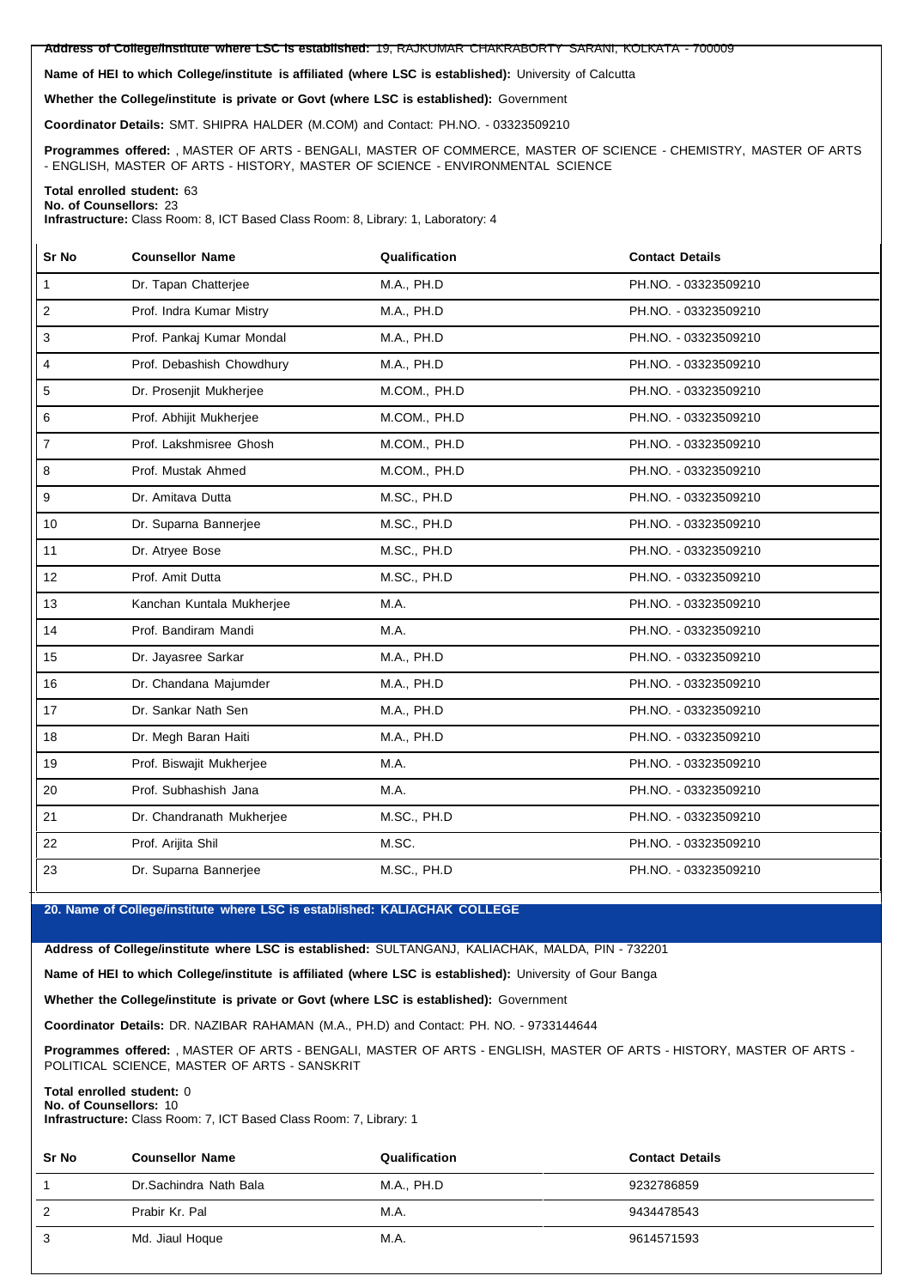**Address of College/institute where LSC is established:** 19, RAJKUMAR CHAKRABORTY SARANI, KOLKATA - 700009

**Name of HEI to which College/institute is affiliated (where LSC isestablished):** University of Calcutta

**Whether the College/institute is private or Govt (where LSC isestablished):** Government

**Coordinator Details:** SMT. SHIPRA HALDER (M.COM) and Contact: PH.NO. - 03323509210

**Programmes offered:** , MASTER OF ARTS - BENGALI, MASTER OF COMMERCE, MASTER OF SCIENCE - CHEMISTRY, MASTER OF ARTS - ENGLISH, MASTER OF ARTS - HISTORY, MASTER OF SCIENCE - ENVIRONMENTAL SCIENCE

#### **Total enrolled student:** 63 **No. of Counsellors:** 23

**Infrastructure:** Class Room: 8, ICT Based Class Room: 8, Library: 1, Laboratory: 4

| Sr No            | <b>Counsellor Name</b>    | Qualification | <b>Contact Details</b> |
|------------------|---------------------------|---------------|------------------------|
| $\mathbf{1}$     | Dr. Tapan Chatterjee      | M.A., PH.D    | PH.NO. - 03323509210   |
| 2                | Prof. Indra Kumar Mistry  | M.A., PH.D    | PH.NO. - 03323509210   |
| 3                | Prof. Pankaj Kumar Mondal | M.A., PH.D    | PH.NO. - 03323509210   |
| 4                | Prof. Debashish Chowdhury | M.A., PH.D    | PH.NO. - 03323509210   |
| 5                | Dr. Prosenjit Mukherjee   | M.COM., PH.D  | PH.NO. - 03323509210   |
| 6                | Prof. Abhijit Mukherjee   | M.COM., PH.D  | PH.NO. - 03323509210   |
| $\boldsymbol{7}$ | Prof. Lakshmisree Ghosh   | M.COM., PH.D  | PH.NO. - 03323509210   |
| 8                | Prof. Mustak Ahmed        | M.COM., PH.D  | PH.NO. - 03323509210   |
| 9                | Dr. Amitava Dutta         | M.SC., PH.D   | PH.NO. - 03323509210   |
| 10               | Dr. Suparna Bannerjee     | M.SC., PH.D   | PH.NO. - 03323509210   |
| 11               | Dr. Atryee Bose           | M.SC., PH.D   | PH.NO. - 03323509210   |
| 12               | Prof. Amit Dutta          | M.SC., PH.D   | PH.NO. - 03323509210   |
| 13               | Kanchan Kuntala Mukherjee | M.A.          | PH.NO. - 03323509210   |
| 14               | Prof. Bandiram Mandi      | M.A.          | PH.NO. - 03323509210   |
| 15               | Dr. Jayasree Sarkar       | M.A., PH.D    | PH.NO. - 03323509210   |
| 16               | Dr. Chandana Majumder     | M.A., PH.D    | PH.NO. - 03323509210   |
| 17               | Dr. Sankar Nath Sen       | M.A., PH.D    | PH.NO. - 03323509210   |
| 18               | Dr. Megh Baran Haiti      | M.A., PH.D    | PH.NO. - 03323509210   |
| 19               | Prof. Biswajit Mukherjee  | M.A.          | PH.NO. - 03323509210   |
| 20               | Prof. Subhashish Jana     | M.A.          | PH.NO. - 03323509210   |
| 21               | Dr. Chandranath Mukherjee | M.SC., PH.D   | PH.NO. - 03323509210   |
| 22               | Prof. Arijita Shil        | M.SC.         | PH.NO. - 03323509210   |
| 23               | Dr. Suparna Bannerjee     | M.SC., PH.D   | PH.NO. - 03323509210   |

#### **20. Name of College/institute where LSC isestablished: KALIACHAK COLLEGE**

**Address of College/institute where LSC is established:** SULTANGANJ, KALIACHAK, MALDA, PIN - 732201

**Name of HEI to which College/institute is affiliated (where LSC isestablished):** University of Gour Banga

**Whether the College/institute is private or Govt (where LSC isestablished):** Government

**Coordinator Details:** DR. NAZIBAR RAHAMAN (M.A., PH.D) and Contact: PH. NO. - 9733144644

**Programmes offered:** , MASTER OF ARTS - BENGALI, MASTER OF ARTS - ENGLISH, MASTER OF ARTS - HISTORY, MASTER OF ARTS - POLITICAL SCIENCE, MASTER OF ARTS - SANSKRIT

#### **Total enrolled student:** 0 **No. of Counsellors:** 10

**Infrastructure:** Class Room: 7, ICT Based Class Room: 7, Library: 1

| Sr No | <b>Counsellor Name</b> | Qualification | <b>Contact Details</b> |
|-------|------------------------|---------------|------------------------|
|       | Dr.Sachindra Nath Bala | M.A., PH.D    | 9232786859             |
| 2     | Prabir Kr. Pal         | M.A.          | 9434478543             |
| 3     | Md. Jiaul Hoque        | M.A.          | 9614571593             |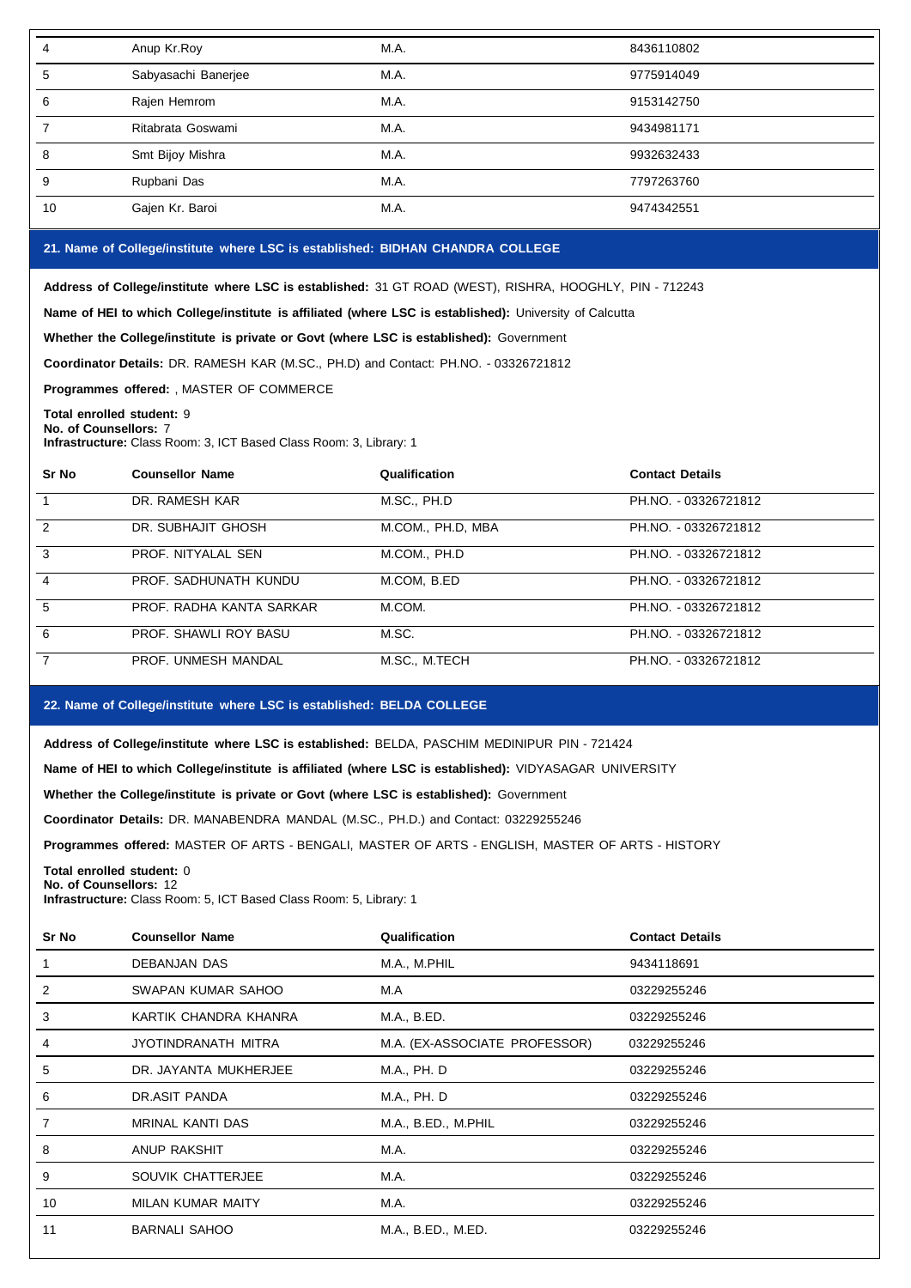| 4                     | Anup Kr.Roy                                                                                                               | M.A.                                                                                                    | 8436110802             |  |  |
|-----------------------|---------------------------------------------------------------------------------------------------------------------------|---------------------------------------------------------------------------------------------------------|------------------------|--|--|
| 5                     | Sabyasachi Banerjee                                                                                                       | M.A.                                                                                                    | 9775914049             |  |  |
| 6                     | Rajen Hemrom                                                                                                              | M.A.                                                                                                    | 9153142750             |  |  |
| $\overline{7}$        | Ritabrata Goswami                                                                                                         | M.A.                                                                                                    | 9434981171             |  |  |
| 8                     | Smt Bijoy Mishra                                                                                                          | M.A.                                                                                                    | 9932632433             |  |  |
| 9                     | Rupbani Das                                                                                                               | M.A.                                                                                                    | 7797263760             |  |  |
| 10                    | Gajen Kr. Baroi                                                                                                           | M.A.                                                                                                    | 9474342551             |  |  |
|                       | 21. Name of College/institute where LSC is established: BIDHAN CHANDRA COLLEGE                                            |                                                                                                         |                        |  |  |
|                       |                                                                                                                           | Address of College/institute where LSC is established: 31 GT ROAD (WEST), RISHRA, HOOGHLY, PIN - 712243 |                        |  |  |
|                       |                                                                                                                           | Name of HEI to which College/institute is affiliated (where LSC is established): University of Calcutta |                        |  |  |
|                       | Whether the College/institute is private or Govt (where LSC is established): Government                                   |                                                                                                         |                        |  |  |
|                       | Coordinator Details: DR. RAMESH KAR (M.SC., PH.D) and Contact: PH.NO. - 03326721812                                       |                                                                                                         |                        |  |  |
|                       | Programmes offered: , MASTER OF COMMERCE                                                                                  |                                                                                                         |                        |  |  |
|                       | Total enrolled student: 9                                                                                                 |                                                                                                         |                        |  |  |
| No. of Counsellors: 7 | Infrastructure: Class Room: 3, ICT Based Class Room: 3, Library: 1                                                        |                                                                                                         |                        |  |  |
| Sr No                 | <b>Counsellor Name</b>                                                                                                    | Qualification                                                                                           | <b>Contact Details</b> |  |  |
| $\mathbf{1}$          | DR. RAMESH KAR                                                                                                            | M.SC., PH.D                                                                                             | PH.NO. - 03326721812   |  |  |
| $\overline{2}$        | DR. SUBHAJIT GHOSH                                                                                                        | M.COM., PH.D, MBA                                                                                       | PH.NO. - 03326721812   |  |  |
| 3                     | PROF. NITYALAL SEN                                                                                                        | M.COM., PH.D                                                                                            | PH.NO. - 03326721812   |  |  |
| 4                     | PROF. SADHUNATH KUNDU                                                                                                     | M.COM, B.ED                                                                                             | PH.NO. - 03326721812   |  |  |
| 5                     | PROF. RADHA KANTA SARKAR                                                                                                  | M.COM.                                                                                                  | PH.NO. - 03326721812   |  |  |
| 6                     | PROF. SHAWLI ROY BASU                                                                                                     | M.SC.                                                                                                   | PH.NO. - 03326721812   |  |  |
| $\overline{7}$        | PROF. UNMESH MANDAL                                                                                                       | M.SC., M.TECH                                                                                           | PH.NO. - 03326721812   |  |  |
|                       |                                                                                                                           |                                                                                                         |                        |  |  |
|                       | 22. Name of College/institute where LSC is established: BELDA COLLEGE                                                     |                                                                                                         |                        |  |  |
|                       |                                                                                                                           | Address of College/institute where LSC is established: BELDA, PASCHIM MEDINIPUR PIN - 721424            |                        |  |  |
|                       |                                                                                                                           | Name of HEI to which College/institute is affiliated (where LSC is established): VIDYASAGAR UNIVERSITY  |                        |  |  |
|                       | Whether the College/institute is private or Govt (where LSC is established): Government                                   |                                                                                                         |                        |  |  |
|                       | Coordinator Details: DR. MANABENDRA MANDAL (M.SC., PH.D.) and Contact: 03229255246                                        |                                                                                                         |                        |  |  |
|                       |                                                                                                                           | Programmes offered: MASTER OF ARTS - BENGALI, MASTER OF ARTS - ENGLISH, MASTER OF ARTS - HISTORY        |                        |  |  |
|                       | Total enrolled student: 0<br>No. of Counsellors: 12<br>Infrastructure: Class Room: 5, ICT Based Class Room: 5, Library: 1 |                                                                                                         |                        |  |  |
| Sr No                 | <b>Counsellor Name</b>                                                                                                    | Qualification                                                                                           | <b>Contact Details</b> |  |  |
| $\mathbf{1}$          | DEBANJAN DAS                                                                                                              | M.A., M.PHIL                                                                                            | 9434118691             |  |  |
| $\overline{c}$        | SWAPAN KUMAR SAHOO                                                                                                        | M.A                                                                                                     | 03229255246            |  |  |
| 3                     | KARTIK CHANDRA KHANRA                                                                                                     | M.A., B.ED.                                                                                             | 03229255246            |  |  |
| 4                     | JYOTINDRANATH MITRA                                                                                                       | M.A. (EX-ASSOCIATE PROFESSOR)                                                                           | 03229255246            |  |  |
|                       |                                                                                                                           |                                                                                                         |                        |  |  |

5 DR. JAYANTA MUKHERJEE M.A., PH. D 03229255246 6 DR.ASIT PANDA M.A., PH. D 03229255246 7 MRINAL KANTI DAS M.A., B.ED., M.PHIL 03229255246 8 ANUP RAKSHIT M.A. M.A. 03229255246 9 SOUVIK CHATTERJEE M.A. M.A. 63229255246 10 MILAN KUMAR MAITY M.A. 03229255246 11 BARNALI SAHOO M.A., B.ED., M.ED. 03229255246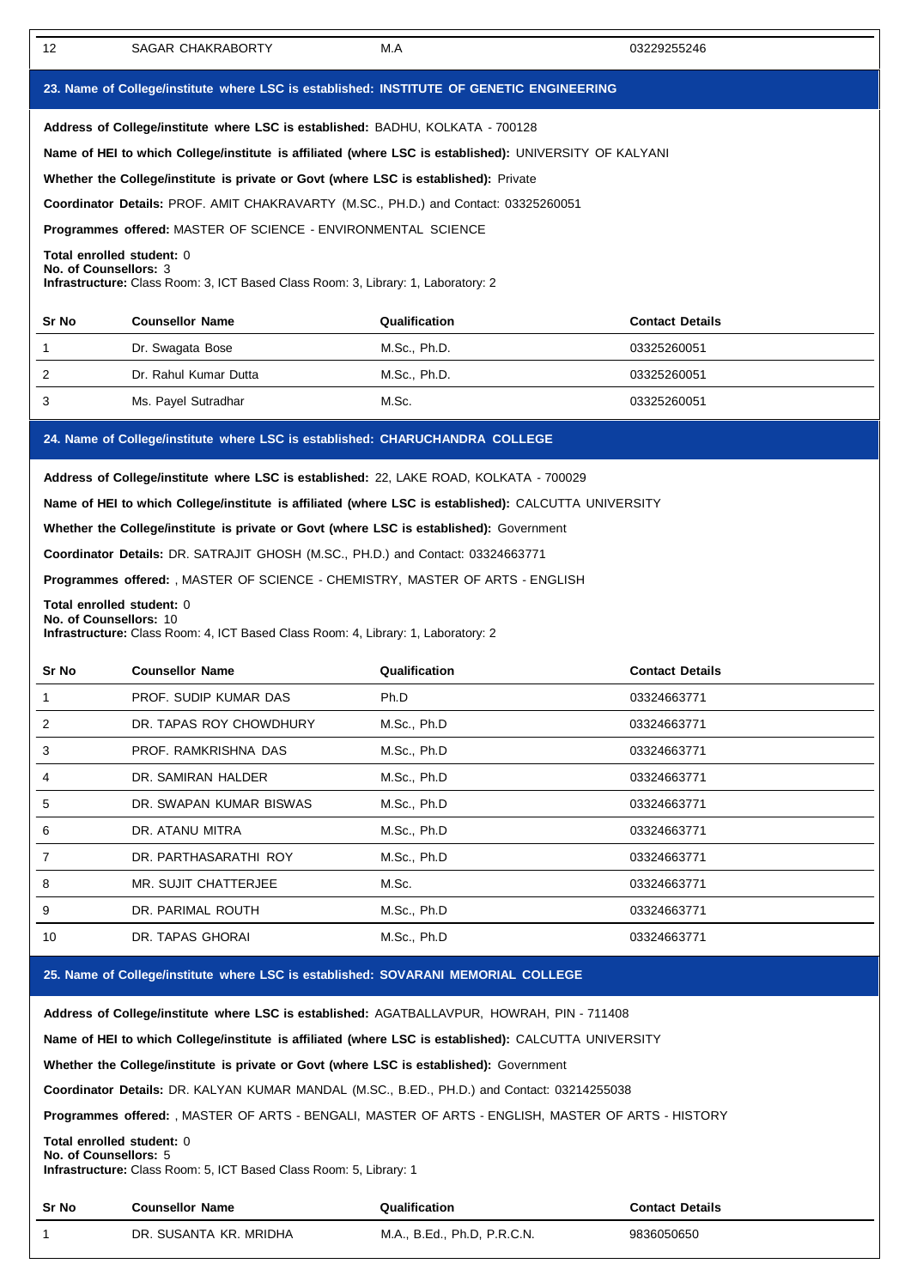| 12                                                                                                                                                                                                 | SAGAR CHAKRABORTY                                                                                                                                                                                                                                                                                                                                                                                                                                                    | M.A           | 03229255246            |  |  |  |
|----------------------------------------------------------------------------------------------------------------------------------------------------------------------------------------------------|----------------------------------------------------------------------------------------------------------------------------------------------------------------------------------------------------------------------------------------------------------------------------------------------------------------------------------------------------------------------------------------------------------------------------------------------------------------------|---------------|------------------------|--|--|--|
|                                                                                                                                                                                                    | 23. Name of College/institute where LSC is established: INSTITUTE OF GENETIC ENGINEERING                                                                                                                                                                                                                                                                                                                                                                             |               |                        |  |  |  |
|                                                                                                                                                                                                    | Address of College/institute where LSC is established: BADHU, KOLKATA - 700128                                                                                                                                                                                                                                                                                                                                                                                       |               |                        |  |  |  |
|                                                                                                                                                                                                    | Name of HEI to which College/institute is affiliated (where LSC is established): UNIVERSITY OF KALYANI                                                                                                                                                                                                                                                                                                                                                               |               |                        |  |  |  |
|                                                                                                                                                                                                    | Whether the College/institute is private or Govt (where LSC is established): Private                                                                                                                                                                                                                                                                                                                                                                                 |               |                        |  |  |  |
|                                                                                                                                                                                                    | Coordinator Details: PROF. AMIT CHAKRAVARTY (M.SC., PH.D.) and Contact: 03325260051                                                                                                                                                                                                                                                                                                                                                                                  |               |                        |  |  |  |
|                                                                                                                                                                                                    | <b>Programmes offered: MASTER OF SCIENCE - ENVIRONMENTAL SCIENCE</b>                                                                                                                                                                                                                                                                                                                                                                                                 |               |                        |  |  |  |
| Total enrolled student: 0<br>No. of Counsellors: 3                                                                                                                                                 | <b>Infrastructure:</b> Class Room: 3, ICT Based Class Room: 3, Library: 1, Laboratory: 2                                                                                                                                                                                                                                                                                                                                                                             |               |                        |  |  |  |
| Sr No                                                                                                                                                                                              | <b>Counsellor Name</b>                                                                                                                                                                                                                                                                                                                                                                                                                                               | Qualification | <b>Contact Details</b> |  |  |  |
| 1                                                                                                                                                                                                  | Dr. Swagata Bose                                                                                                                                                                                                                                                                                                                                                                                                                                                     | M.Sc., Ph.D.  | 03325260051            |  |  |  |
| 2                                                                                                                                                                                                  | Dr. Rahul Kumar Dutta                                                                                                                                                                                                                                                                                                                                                                                                                                                | M.Sc., Ph.D.  | 03325260051            |  |  |  |
| 3                                                                                                                                                                                                  | Ms. Payel Sutradhar                                                                                                                                                                                                                                                                                                                                                                                                                                                  | M.Sc.         | 03325260051            |  |  |  |
|                                                                                                                                                                                                    | 24. Name of College/institute where LSC is established: CHARUCHANDRA COLLEGE                                                                                                                                                                                                                                                                                                                                                                                         |               |                        |  |  |  |
|                                                                                                                                                                                                    | Address of College/institute where LSC is established: 22, LAKE ROAD, KOLKATA - 700029<br>Name of HEI to which College/institute is affiliated (where LSC is established): CALCUTTA UNIVERSITY<br>Whether the College/institute is private or Govt (where LSC is established): Government<br>Coordinator Details: DR. SATRAJIT GHOSH (M.SC., PH.D.) and Contact: 03324663771<br><b>Programmes offered:</b> , MASTER OF SCIENCE - CHEMISTRY, MASTER OF ARTS - ENGLISH |               |                        |  |  |  |
| Total enrolled student: 0<br>No. of Counsellors: 10                                                                                                                                                | Infrastructure: Class Room: 4, ICT Based Class Room: 4, Library: 1, Laboratory: 2                                                                                                                                                                                                                                                                                                                                                                                    |               |                        |  |  |  |
| Sr No                                                                                                                                                                                              | <b>Counsellor Name</b>                                                                                                                                                                                                                                                                                                                                                                                                                                               | Qualification | <b>Contact Details</b> |  |  |  |
| 1                                                                                                                                                                                                  | PROF. SUDIP KUMAR DAS                                                                                                                                                                                                                                                                                                                                                                                                                                                | Ph.D          | 03324663771            |  |  |  |
| 2                                                                                                                                                                                                  | DR. TAPAS ROY CHOWDHURY                                                                                                                                                                                                                                                                                                                                                                                                                                              | M.Sc., Ph.D   | 03324663771            |  |  |  |
| 3                                                                                                                                                                                                  | PROF. RAMKRISHNA DAS                                                                                                                                                                                                                                                                                                                                                                                                                                                 | M.Sc., Ph.D   | 03324663771            |  |  |  |
| 4                                                                                                                                                                                                  | DR. SAMIRAN HALDER                                                                                                                                                                                                                                                                                                                                                                                                                                                   | M.Sc., Ph.D   | 03324663771            |  |  |  |
| 5                                                                                                                                                                                                  | DR. SWAPAN KUMAR BISWAS                                                                                                                                                                                                                                                                                                                                                                                                                                              | M.Sc., Ph.D   | 03324663771            |  |  |  |
| 6                                                                                                                                                                                                  | DR. ATANU MITRA                                                                                                                                                                                                                                                                                                                                                                                                                                                      | M.Sc., Ph.D   | 03324663771            |  |  |  |
| 7                                                                                                                                                                                                  | DR. PARTHASARATHI ROY                                                                                                                                                                                                                                                                                                                                                                                                                                                | M.Sc., Ph.D   | 03324663771            |  |  |  |
| 8                                                                                                                                                                                                  | MR. SUJIT CHATTERJEE                                                                                                                                                                                                                                                                                                                                                                                                                                                 | M.Sc.         | 03324663771            |  |  |  |
| 9                                                                                                                                                                                                  | DR. PARIMAL ROUTH                                                                                                                                                                                                                                                                                                                                                                                                                                                    | M.Sc., Ph.D   | 03324663771            |  |  |  |
| 10                                                                                                                                                                                                 | DR. TAPAS GHORAI                                                                                                                                                                                                                                                                                                                                                                                                                                                     | M.Sc., Ph.D   | 03324663771            |  |  |  |
|                                                                                                                                                                                                    | 25. Name of College/institute where LSC is established: SOVARANI MEMORIAL COLLEGE                                                                                                                                                                                                                                                                                                                                                                                    |               |                        |  |  |  |
| Address of College/institute where LSC is established: AGATBALLAVPUR, HOWRAH, PIN - 711408<br>Name of HEI to which College/institute is affiliated (where LSC is established): CALCUTTA UNIVERSITY |                                                                                                                                                                                                                                                                                                                                                                                                                                                                      |               |                        |  |  |  |

**Whether the College/institute is private or Govt (where LSC is established):** Government

**Coordinator Details:** DR. KALYAN KUMAR MANDAL (M.SC., B.ED., PH.D.) and Contact: 03214255038

**Programmes offered:** , MASTER OF ARTS - BENGALI, MASTER OF ARTS - ENGLISH, MASTER OF ARTS - HISTORY

**Total enrolled student:** 0 **No. of Counsellors:** 5

**Infrastructure:** Class Room: 5, ICT Based Class Room: 5, Library: 1

| <b>Sr No</b> | <b>Counsellor Name</b> | Qualification               | <b>Contact Details</b> |
|--------------|------------------------|-----------------------------|------------------------|
|              | DR. SUSANTA KR. MRIDHA | M.A., B.Ed., Ph.D. P.R.C.N. | 9836050650             |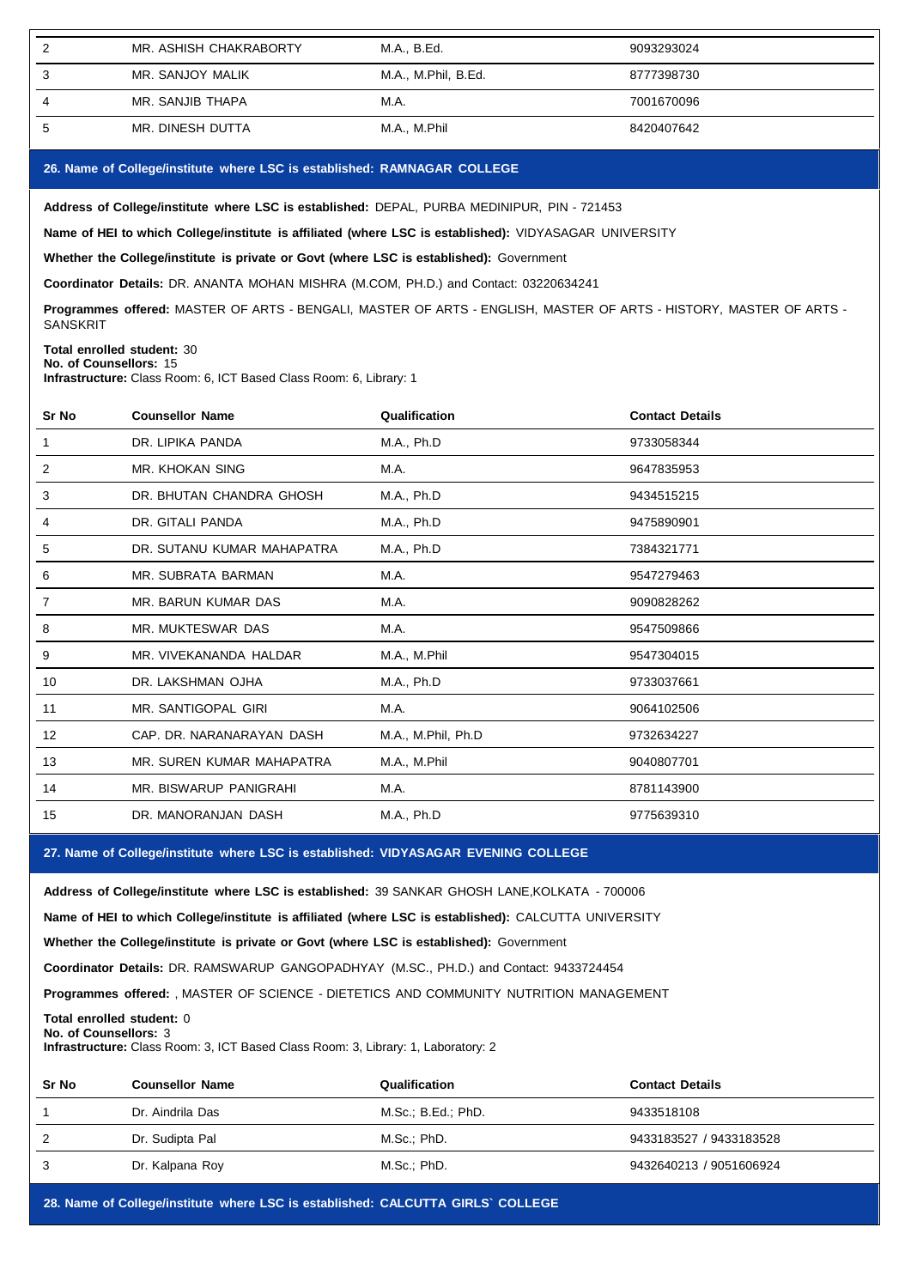| MR. ASHISH CHAKRABORTY | M.A., B.Ed.         | 9093293024 |
|------------------------|---------------------|------------|
| MR. SANJOY MALIK       | M.A., M.Phil, B.Ed. | 8777398730 |
| MR. SANJIB THAPA       | M.A.                | 7001670096 |
| MR. DINESH DUTTA       | M.A., M.Phil        | 8420407642 |

## **26. Name of College/institute where LSC isestablished: RAMNAGAR COLLEGE**

**Address of College/institute where LSC isestablished:** DEPAL, PURBA MEDINIPUR, PIN - 721453

**Name of HEI to which College/institute is affiliated (where LSC is established):** VIDYASAGAR UNIVERSITY

**Whether the College/institute is private or Govt (where LSC is established):** Government

**Coordinator Details:** DR. ANANTA MOHAN MISHRA (M.COM, PH.D.) and Contact: 03220634241

**Programmes offered:** MASTER OF ARTS - BENGALI, MASTER OF ARTS - ENGLISH, MASTER OF ARTS - HISTORY, MASTER OF ARTS - **SANSKRIT** 

## **Total enrolled student:** 30

**No. of Counsellors:** 15

**Infrastructure:** Class Room: 6, ICT Based Class Room: 6, Library: 1

| Sr No | <b>Counsellor Name</b>     | Qualification      | <b>Contact Details</b> |
|-------|----------------------------|--------------------|------------------------|
|       | DR. LIPIKA PANDA           | M.A., Ph.D         | 9733058344             |
| 2     | <b>MR. KHOKAN SING</b>     | M.A.               | 9647835953             |
| 3     | DR. BHUTAN CHANDRA GHOSH   | M.A., Ph.D         | 9434515215             |
| 4     | DR. GITALI PANDA           | M.A., Ph.D         | 9475890901             |
| 5     | DR. SUTANU KUMAR MAHAPATRA | M.A., Ph.D         | 7384321771             |
| 6     | MR. SUBRATA BARMAN         | M.A.               | 9547279463             |
| 7     | MR. BARUN KUMAR DAS        | M.A.               | 9090828262             |
| 8     | MR. MUKTESWAR DAS          | M.A.               | 9547509866             |
| 9     | MR. VIVEKANANDA HALDAR     | M.A., M.Phil       | 9547304015             |
| 10    | DR. LAKSHMAN OJHA          | M.A., Ph.D         | 9733037661             |
| 11    | MR. SANTIGOPAL GIRI        | M.A.               | 9064102506             |
| 12    | CAP. DR. NARANARAYAN DASH  | M.A., M.Phil, Ph.D | 9732634227             |
| 13    | MR. SUREN KUMAR MAHAPATRA  | M.A., M.Phil       | 9040807701             |
| 14    | MR. BISWARUP PANIGRAHI     | M.A.               | 8781143900             |
| 15    | DR. MANORANJAN DASH        | M.A., Ph.D         | 9775639310             |

**27. Name of College/institute where LSC isestablished: VIDYASAGAR EVENING COLLEGE**

**Address of College/institute where LSC isestablished:** 39 SANKAR GHOSH LANE,KOLKATA - 700006

**Name of HEI to which College/institute is affiliated (where LSC is established):** CALCUTTA UNIVERSITY

**Whether the College/institute is private or Govt (where LSC is established):** Government

**Coordinator Details:** DR. RAMSWARUP GANGOPADHYAY (M.SC., PH.D.) and Contact: 9433724454

**Programmes offered:** , MASTER OF SCIENCE - DIETETICS AND COMMUNITY NUTRITION MANAGEMENT

**Total enrolled student:** 0 **No. of Counsellors:** 3

**Infrastructure:** Class Room: 3, ICT Based Class Room: 3, Library: 1, Laboratory: 2

| Sr No | <b>Counsellor Name</b> | Qualification      | <b>Contact Details</b>  |
|-------|------------------------|--------------------|-------------------------|
|       | Dr. Aindrila Das       | M.Sc.; B.Ed.; PhD. | 9433518108              |
|       | Dr. Sudipta Pal        | M.Sc.; PhD.        | 9433183527 / 9433183528 |
| 3     | Dr. Kalpana Roy        | M.Sc.; PhD.        | 9432640213 / 9051606924 |

**28. Name of College/institute where LSC isestablished: CALCUTTA GIRLS` COLLEGE**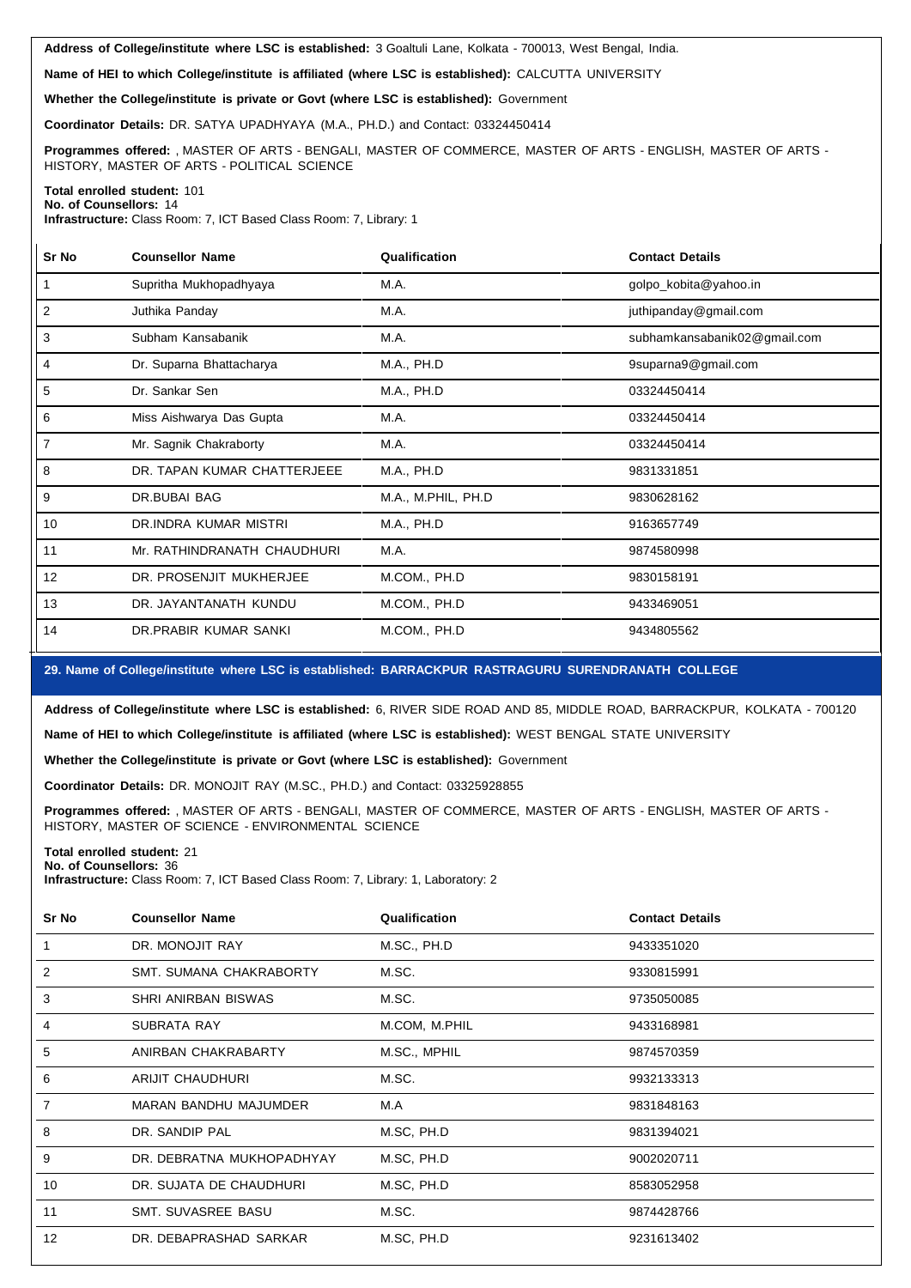**Address of College/institute where LSC is established:** 3 Goaltuli Lane, Kolkata - 700013, West Bengal, India.

**Name of HEI to which College/institute is affiliated (where LSC isestablished):** CALCUTTA UNIVERSITY

**Whether the College/institute is private or Govt (where LSC isestablished):** Government

**Coordinator Details:** DR. SATYA UPADHYAYA (M.A., PH.D.) and Contact: 03324450414

**Programmes offered:** , MASTER OF ARTS - BENGALI, MASTER OF COMMERCE, MASTER OF ARTS - ENGLISH, MASTER OF ARTS - HISTORY, MASTER OF ARTS - POLITICAL SCIENCE

#### **Total enrolled student:** 101 **No. of Counsellors:** 14

**Infrastructure:** Class Room: 7, ICT Based Class Room: 7, Library: 1

| Sr No          | <b>Counsellor Name</b>      | Qualification      | <b>Contact Details</b>       |
|----------------|-----------------------------|--------------------|------------------------------|
|                | Supritha Mukhopadhyaya      | M.A.               | golpo_kobita@yahoo.in        |
| $\overline{2}$ | Juthika Panday              | M.A.               | juthipanday@gmail.com        |
| 3              | Subham Kansabanik           | M.A.               | subhamkansabanik02@gmail.com |
| 4              | Dr. Suparna Bhattacharya    | M.A., PH.D         | 9suparna9@gmail.com          |
| 5              | Dr. Sankar Sen              | M.A., PH.D         | 03324450414                  |
| 6              | Miss Aishwarya Das Gupta    | M.A.               | 03324450414                  |
| 7              | Mr. Sagnik Chakraborty      | M.A.               | 03324450414                  |
| 8              | DR. TAPAN KUMAR CHATTERJEEE | M.A., PH.D         | 9831331851                   |
| 9              | DR.BUBAI BAG                | M.A., M.PHIL, PH.D | 9830628162                   |
| 10             | DR.INDRA KUMAR MISTRI       | M.A., PH.D         | 9163657749                   |
| 11             | Mr. RATHINDRANATH CHAUDHURI | M.A.               | 9874580998                   |
| 12             | DR. PROSENJIT MUKHERJEE     | M.COM., PH.D       | 9830158191                   |
| 13             | DR. JAYANTANATH KUNDU       | M.COM., PH.D       | 9433469051                   |
| 14             | DR.PRABIR KUMAR SANKI       | M.COM., PH.D       | 9434805562                   |

## **29. Name of College/institute where LSC isestablished: BARRACKPUR RASTRAGURU SURENDRANATH COLLEGE**

**Address of College/institute where LSC is established:** 6, RIVER SIDE ROAD AND 85, MIDDLE ROAD, BARRACKPUR, KOLKATA - 700120

**Name of HEI to which College/institute is affiliated (where LSC isestablished):** WEST BENGAL STATE UNIVERSITY

**Whether the College/institute is private or Govt (where LSC isestablished):** Government

**Coordinator Details:** DR. MONOJIT RAY (M.SC., PH.D.) and Contact: 03325928855

**Programmes offered:** , MASTER OF ARTS - BENGALI, MASTER OF COMMERCE, MASTER OF ARTS - ENGLISH, MASTER OF ARTS - HISTORY, MASTER OF SCIENCE - ENVIRONMENTAL SCIENCE

#### **Total enrolled student:** 21

**No. of Counsellors:** 36 **Infrastructure:** Class Room: 7, ICT Based Class Room: 7, Library: 1, Laboratory: 2

| Sr No          | <b>Counsellor Name</b>       | Qualification | <b>Contact Details</b> |
|----------------|------------------------------|---------------|------------------------|
|                | DR. MONOJIT RAY              | M.SC., PH.D   | 9433351020             |
| 2              | SMT. SUMANA CHAKRABORTY      | M.SC.         | 9330815991             |
| 3              | SHRI ANIRBAN BISWAS          | M.SC.         | 9735050085             |
| 4              | SUBRATA RAY                  | M.COM, M.PHIL | 9433168981             |
| 5              | ANIRBAN CHAKRABARTY          | M.SC., MPHIL  | 9874570359             |
| 6              | <b>ARIJIT CHAUDHURI</b>      | M.SC.         | 9932133313             |
| $\overline{7}$ | <b>MARAN BANDHU MAJUMDER</b> | M.A           | 9831848163             |
| 8              | DR. SANDIP PAL               | M.SC, PH.D    | 9831394021             |
| 9              | DR. DEBRATNA MUKHOPADHYAY    | M.SC, PH.D    | 9002020711             |
| 10             | DR. SUJATA DE CHAUDHURI      | M.SC, PH.D    | 8583052958             |
| 11             | SMT. SUVASREE BASU           | M.SC.         | 9874428766             |
| 12             | DR. DEBAPRASHAD SARKAR       | M.SC, PH.D    | 9231613402             |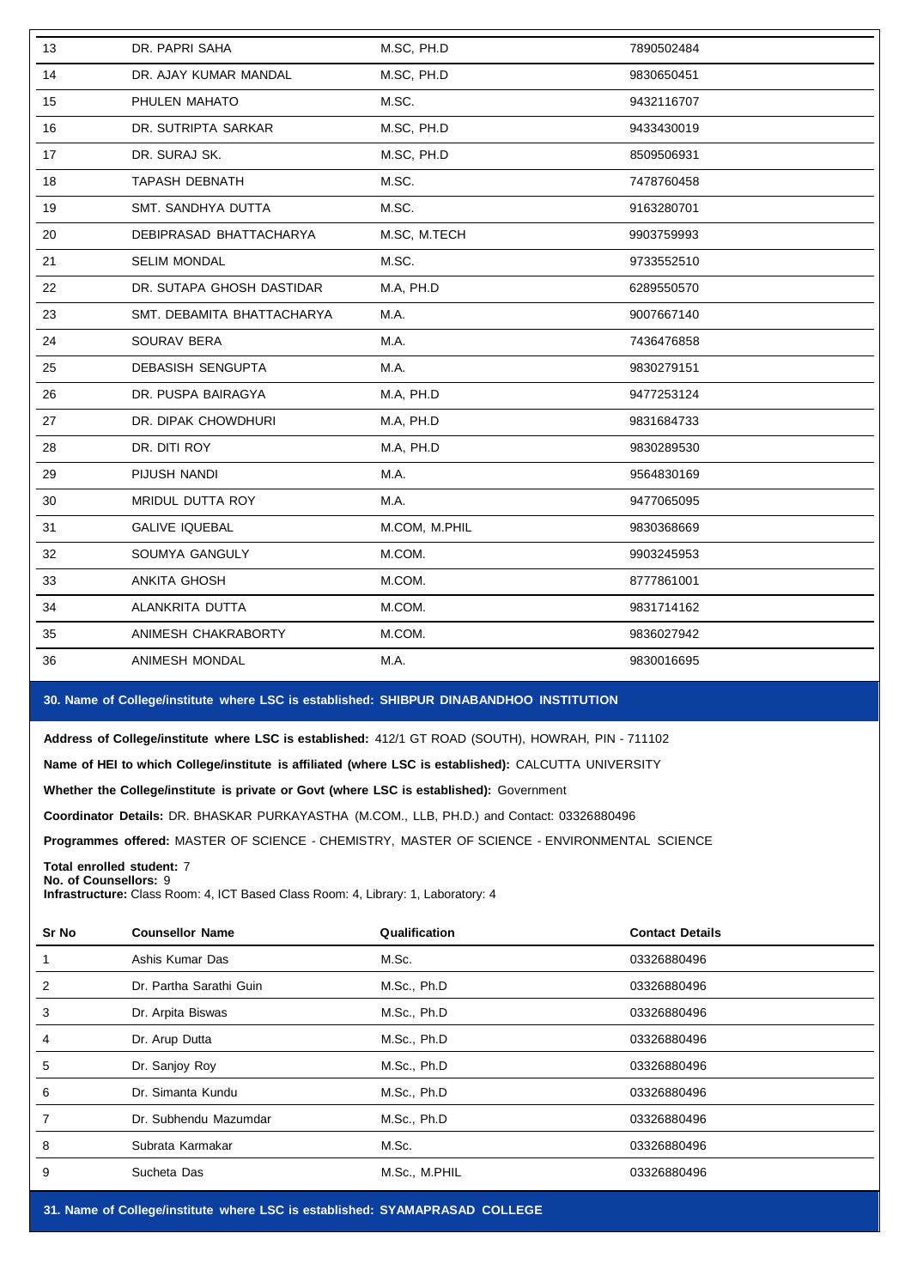| 13 | DR. PAPRI SAHA             | M.SC, PH.D    | 7890502484 |
|----|----------------------------|---------------|------------|
| 14 | DR. AJAY KUMAR MANDAL      | M.SC, PH.D    | 9830650451 |
| 15 | PHULEN MAHATO              | M.SC.         | 9432116707 |
| 16 | DR. SUTRIPTA SARKAR        | M.SC, PH.D    | 9433430019 |
| 17 | DR. SURAJ SK.              | M.SC, PH.D    | 8509506931 |
| 18 | <b>TAPASH DEBNATH</b>      | M.SC.         | 7478760458 |
| 19 | SMT. SANDHYA DUTTA         | M.SC.         | 9163280701 |
| 20 | DEBIPRASAD BHATTACHARYA    | M.SC, M.TECH  | 9903759993 |
| 21 | <b>SELIM MONDAL</b>        | M.SC.         | 9733552510 |
| 22 | DR. SUTAPA GHOSH DASTIDAR  | M.A, PH.D     | 6289550570 |
| 23 | SMT. DEBAMITA BHATTACHARYA | M.A.          | 9007667140 |
| 24 | SOURAV BERA                | M.A.          | 7436476858 |
| 25 | DEBASISH SENGUPTA          | M.A.          | 9830279151 |
| 26 | DR. PUSPA BAIRAGYA         | M.A, PH.D     | 9477253124 |
| 27 | DR. DIPAK CHOWDHURI        | M.A, PH.D     | 9831684733 |
| 28 | DR. DITI ROY               | M.A, PH.D     | 9830289530 |
| 29 | PIJUSH NANDI               | M.A.          | 9564830169 |
| 30 | MRIDUL DUTTA ROY           | M.A.          | 9477065095 |
| 31 | <b>GALIVE IQUEBAL</b>      | M.COM, M.PHIL | 9830368669 |
| 32 | SOUMYA GANGULY             | M.COM.        | 9903245953 |
| 33 | ANKITA GHOSH               | M.COM.        | 8777861001 |
| 34 | ALANKRITA DUTTA            | M.COM.        | 9831714162 |
| 35 | ANIMESH CHAKRABORTY        | M.COM.        | 9836027942 |
| 36 | ANIMESH MONDAL             | M.A.          | 9830016695 |
|    |                            |               |            |

# **30. Name of College/institute where LSC isestablished: SHIBPUR DINABANDHOO INSTITUTION**

**Address of College/institute where LSC isestablished:** 412/1 GT ROAD (SOUTH), HOWRAH, PIN - 711102

**Name of HEI to which College/institute is affiliated (where LSC is established):** CALCUTTA UNIVERSITY

**Whether the College/institute is private or Govt (where LSC is established):** Government

**Coordinator Details:** DR. BHASKAR PURKAYASTHA (M.COM., LLB, PH.D.) and Contact: 03326880496

**Programmes offered:** MASTER OF SCIENCE - CHEMISTRY, MASTER OF SCIENCE - ENVIRONMENTAL SCIENCE

**Total enrolled student:** 7 **No. of Counsellors:** 9

**Infrastructure:** Class Room: 4, ICT Based Class Room: 4, Library: 1, Laboratory: 4

| Sr No | <b>Counsellor Name</b>  | Qualification | <b>Contact Details</b> |
|-------|-------------------------|---------------|------------------------|
|       | Ashis Kumar Das         | M.Sc.         | 03326880496            |
| 2     | Dr. Partha Sarathi Guin | M.Sc., Ph.D   | 03326880496            |
| 3     | Dr. Arpita Biswas       | M.Sc., Ph.D   | 03326880496            |
| 4     | Dr. Arup Dutta          | M.Sc., Ph.D   | 03326880496            |
| 5     | Dr. Sanjoy Roy          | M.Sc., Ph.D   | 03326880496            |
| 6     | Dr. Simanta Kundu       | M.Sc., Ph.D   | 03326880496            |
|       | Dr. Subhendu Mazumdar   | M.Sc., Ph.D   | 03326880496            |
| 8     | Subrata Karmakar        | M.Sc.         | 03326880496            |
| 9     | Sucheta Das             | M.Sc., M.PHIL | 03326880496            |

**31. Name of College/institute where LSC isestablished: SYAMAPRASAD COLLEGE**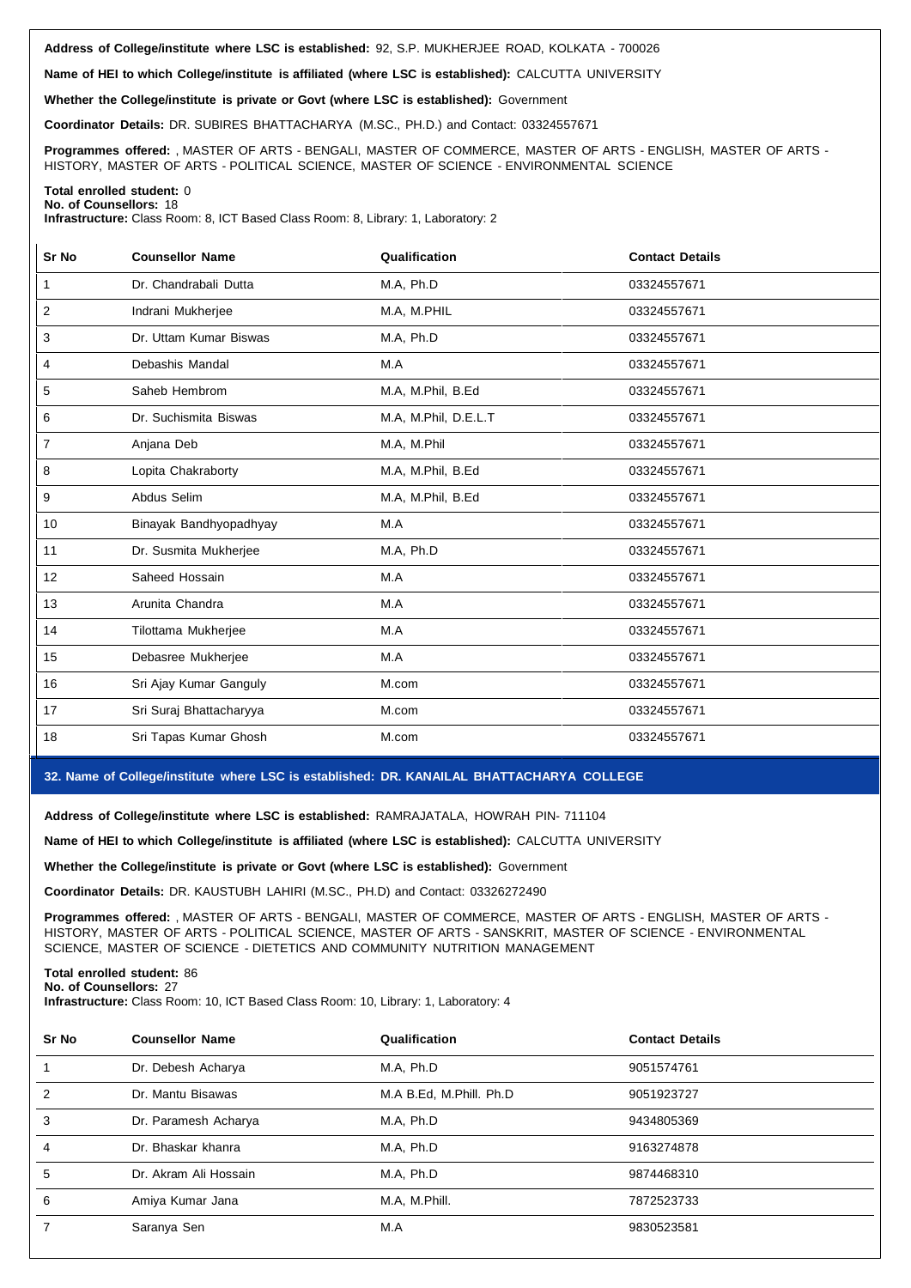**Address of College/institute where LSC is established:** 92, S.P. MUKHERJEE ROAD, KOLKATA - 700026

**Name of HEI to which College/institute is affiliated (where LSC isestablished):** CALCUTTA UNIVERSITY

**Whether the College/institute is private or Govt (where LSC isestablished):** Government

**Coordinator Details:** DR. SUBIRES BHATTACHARYA (M.SC., PH.D.) and Contact: 03324557671

**Programmes offered:** , MASTER OF ARTS - BENGALI, MASTER OF COMMERCE, MASTER OF ARTS - ENGLISH, MASTER OF ARTS - HISTORY, MASTER OF ARTS - POLITICAL SCIENCE, MASTER OF SCIENCE - ENVIRONMENTAL SCIENCE

#### **Total enrolled student:** 0 **No. of Counsellors:** 18

**Infrastructure:** Class Room: 8, ICT Based Class Room: 8, Library: 1, Laboratory: 2

| Sr No          | <b>Counsellor Name</b>  | Qualification        | <b>Contact Details</b> |
|----------------|-------------------------|----------------------|------------------------|
| $\mathbf{1}$   | Dr. Chandrabali Dutta   | M.A, Ph.D            | 03324557671            |
| 2              | Indrani Mukherjee       | M.A. M.PHIL          | 03324557671            |
| 3              | Dr. Uttam Kumar Biswas  | M.A. Ph.D            | 03324557671            |
| 4              | Debashis Mandal         | M.A                  | 03324557671            |
| 5              | Saheb Hembrom           | M.A, M.Phil, B.Ed    | 03324557671            |
| 6              | Dr. Suchismita Biswas   | M.A, M.Phil, D.E.L.T | 03324557671            |
| $\overline{7}$ | Anjana Deb              | M.A, M.Phil          | 03324557671            |
| 8              | Lopita Chakraborty      | M.A, M.Phil, B.Ed    | 03324557671            |
| 9              | Abdus Selim             | M.A, M.Phil, B.Ed    | 03324557671            |
| 10             | Binayak Bandhyopadhyay  | M.A                  | 03324557671            |
| 11             | Dr. Susmita Mukherjee   | M.A, Ph.D            | 03324557671            |
| 12             | Saheed Hossain          | M.A                  | 03324557671            |
| 13             | Arunita Chandra         | M.A                  | 03324557671            |
| 14             | Tilottama Mukherjee     | M.A                  | 03324557671            |
| 15             | Debasree Mukherjee      | M.A                  | 03324557671            |
| 16             | Sri Ajay Kumar Ganguly  | M.com                | 03324557671            |
| 17             | Sri Suraj Bhattacharyya | M.com                | 03324557671            |
| 18             | Sri Tapas Kumar Ghosh   | M.com                | 03324557671            |

## **32. Name of College/institute where LSC isestablished: DR. KANAILAL BHATTACHARYA COLLEGE**

**Address of College/institute where LSC is established:** RAMRAJATALA, HOWRAH PIN- 711104

**Name of HEI to which College/institute is affiliated (where LSC isestablished):** CALCUTTA UNIVERSITY

**Whether the College/institute is private or Govt (where LSC isestablished):** Government

**Coordinator Details:** DR. KAUSTUBH LAHIRI (M.SC., PH.D) and Contact: 03326272490

**Programmes offered:** , MASTER OF ARTS - BENGALI, MASTER OF COMMERCE, MASTER OF ARTS - ENGLISH, MASTER OF ARTS - HISTORY, MASTER OF ARTS - POLITICAL SCIENCE, MASTER OF ARTS - SANSKRIT, MASTER OF SCIENCE - ENVIRONMENTAL SCIENCE, MASTER OF SCIENCE - DIETETICS AND COMMUNITY NUTRITION MANAGEMENT

**Total enrolled student:** 86 **No. of Counsellors:** 27

**Infrastructure:** Class Room: 10, ICT Based Class Room: 10, Library: 1, Laboratory: 4

| <b>Counsellor Name</b> | Qualification           | <b>Contact Details</b> |
|------------------------|-------------------------|------------------------|
| Dr. Debesh Acharya     | M.A. Ph.D               | 9051574761             |
| Dr. Mantu Bisawas      | M.A B.Ed, M.Phill. Ph.D | 9051923727             |
| Dr. Paramesh Acharya   | M.A. Ph.D               | 9434805369             |
| Dr. Bhaskar khanra     | M.A. Ph.D               | 9163274878             |
| Dr. Akram Ali Hossain  | M.A. Ph.D               | 9874468310             |
| Amiya Kumar Jana       | M.A. M.Phill.           | 7872523733             |
| Saranya Sen            | M.A                     | 9830523581             |
|                        |                         |                        |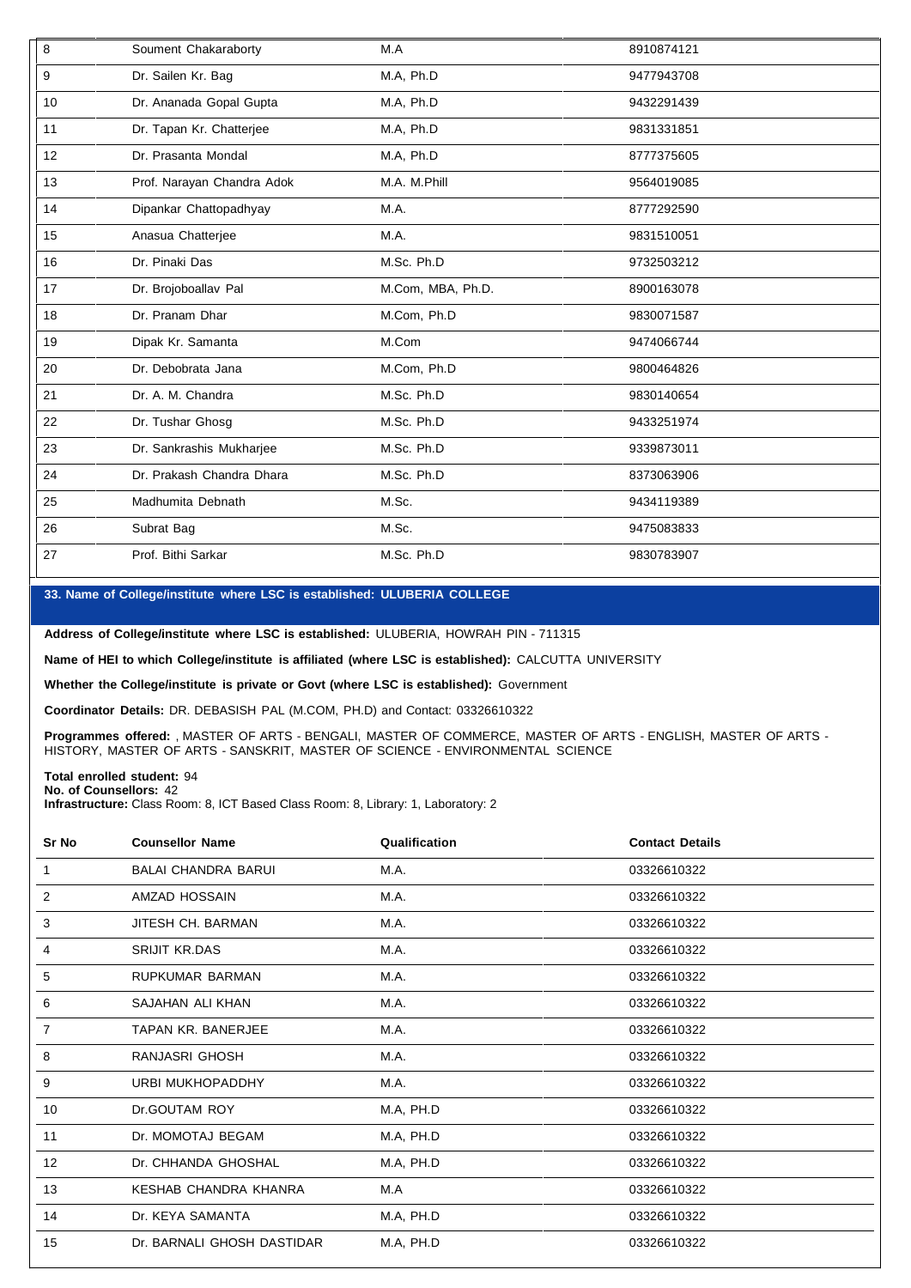| 8  | Soument Chakaraborty       | M.A               | 8910874121 |
|----|----------------------------|-------------------|------------|
| 9  | Dr. Sailen Kr. Bag         | M.A, Ph.D         | 9477943708 |
| 10 | Dr. Ananada Gopal Gupta    | M.A, Ph.D         | 9432291439 |
| 11 | Dr. Tapan Kr. Chatterjee   | M.A, Ph.D         | 9831331851 |
| 12 | Dr. Prasanta Mondal        | M.A. Ph.D         | 8777375605 |
| 13 | Prof. Narayan Chandra Adok | M.A. M.Phill      | 9564019085 |
| 14 | Dipankar Chattopadhyay     | M.A.              | 8777292590 |
| 15 | Anasua Chatterjee          | M.A.              | 9831510051 |
| 16 | Dr. Pinaki Das             | M.Sc. Ph.D        | 9732503212 |
| 17 | Dr. Brojoboallav Pal       | M.Com, MBA, Ph.D. | 8900163078 |
| 18 | Dr. Pranam Dhar            | M.Com, Ph.D       | 9830071587 |
| 19 | Dipak Kr. Samanta          | M.Com             | 9474066744 |
| 20 | Dr. Debobrata Jana         | M.Com, Ph.D       | 9800464826 |
| 21 | Dr. A. M. Chandra          | M.Sc. Ph.D        | 9830140654 |
| 22 | Dr. Tushar Ghosg           | M.Sc. Ph.D        | 9433251974 |
| 23 | Dr. Sankrashis Mukharjee   | M.Sc. Ph.D        | 9339873011 |
| 24 | Dr. Prakash Chandra Dhara  | M.Sc. Ph.D        | 8373063906 |
| 25 | Madhumita Debnath          | M.Sc.             | 9434119389 |
| 26 | Subrat Bag                 | M.Sc.             | 9475083833 |
| 27 | Prof. Bithi Sarkar         | M.Sc. Ph.D        | 9830783907 |

# **33. Name of College/institute where LSC isestablished: ULUBERIA COLLEGE**

**Address of College/institute where LSC is established:** ULUBERIA, HOWRAH PIN -711315

**Name of HEI to which College/institute is affiliated (where LSC isestablished):** CALCUTTA UNIVERSITY

**Whether the College/institute is private or Govt (where LSC isestablished):** Government

**Coordinator Details:** DR. DEBASISH PAL (M.COM, PH.D) and Contact: 03326610322

**Programmes offered:** , MASTER OF ARTS - BENGALI, MASTER OF COMMERCE, MASTER OF ARTS - ENGLISH, MASTER OF ARTS - HISTORY, MASTER OF ARTS - SANSKRIT, MASTER OF SCIENCE - ENVIRONMENTAL SCIENCE

**Total enrolled student:** 94 **No. of Counsellors:** 42

**Infrastructure:** Class Room: 8, ICT Based Class Room: 8, Library: 1, Laboratory: 2

| Sr No          | <b>Counsellor Name</b>     | Qualification | <b>Contact Details</b> |
|----------------|----------------------------|---------------|------------------------|
| 1              | <b>BALAI CHANDRA BARUI</b> | M.A.          | 03326610322            |
| 2              | AMZAD HOSSAIN              | M.A.          | 03326610322            |
| 3              | JITESH CH. BARMAN          | <b>M.A.</b>   | 03326610322            |
| 4              | <b>SRIJIT KR.DAS</b>       | M.A.          | 03326610322            |
| 5              | RUPKUMAR BARMAN            | M.A.          | 03326610322            |
| 6              | SAJAHAN ALI KHAN           | M.A.          | 03326610322            |
| $\overline{7}$ | TAPAN KR. BANERJEE         | M.A.          | 03326610322            |
| 8              | RANJASRI GHOSH             | M.A.          | 03326610322            |
| 9              | <b>URBI MUKHOPADDHY</b>    | M.A.          | 03326610322            |
| 10             | Dr.GOUTAM ROY              | M.A, PH.D     | 03326610322            |
| 11             | Dr. MOMOTAJ BEGAM          | M.A, PH.D     | 03326610322            |
| 12             | Dr. CHHANDA GHOSHAL        | M.A, PH.D     | 03326610322            |
| 13             | KESHAB CHANDRA KHANRA      | M.A           | 03326610322            |
| 14             | Dr. KEYA SAMANTA           | M.A, PH.D     | 03326610322            |
| 15             | Dr. BARNALI GHOSH DASTIDAR | M.A, PH.D     | 03326610322            |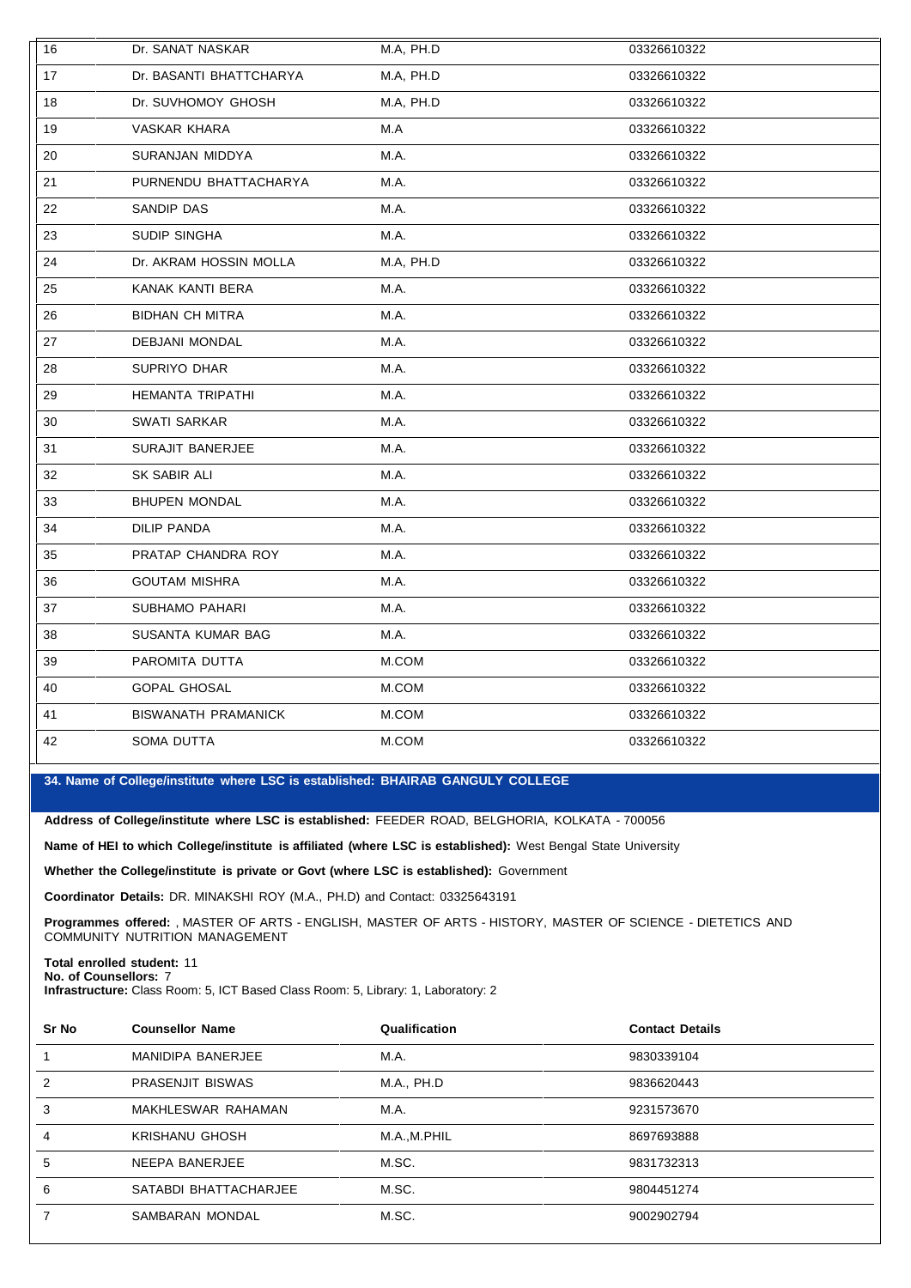| 16 | Dr. SANAT NASKAR           | M.A, PH.D | 03326610322 |
|----|----------------------------|-----------|-------------|
| 17 | Dr. BASANTI BHATTCHARYA    | M.A, PH.D | 03326610322 |
| 18 | Dr. SUVHOMOY GHOSH         | M.A, PH.D | 03326610322 |
| 19 | VASKAR KHARA               | M.A       | 03326610322 |
| 20 | SURANJAN MIDDYA            | M.A.      | 03326610322 |
| 21 | PURNENDU BHATTACHARYA      | M.A.      | 03326610322 |
| 22 | SANDIP DAS                 | M.A.      | 03326610322 |
| 23 | SUDIP SINGHA               | M.A.      | 03326610322 |
| 24 | Dr. AKRAM HOSSIN MOLLA     | M.A, PH.D | 03326610322 |
| 25 | KANAK KANTI BERA           | M.A.      | 03326610322 |
| 26 | <b>BIDHAN CH MITRA</b>     | M.A.      | 03326610322 |
| 27 | DEBJANI MONDAL             | M.A.      | 03326610322 |
| 28 | SUPRIYO DHAR               | M.A.      | 03326610322 |
| 29 | HEMANTA TRIPATHI           | M.A.      | 03326610322 |
| 30 | SWATI SARKAR               | M.A.      | 03326610322 |
| 31 | SURAJIT BANERJEE           | M.A.      | 03326610322 |
| 32 | SK SABIR ALI               | M.A.      | 03326610322 |
| 33 | <b>BHUPEN MONDAL</b>       | M.A.      | 03326610322 |
| 34 | DILIP PANDA                | M.A.      | 03326610322 |
| 35 | PRATAP CHANDRA ROY         | M.A.      | 03326610322 |
| 36 | <b>GOUTAM MISHRA</b>       | M.A.      | 03326610322 |
| 37 | SUBHAMO PAHARI             | M.A.      | 03326610322 |
| 38 | SUSANTA KUMAR BAG          | M.A.      | 03326610322 |
| 39 | PAROMITA DUTTA             | M.COM     | 03326610322 |
| 40 | <b>GOPAL GHOSAL</b>        | M.COM     | 03326610322 |
| 41 | <b>BISWANATH PRAMANICK</b> | M.COM     | 03326610322 |
| 42 | SOMA DUTTA                 | M.COM     | 03326610322 |

**34. Name of College/institute where LSC isestablished: BHAIRAB GANGULY COLLEGE**

**Address of College/institute where LSC is established:** FEEDER ROAD, BELGHORIA, KOLKATA - 700056

**Name of HEI to which College/institute is affiliated (where LSC isestablished):** West Bengal State University

**Whether the College/institute is private or Govt (where LSC isestablished):** Government

**Coordinator Details:** DR. MINAKSHI ROY (M.A., PH.D) and Contact: 03325643191

**Programmes offered:** , MASTER OF ARTS - ENGLISH, MASTER OF ARTS - HISTORY, MASTER OF SCIENCE - DIETETICS AND COMMUNITY NUTRITION MANAGEMENT

**Total enrolled student:** 11 **No. of Counsellors:** 7

**Infrastructure:** Class Room: 5, ICT Based Class Room: 5, Library: 1, Laboratory: 2

| Sr No | <b>Counsellor Name</b>  | Qualification | <b>Contact Details</b> |  |
|-------|-------------------------|---------------|------------------------|--|
|       | MANIDIPA BANERJEE       | M.A.          | 9830339104             |  |
| 2     | <b>PRASENJIT BISWAS</b> | M.A., PH.D    | 9836620443             |  |
| 3     | MAKHLESWAR RAHAMAN      | M.A.          | 9231573670             |  |
| 4     | <b>KRISHANU GHOSH</b>   | M.A.,M.PHIL   | 8697693888             |  |
| 5     | NEEPA BANERJEE          | M.SC.         | 9831732313             |  |
| 6     | SATABDI BHATTACHARJEE   | M.SC.         | 9804451274             |  |
|       | SAMBARAN MONDAL         | M.SC.         | 9002902794             |  |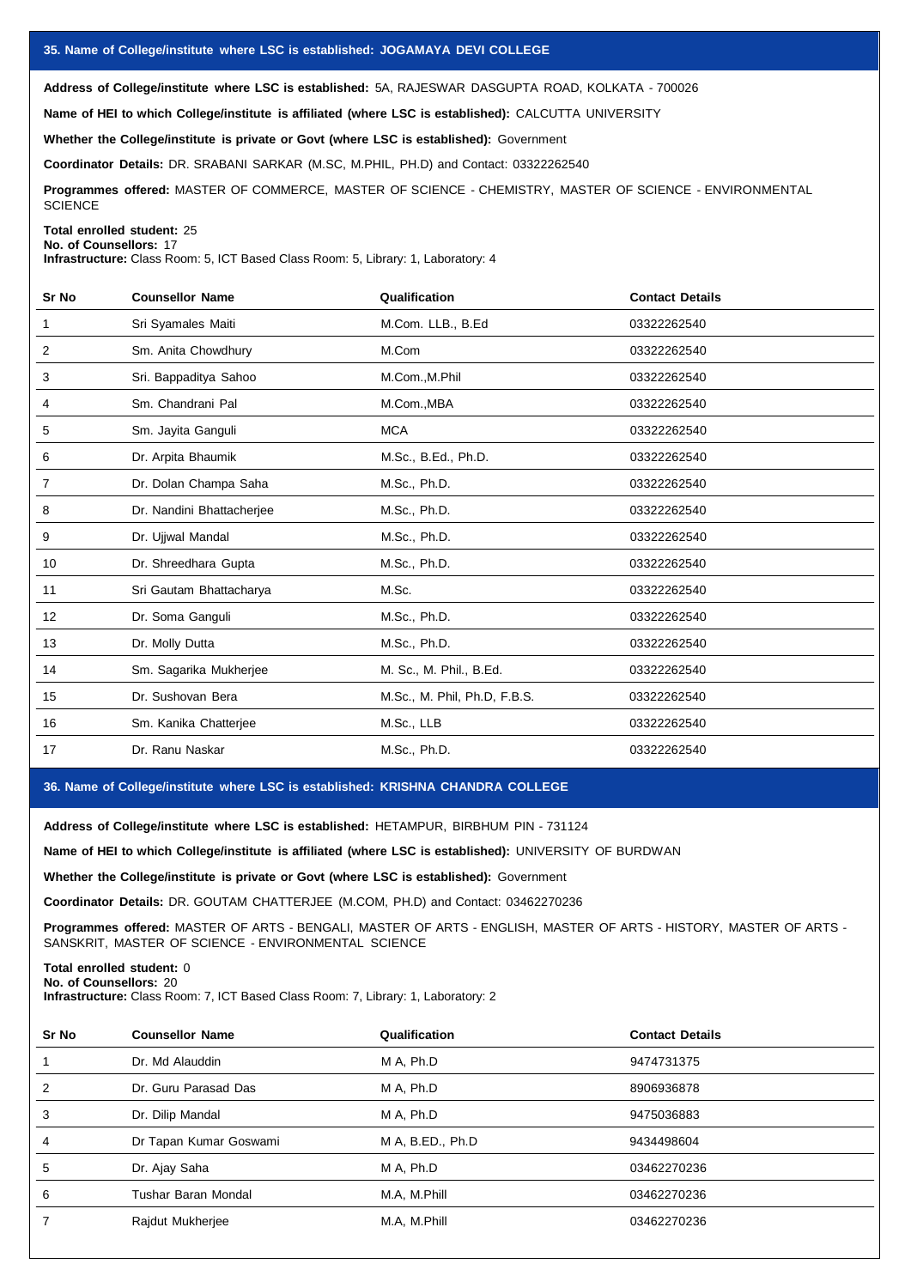**Address of College/institute where LSC isestablished:** 5A, RAJESWAR DASGUPTA ROAD, KOLKATA - 700026

**Name of HEI to which College/institute is affiliated (where LSC is established):** CALCUTTA UNIVERSITY

**Whether the College/institute is private or Govt (where LSC is established):** Government

**Coordinator Details:** DR. SRABANI SARKAR (M.SC, M.PHIL, PH.D) and Contact: 03322262540

**Programmes offered:** MASTER OF COMMERCE, MASTER OF SCIENCE - CHEMISTRY, MASTER OF SCIENCE - ENVIRONMENTAL **SCIENCE** 

**Total enrolled student:** 25 **No. of Counsellors:** 17

**Infrastructure:** Class Room: 5, ICT Based Class Room: 5, Library: 1, Laboratory: 4

| Sr No | <b>Counsellor Name</b>    | Qualification                | <b>Contact Details</b> |
|-------|---------------------------|------------------------------|------------------------|
| 1     | Sri Syamales Maiti        | M.Com. LLB., B.Ed            | 03322262540            |
| 2     | Sm. Anita Chowdhury       | M.Com                        | 03322262540            |
| 3     | Sri. Bappaditya Sahoo     | M.Com., M.Phil               | 03322262540            |
| 4     | Sm. Chandrani Pal         | M.Com., MBA                  | 03322262540            |
| 5     | Sm. Jayita Ganguli        | <b>MCA</b>                   | 03322262540            |
| 6     | Dr. Arpita Bhaumik        | M.Sc., B.Ed., Ph.D.          | 03322262540            |
| 7     | Dr. Dolan Champa Saha     | M.Sc., Ph.D.                 | 03322262540            |
| 8     | Dr. Nandini Bhattacherjee | M.Sc., Ph.D.                 | 03322262540            |
| 9     | Dr. Ujjwal Mandal         | M.Sc., Ph.D.                 | 03322262540            |
| 10    | Dr. Shreedhara Gupta      | M.Sc., Ph.D.                 | 03322262540            |
| 11    | Sri Gautam Bhattacharya   | M.Sc.                        | 03322262540            |
| 12    | Dr. Soma Ganguli          | M.Sc., Ph.D.                 | 03322262540            |
| 13    | Dr. Molly Dutta           | M.Sc., Ph.D.                 | 03322262540            |
| 14    | Sm. Sagarika Mukherjee    | M. Sc., M. Phil., B.Ed.      | 03322262540            |
| 15    | Dr. Sushovan Bera         | M.Sc., M. Phil, Ph.D, F.B.S. | 03322262540            |
| 16    | Sm. Kanika Chatterjee     | M.Sc., LLB                   | 03322262540            |
| 17    | Dr. Ranu Naskar           | M.Sc., Ph.D.                 | 03322262540            |

## **36. Name of College/institute where LSC isestablished: KRISHNA CHANDRA COLLEGE**

**Address of College/institute where LSC isestablished:** HETAMPUR, BIRBHUM PIN - 731124

**Name of HEI to which College/institute is affiliated (where LSC is established):** UNIVERSITY OF BURDWAN

**Whether the College/institute is private or Govt (where LSC is established):** Government

**Coordinator Details:** DR. GOUTAM CHATTERJEE (M.COM, PH.D) and Contact: 03462270236

**Programmes offered:** MASTER OF ARTS - BENGALI, MASTER OF ARTS - ENGLISH, MASTER OF ARTS - HISTORY, MASTER OF ARTS - SANSKRIT, MASTER OF SCIENCE - ENVIRONMENTAL SCIENCE

**Total enrolled student:** 0 **No. of Counsellors:** 20

**Infrastructure:** Class Room: 7, ICT Based Class Room: 7, Library: 1, Laboratory: 2

| Sr No | <b>Counsellor Name</b> | Qualification    | <b>Contact Details</b> |
|-------|------------------------|------------------|------------------------|
| 1     | Dr. Md Alauddin        | M A, Ph.D        | 9474731375             |
| 2     | Dr. Guru Parasad Das   | M A, Ph.D        | 8906936878             |
| 3     | Dr. Dilip Mandal       | M A. Ph.D        | 9475036883             |
| 4     | Dr Tapan Kumar Goswami | M A, B.ED., Ph.D | 9434498604             |
| 5     | Dr. Ajay Saha          | M A, Ph.D        | 03462270236            |
| 6     | Tushar Baran Mondal    | M.A, M.Phill     | 03462270236            |
| 7     | Rajdut Mukherjee       | M.A, M.Phill     | 03462270236            |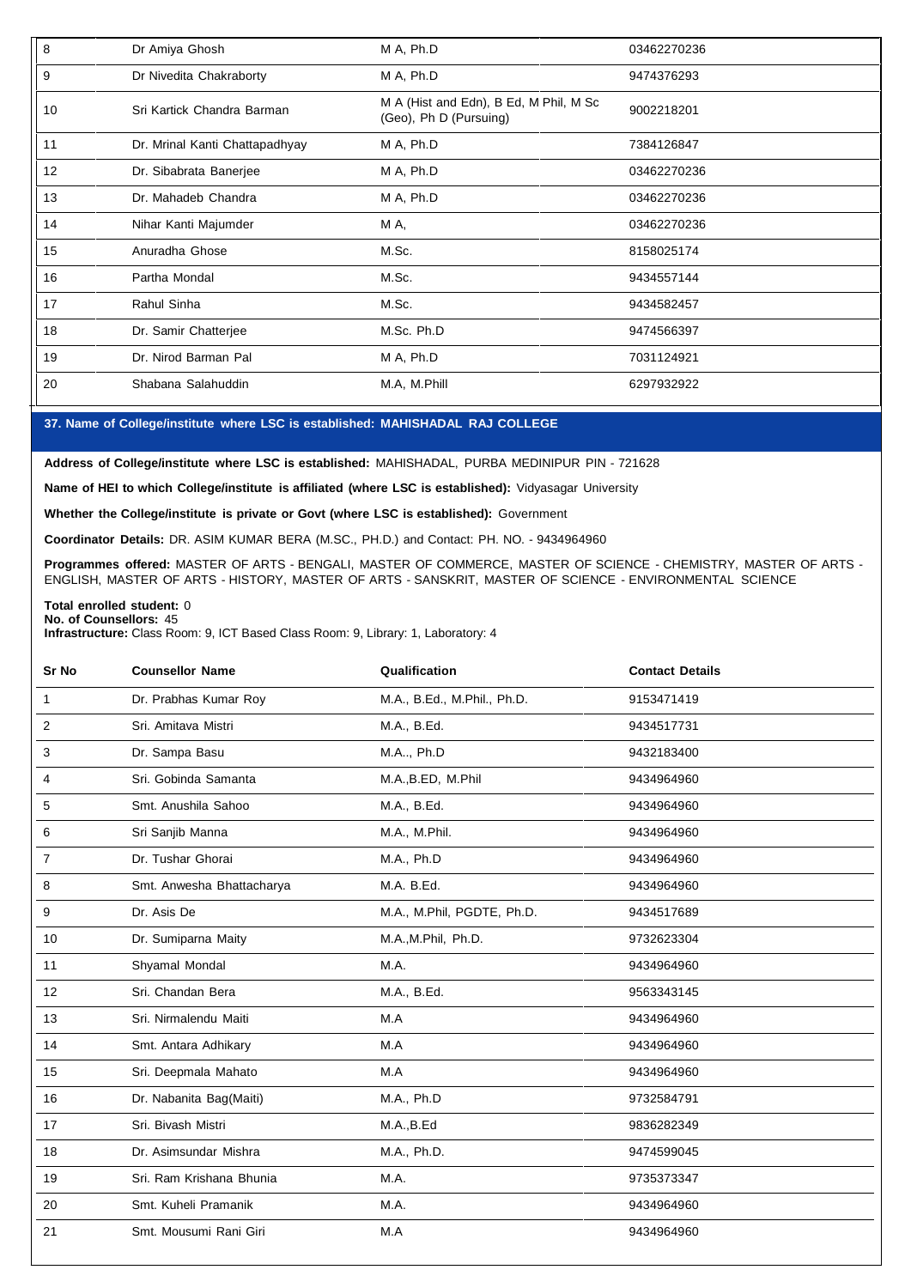| 8  | Dr Amiya Ghosh                 | M A, Ph.D                                                        | 03462270236 |
|----|--------------------------------|------------------------------------------------------------------|-------------|
| 9  | Dr Nivedita Chakraborty        | M A, Ph.D                                                        | 9474376293  |
| 10 | Sri Kartick Chandra Barman     | M A (Hist and Edn), B Ed, M Phil, M Sc<br>(Geo), Ph D (Pursuing) | 9002218201  |
| 11 | Dr. Mrinal Kanti Chattapadhyay | M A, Ph.D                                                        | 7384126847  |
| 12 | Dr. Sibabrata Banerjee         | M A, Ph.D                                                        | 03462270236 |
| 13 | Dr. Mahadeb Chandra            | M A, Ph.D                                                        | 03462270236 |
| 14 | Nihar Kanti Majumder           | M A,                                                             | 03462270236 |
| 15 | Anuradha Ghose                 | M.Sc.                                                            | 8158025174  |
| 16 | Partha Mondal                  | M.Sc.                                                            | 9434557144  |
| 17 | Rahul Sinha                    | M.Sc.                                                            | 9434582457  |
| 18 | Dr. Samir Chatterjee           | M.Sc. Ph.D                                                       | 9474566397  |
| 19 | Dr. Nirod Barman Pal           | M A, Ph.D                                                        | 7031124921  |
| 20 | Shabana Salahuddin             | M.A, M.Phill                                                     | 6297932922  |

# **37. Name of College/institute where LSC isestablished: MAHISHADAL RAJ COLLEGE**

**Address of College/institute where LSC is established:** MAHISHADAL, PURBA MEDINIPUR PIN - 721628

**Name of HEI to which College/institute is affiliated (where LSC isestablished):** Vidyasagar University

**Whether the College/institute is private or Govt (where LSC isestablished):** Government

**Coordinator Details:** DR. ASIM KUMAR BERA (M.SC., PH.D.) and Contact: PH. NO. - 9434964960

**Programmes offered:** MASTER OF ARTS - BENGALI, MASTER OF COMMERCE, MASTER OF SCIENCE - CHEMISTRY, MASTER OF ARTS - ENGLISH, MASTER OF ARTS - HISTORY, MASTER OF ARTS - SANSKRIT, MASTER OF SCIENCE - ENVIRONMENTAL SCIENCE

#### **Total enrolled student:** 0 **No. of Counsellors:** 45

**Infrastructure:** Class Room: 9, ICT Based Class Room: 9, Library: 1, Laboratory: 4

| Sr No | <b>Counsellor Name</b>    | Qualification               | <b>Contact Details</b> |
|-------|---------------------------|-----------------------------|------------------------|
| 1     | Dr. Prabhas Kumar Roy     | M.A., B.Ed., M.Phil., Ph.D. | 9153471419             |
| 2     | Sri. Amitava Mistri       | M.A., B.Ed.                 | 9434517731             |
| 3     | Dr. Sampa Basu            | M.A, Ph.D                   | 9432183400             |
| 4     | Sri. Gobinda Samanta      | M.A., B.ED, M.Phil          | 9434964960             |
| 5     | Smt. Anushila Sahoo       | M.A., B.Ed.                 | 9434964960             |
| 6     | Sri Sanjib Manna          | M.A., M.Phil.               | 9434964960             |
| 7     | Dr. Tushar Ghorai         | M.A., Ph.D                  | 9434964960             |
| 8     | Smt. Anwesha Bhattacharya | M.A. B.Ed.                  | 9434964960             |
| 9     | Dr. Asis De               | M.A., M.Phil, PGDTE, Ph.D.  | 9434517689             |
| 10    | Dr. Sumiparna Maity       | M.A., M.Phil, Ph.D.         | 9732623304             |
| 11    | Shyamal Mondal            | M.A.                        | 9434964960             |
| 12    | Sri. Chandan Bera         | M.A., B.Ed.                 | 9563343145             |
| 13    | Sri. Nirmalendu Maiti     | M.A                         | 9434964960             |
| 14    | Smt. Antara Adhikary      | M.A                         | 9434964960             |
| 15    | Sri. Deepmala Mahato      | M.A                         | 9434964960             |
| 16    | Dr. Nabanita Bag(Maiti)   | M.A., Ph.D                  | 9732584791             |
| 17    | Sri. Bivash Mistri        | M.A., B.Ed                  | 9836282349             |
| 18    | Dr. Asimsundar Mishra     | M.A., Ph.D.                 | 9474599045             |
| 19    | Sri. Ram Krishana Bhunia  | M.A.                        | 9735373347             |
| 20    | Smt. Kuheli Pramanik      | M.A.                        | 9434964960             |
| 21    | Smt. Mousumi Rani Giri    | M.A                         | 9434964960             |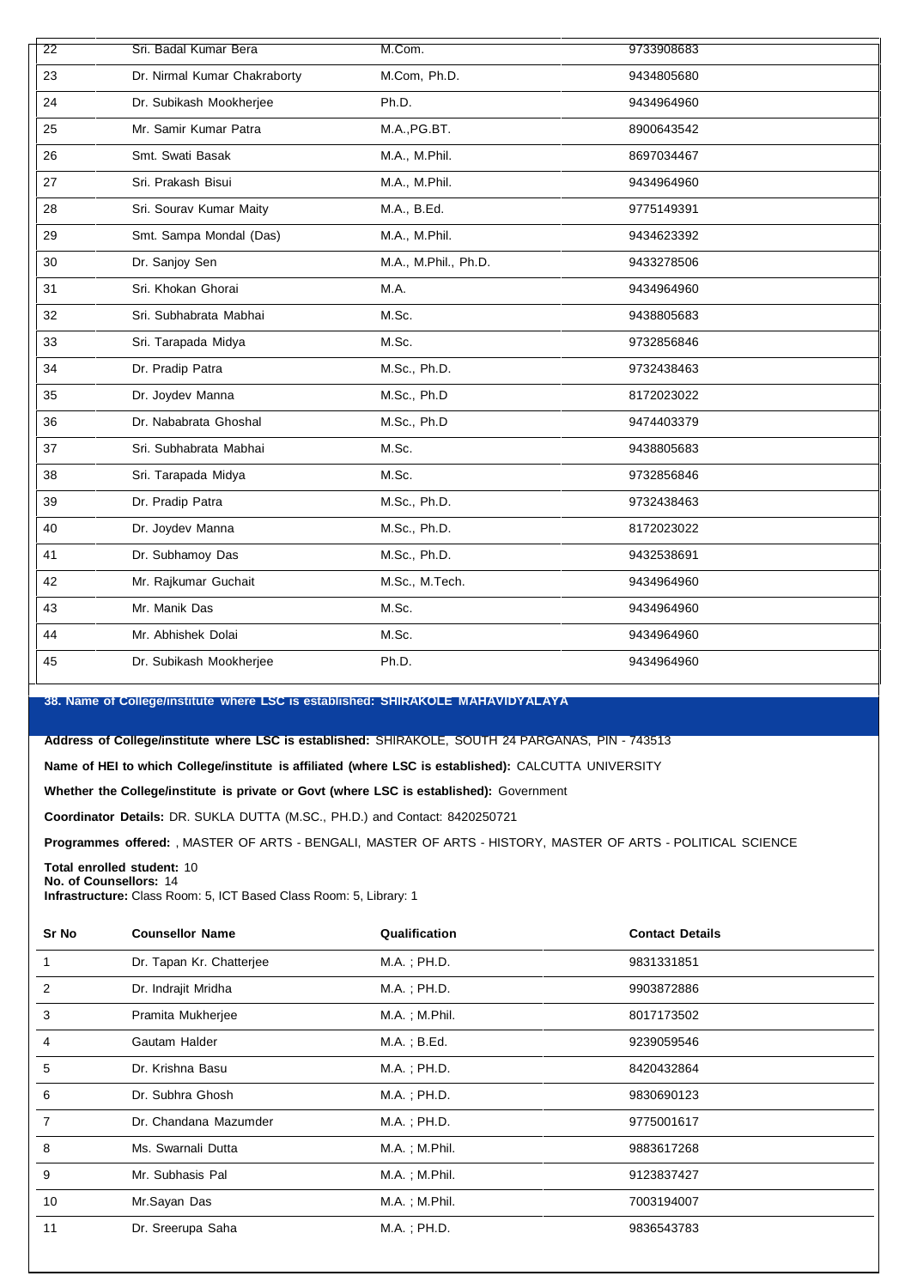| 22 | Sri. Badal Kumar Bera        | M.Com.               | 9733908683 |
|----|------------------------------|----------------------|------------|
| 23 | Dr. Nirmal Kumar Chakraborty | M.Com, Ph.D.         | 9434805680 |
| 24 | Dr. Subikash Mookherjee      | Ph.D.                | 9434964960 |
| 25 | Mr. Samir Kumar Patra        | M.A., PG.BT.         | 8900643542 |
| 26 | Smt. Swati Basak             | M.A., M.Phil.        | 8697034467 |
| 27 | Sri. Prakash Bisui           | M.A., M.Phil.        | 9434964960 |
| 28 | Sri. Sourav Kumar Maity      | M.A., B.Ed.          | 9775149391 |
| 29 | Smt. Sampa Mondal (Das)      | M.A., M.Phil.        | 9434623392 |
| 30 | Dr. Sanjoy Sen               | M.A., M.Phil., Ph.D. | 9433278506 |
| 31 | Sri. Khokan Ghorai           | M.A.                 | 9434964960 |
| 32 | Sri. Subhabrata Mabhai       | M.Sc.                | 9438805683 |
| 33 | Sri. Tarapada Midya          | M.Sc.                | 9732856846 |
| 34 | Dr. Pradip Patra             | M.Sc., Ph.D.         | 9732438463 |
| 35 | Dr. Joydev Manna             | M.Sc., Ph.D          | 8172023022 |
| 36 | Dr. Nababrata Ghoshal        | M.Sc., Ph.D          | 9474403379 |
| 37 | Sri. Subhabrata Mabhai       | M.Sc.                | 9438805683 |
| 38 | Sri. Tarapada Midya          | M.Sc.                | 9732856846 |
| 39 | Dr. Pradip Patra             | M.Sc., Ph.D.         | 9732438463 |
| 40 | Dr. Joydev Manna             | M.Sc., Ph.D.         | 8172023022 |
| 41 | Dr. Subhamoy Das             | M.Sc., Ph.D.         | 9432538691 |
| 42 | Mr. Rajkumar Guchait         | M.Sc., M.Tech.       | 9434964960 |
| 43 | Mr. Manik Das                | M.Sc.                | 9434964960 |
| 44 | Mr. Abhishek Dolai           | M.Sc.                | 9434964960 |
| 45 | Dr. Subikash Mookherjee      | Ph.D.                | 9434964960 |

**38. Name of College/institute where LSC isestablished: SHIRAKOLE MAHAVIDYALAYA**

**Address of College/institute where LSC is established:** SHIRAKOLE, SOUTH 24 PARGANAS, PIN - 743513

**Name of HEI to which College/institute is affiliated (where LSC isestablished):** CALCUTTA UNIVERSITY

**Whether the College/institute is private or Govt (where LSC isestablished):** Government

**Coordinator Details:** DR. SUKLA DUTTA (M.SC., PH.D.) and Contact: 8420250721

**Programmes offered:** , MASTER OF ARTS - BENGALI, MASTER OF ARTS - HISTORY, MASTER OF ARTS - POLITICAL SCIENCE

**Total enrolled student:** 10 **No. of Counsellors:** 14

**Infrastructure:** Class Room: 5, ICT Based Class Room: 5, Library: 1

| Sr No | <b>Counsellor Name</b>   | Qualification       | <b>Contact Details</b> |  |
|-------|--------------------------|---------------------|------------------------|--|
|       | Dr. Tapan Kr. Chatterjee | $M.A.$ ; $PH.D.$    | 9831331851             |  |
| 2     | Dr. Indrajit Mridha      | M.A.; PH.D.         | 9903872886             |  |
| 3     | Pramita Mukherjee        | M.A.; M.Phil.       | 8017173502             |  |
| 4     | Gautam Halder            | $M.A.$ ; B.Ed.      | 9239059546             |  |
| 5     | Dr. Krishna Basu         | $M.A.$ ; $PH.D.$    | 8420432864             |  |
| 6     | Dr. Subhra Ghosh         | $M.A.$ ; $PH.D.$    | 9830690123             |  |
| 7     | Dr. Chandana Mazumder    | $M.A.$ ; $PH.D.$    | 9775001617             |  |
| 8     | Ms. Swarnali Dutta       | $M.A.$ ; $M.P$ hil. | 9883617268             |  |
| 9     | Mr. Subhasis Pal         | $M.A.$ ; $M.P$ hil. | 9123837427             |  |
| 10    | Mr.Sayan Das             | $M.A.$ ; $M.Phil.$  | 7003194007             |  |
| 11    | Dr. Sreerupa Saha        | $M.A.$ ; $PH.D.$    | 9836543783             |  |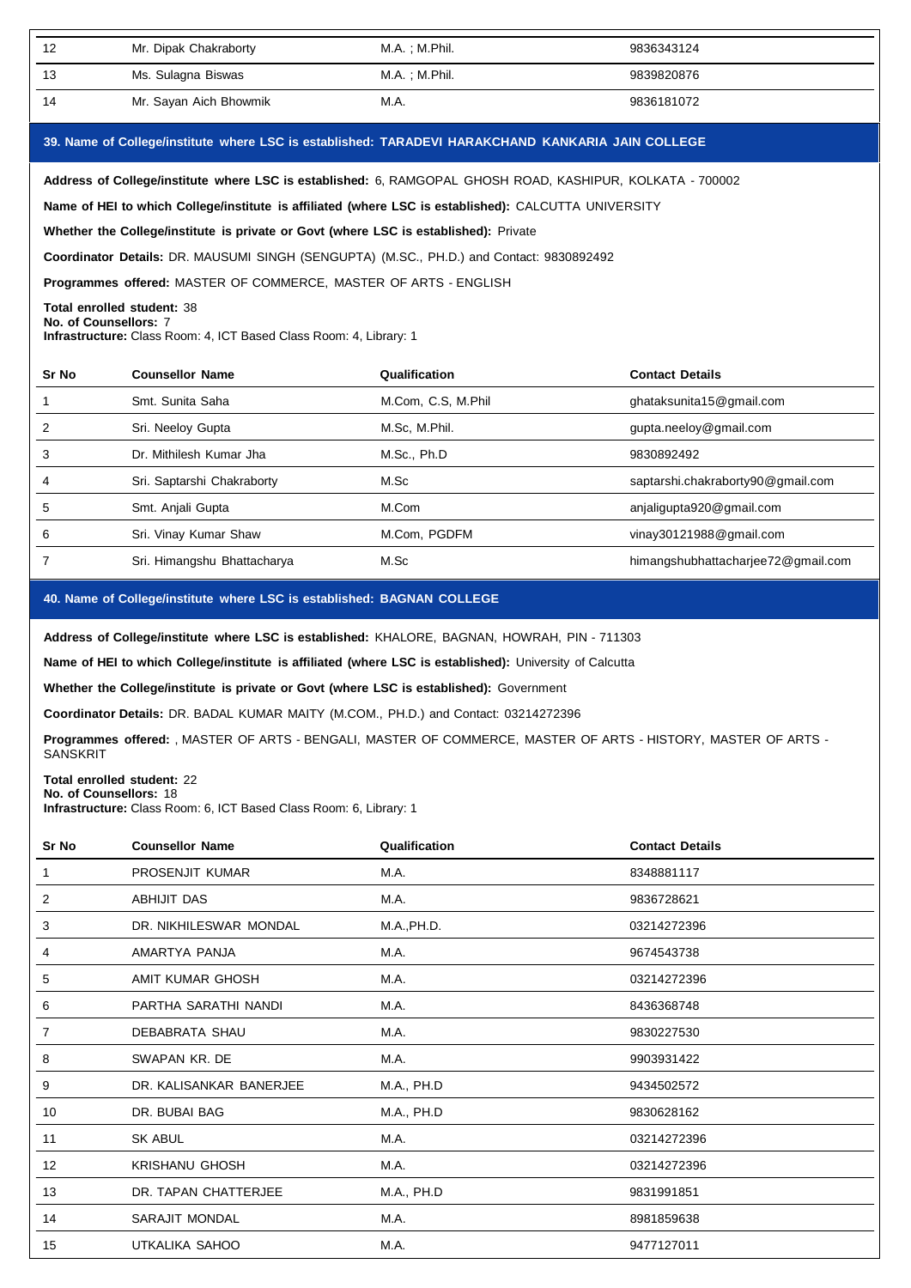| 12 | Mr. Dipak Chakraborty  | M.A. : M.Phil. | 9836343124 |
|----|------------------------|----------------|------------|
| 13 | Ms. Sulagna Biswas     | M.A.;M.Phil.   | 9839820876 |
| 14 | Mr. Sayan Aich Bhowmik | M.A.           | 9836181072 |

## **39. Name of College/institute where LSC isestablished: TARADEVI HARAKCHAND KANKARIA JAIN COLLEGE**

**Address of College/institute where LSC isestablished:** 6, RAMGOPAL GHOSH ROAD, KASHIPUR, KOLKATA - 700002

**Name of HEI to which College/institute is affiliated (where LSC is established):** CALCUTTA UNIVERSITY

**Whether the College/institute is private or Govt (where LSC is established):** Private

**Coordinator Details:** DR. MAUSUMI SINGH (SENGUPTA) (M.SC., PH.D.) and Contact: 9830892492

**Programmes offered:** MASTER OF COMMERCE, MASTER OF ARTS - ENGLISH

## **Total enrolled student:** 38

**No. of Counsellors:** 7

**Infrastructure:** Class Room: 4, ICT Based Class Room: 4, Library: 1

| Sr No | <b>Counsellor Name</b>      | Qualification      | <b>Contact Details</b>             |
|-------|-----------------------------|--------------------|------------------------------------|
|       | Smt. Sunita Saha            | M.Com, C.S. M.Phil | ghataksunita15@gmail.com           |
|       | Sri. Neeloy Gupta           | M.Sc, M.Phil.      | gupta.neeloy@gmail.com             |
| 3     | Dr. Mithilesh Kumar Jha     | M.Sc., Ph.D        | 9830892492                         |
|       | Sri. Saptarshi Chakraborty  | M.Sc               | saptarshi.chakraborty90@gmail.com  |
| 5     | Smt. Anjali Gupta           | M.Com              | anjaligupta920@gmail.com           |
| 6     | Sri. Vinay Kumar Shaw       | M.Com, PGDFM       | vinay30121988@gmail.com            |
|       | Sri. Himangshu Bhattacharya | M.Sc               | himangshubhattacharjee72@gmail.com |

## **40. Name of College/institute where LSC isestablished: BAGNAN COLLEGE**

**Address of College/institute where LSC isestablished:** KHALORE, BAGNAN, HOWRAH, PIN - 711303

**Name of HEI to which College/institute is affiliated (where LSC is established):** University of Calcutta

**Whether the College/institute is private or Govt (where LSC is established):** Government

**Coordinator Details:** DR. BADAL KUMAR MAITY (M.COM., PH.D.) and Contact: 03214272396

**Programmes offered:** , MASTER OF ARTS - BENGALI, MASTER OF COMMERCE, MASTER OF ARTS - HISTORY, MASTER OF ARTS - SANSKRIT

#### **Total enrolled student:** 22 **No. of Counsellors:** 18

**Infrastructure:** Class Room: 6, ICT Based Class Room: 6, Library: 1

| Sr No | <b>Counsellor Name</b>  | Qualification | <b>Contact Details</b> |
|-------|-------------------------|---------------|------------------------|
| 1     | PROSENJIT KUMAR         | M.A.          | 8348881117             |
| 2     | ABHIJIT DAS             | M.A.          | 9836728621             |
| 3     | DR. NIKHILESWAR MONDAL  | M.A., PH.D.   | 03214272396            |
| 4     | AMARTYA PANJA           | M.A.          | 9674543738             |
| 5     | AMIT KUMAR GHOSH        | M.A.          | 03214272396            |
| 6     | PARTHA SARATHI NANDI    | M.A.          | 8436368748             |
| 7     | DEBABRATA SHAU          | M.A.          | 9830227530             |
| 8     | SWAPAN KR. DE           | M.A.          | 9903931422             |
| 9     | DR. KALISANKAR BANERJEE | M.A., PH.D    | 9434502572             |
| 10    | DR. BUBAI BAG           | M.A., PH.D    | 9830628162             |
| 11    | <b>SK ABUL</b>          | M.A.          | 03214272396            |
| 12    | <b>KRISHANU GHOSH</b>   | M.A.          | 03214272396            |
| 13    | DR. TAPAN CHATTERJEE    | M.A., PH.D    | 9831991851             |
| 14    | SARAJIT MONDAL          | M.A.          | 8981859638             |
| 15    | UTKALIKA SAHOO          | M.A.          | 9477127011             |